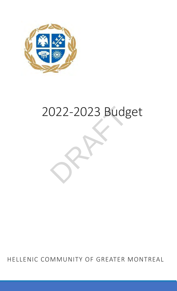

# 2022-2023 Budget

HELLENIC COMMUNITY OF GREATER MONTREAL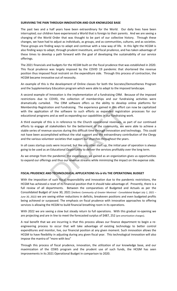# **SURVIVING THE PAIN THROUGH INNOVATION AND OUR KNOWLEDGE BASE**

The past two and a half years have been extraordinary for the World. Our daily lives have been interrupted; our children have experienced a World that is foreign to their parents. And we are seeing a changing of the World Order that was thought to be part of our collective history. Through these changes, we have had to adjust as individuals, as groups, and as communities, cultures, and as societies. These groups are finding ways to adapt and continue with a new way of life. In this light the HCGM is also finding ways to adapt, through prudent investiture, and fiscal prudence, and has taken advantage of these times to develop a path forward with the goal of developing the sustainability of our service offerings.

The 2021 financials and budgets for the HCGM built on the fiscal prudence that was established in 2020. This fiscal prudence was largely imposed by the COVID 19 pandemic that shortened the revenue position thus imposed fiscal restraint on the expenditure side. Through this process of contraction, the HCGM became innovative out of necessity.

An example of this is the development of Online classes for both the Socrates/Demosthenes Program and the Supplementary Education program which were able to adapt to the imposed landscape.

A second example of Innovation is the implementation of a fundraising CRM. Because of the imposed restrictions due to COVID, the collection of memberships and our fundraising activities were dramatically curtailed. The CRM software offers us the ability to develop online platforms for Membership Registration and Fundraising. The experience gained in this effort can now be capitalized with the application of the software to such efforts as expanded registration processes for our educational programs and as well as expanding our capabilities in our fundraising work.

tion and Fundraising. The experience gained in this effort can be software to such efforts as expanded registration and as well as expanding our capabilities in our fundraising wis is in reference to the Church operational A third example of this is in reference to the Church operational revenues, as part of our continued efforts to engage all stakeholders for the betterment of the community, we were able to achieve a stable series of revenue sources during this difficult time through innovation and technology. This could not have been accomplished without the vital support and the extraordinary contribution of the Clergy and the various volunteer societies that support our churches throughout the years.

In all cases startup costs were incurred, but like any other start up, the initial year of operation is always going to be used as an Educational Opportunity to deliver the services profitably over the long term.

As we emerge from the pandemic, the experiences we gained as an organization gives us opportunities to expand our offerings and thus our revenue streams while minimizing the impact on the expense side.

# **FISCAL PRUDENCE AND TECHNOLOGICAL APPLICATIONS Vis-à-Vis THE OPERATIONAL BUDGET**

With the imposition of such fiscal responsibility and innovation due to the pandemic restrictions, the HCGM has achieved a reset of its financial position that it should take advantage of. Presently, there is a full review of all departments. Between the comparatives of Budgeted and Actuals as per the Consolidated Budget of June 30, 2021 (*Hellenic Community of Greater Montreal - Consolidated Budget July 1, 2021 – June 30, 2022)* we are seeing either reductions in deficits, breakeven positions and even budgeted profits being achieved or surpassed. The emphasis on fiscal prudence with innovative approaches to offering services is allowing the HCGM to build financial breathing room in its operations.

With 2022 we are seeing a slow but steady return to full operations. With this gradual re-opening we are projecting and are in line to meet the forecasted surplus of \$487, 252 (pre amortization charges).

A real benefit that we are incurring is that this process allows our finance department to begin a reengineering process to occur that will take advantage of existing technology to better control expenditures and monitor, live, our financial position at any given moment. Such innovation allows the HCGM to have flexibility in adjusting during any given fiscal year. This technological innovation will also impose the mantra of "more with less"

Through this process of fiscal prudence, innovation, the utilization of our knowledge base, and our maximization of the CEWS program and the prudent use of such funds, the HCGM has seen improvements in its 2021 Operational Budget in comparison to 2020.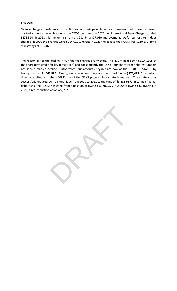# **THE DEBT**

Finance charges in reference to credit lines, accounts payable and our long-term debt have decreased markedly due to the utilization of the CEWS program. In 2020 our Interest and Bank Charges totaled \$175,514. In 2021 this line item came in at \$98,464, a \$77,050 improvement. As for our long-term debt charges, in 2020 the charges were \$264,019 whereas in 2021 the cost to the HCGM was \$210,553, for a real savings of \$53,466.

The reasoning for the decline in our finance charges are twofold. The HCGM paid down **\$2,145,305** of the short-term credit facility (credit line) and consequently the use of our short-term debt instruments has seen a marked decline. Furthermore, our accounts payable are now at the CURRENT STATUS by having paid off **\$1.042,986**. Finally, we reduced our long-term debt position by **\$377,427**. All of which directly resulted with the HCGM's use of the CEWS program in a strategic manner. The strategy thus successfully reduced our real debt load from 2020 to 2021 to the tune of **\$3,385,637.** In terms of actual debt loans, the HCGM has gone from a position of owing **\$13,780,175** in 2020 to owing **\$11,257,443** in 2021, a real reduction of **\$2,522,732**

RAFT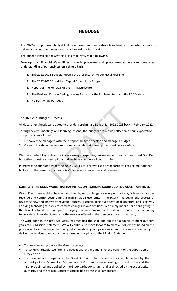# **THE BUDGET**

The 2022-2023 proposed budget builds on these trends and extrapolates based on the historical pace to deliver a budget that moves towards a forward moving position.

The Budget considers the Strategic Plan that involves the following.

**Develop our Financial Capabilities through processes and procedures so we can have clear understanding of our business on a timely basis**

- 1. The 2022-2023 Budget. Moving the presentation to our Fiscal Year End
- 2. The 2022-2023 Prioritized Capital Expenditure Program
- 3. Report on the Renewal of the IT Infrastructure
- 4. The Business Process Re-Engineering Report for the Implementation of the ERP System
- 5. Re-positioning our Debt

# **The 2022-2023 Budget – Process**

All department heads were asked to provide a preliminary Budget for 2022-2023 back in February 2022

Through several meetings and learning lessons, the budgets are a true reflection of our expectations. This process has allowed us to:

- 1. Empower the managers with their responsibility to develop and manage a budget
- 2. Given us insight in the various business models that make up our offerings as a whole

- Process<br>vere asked to provide a preliminary Budget for 2022-2023 backgraphs and learning lessons, the budgets are a true reflection in dus to:<br>dus to:<br>gers with their responsibility to develop and manage a budge<br>the vari We have pulled key indicators (salaries/major expenses/rent/revenue streams) and used Soc Dem budgeting to test our assumptions and we have confidence in our numbers

In protracting our numbers for the 2022-2023 Fiscal Year we used a standard straight line method that factored in the current CPI index of 6.7% for selected expenses and revenues.

# **COMPLETE THE GOOD WORK THAT HAS PUT US ON A STRONG COURSE DURING UNCERTAIN TIMES.**

World Events are rapidly changing and the biggest challenge for every entity today is how to improve revenue and control costs during a high inflation economy. The HCGM has begun the process of reviewing new and innovative revenue sources, is streamlining our operational structure, and is actively applying technological tools to capture changes in our positions in a timely manner and thus giving us the flexibility to adjust to a rapidly changing economic environment while at the same time continuing to provide and working to enhance the services offered to the members of our community.

The work done in the past two years, has steadied the ship, and put it on a course to meet our core goals of our Mission Statement. We will continue to move forward to meet our objectives based on this process of fiscal prudence, technological innovation, good governance, and corporate streamlining to deliver the services to our community based on the pillars of the Mission Statement:

- To preserve and promote the Greek language
- To set up charitable, welfare, and educational organizations for the benefit of the population of Greek origin
- To preserve and perpetuate the Greek Orthodox faith and tradition implemented by the authority of the Ecumenical Patriarchate of Constantinople according to the doctrine and the faith proclaimed and applied by the Greek Orthodox Church and as directed by the ecclesiastical authority and the religious precepts prescribed by the said Patriarchate.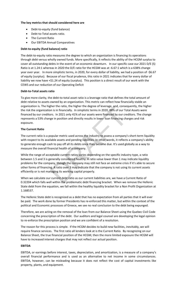# **The key metrics that should considered here are**

- Debt-to-equity (fund balance)
- Debt-to-Total assets ratio.
- The Current Ratio
- Our EBITDA Annual Comparatives

# **Debt-to-equity (fund balance) ratio**

The debt-to-equity ratio measures the degree to which an organization is financing its operations through debt versus wholly owned funds. More specifically, it reflects the ability of the HCGM surplus to cover all outstanding debts in the event of an economic downturn. In our specific case our 2021 D/E (S) Ratio is at 1.24:1 whereas in 2020 the D/E ratio for the HCGM was at -6.67:1 which is a 638% change year over year. In more simplistic terms, in 2020, for every dollar of liability, we had a position of -\$6.67 of equity (surplus). Because of our fiscal prudence, this ratio in 2021 indicates that for every dollar of liability we now have +\$1.24 of equity (surplus). This position is a direct result of our work with the CEWS and our reduction of our Operating Deficit

# **Debt-to-Total assets ratio**

To give more clarity, the debt-to-total asset ratio is a leverage ratio that defines the total amount of debt relative to assets owned by an organization. This metric can reflect how financially stable an organization is. The higher the ratio, the higher the degree of leverage, and, consequently, the higher the risk the organization is in financially. In simplistic terms in 2020, 88% of our Total Assets were financed by our creditors. In 2021 only 41% of our assets were financed by our creditors. The change represents a 53% change in position and directly results in lower loan financing charges and risk exposure.

# **The Current Ratio**

The current ratio is a popular metric used across the industry to assess a company's short-term liquidity with respect to its available assets and pending liabilities. In other words, it reflects a company's ability to generate enough cash to pay off all its debts once they become due. It's used globally as a way to measure the overall financial health of a company.

gher the ratio, the higher the degree of leverage, and, conseq<br>on is in financially. In simplistic terms in 2020, 88% of our Tot<br>ors. In 2021 only 41% of our assets were financed by our creage<br>in position and directly resu While the range of acceptable current ratios varies depending on the specific industry type, a ratio between 1.5 and 3 is generally considered healthy. A ratio value lower than 1 may indicate liquidity problems for the company, though the company may still not face an extreme crisis if it's able to secure other forms of financing. A ratio over 3 may indicate that the company is not using its current assets efficiently or is not managing its working capital properly.

When we calculate our current debt ratio as our current liabilities are, we have a Current Ratio of 0.32204 which falls well within the problematic debt financing bracket. When we remove the Hellenic State debt from the equation, we fall within the healthy liquidity bracket for a Non Profit Organization at 1.168537.

The Hellenic State debt is recognized as a debt that has no expectation from all parties that it will ever be paid. The work done by former Presidents has re-enforced this matter, but within the context of the political and Economic processes of Greece, we see no real conclusion to the debt being expunged.

Therefore, we are acting on the removal of the loan from our Balance Sheet using the Quebec Civil Code concerning the prescription of the debt. Our auditors and legal counsel are developing the legal opinion to re-enforce the prescription position and we are confident of a resolution.

The reason for this process is simple. If the HCGM decides to build new facilities, inevitably, we will require finance services. The first ratio all lenders look at is the Current Ratio. By recognizing on our Balance Sheet, the true financial position of the HCGM, then the more limited exposure the HCGM will have to increased interest charges that may not reflect our actual position.

# **EBITDA**

EBITDA, or earnings before interest, taxes, depreciation, and amortization, is a measure of a company's overall financial performance and is used as an alternative to net income in some circumstances. EBITDA, however, can be misleading because it does not reflect the cost of capital investments like property, plants, and equipment.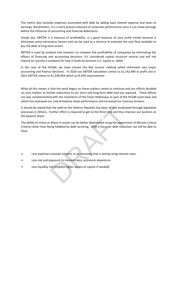This metric also excludes expenses associated with debt by adding back interest expense and taxes to earnings. Nonetheless, it is a more precise measure of corporate performance since it can show earnings before the influence of accounting and financial deductions.

Simply put, EBITDA is a measure of profitability. is a good measure of core profit trends because it eliminates some extraneous factors and can be used as a shortcut to estimate the cash flow available to pay the debt of long-term assets.

EBITDA is used by analysts and investors to compare the profitability of companies by eliminating the effects of financing and accounting decisions. It's considered capital structure neutral and will not reward (or punish) a company for how it funds its business (i.e. equity vs. debt).

In the case of the HCGM, we have chosen the Net Income method which eliminates two major accounting and finance decisions. In 2020 our EBITDA calculation comes to \$1,142,490 in profit and in 2021 EBITDA comes to \$1,238,944 which an 8.24% improvement

What all this means is that the work begun on these matters needs to continue and our efforts doubled on such matters as further reductions to our short and long-term debt load are required. These efforts are also complemented with the investiture of the Foyer Hellenique as part of the HCGM asset base and which has improved our overall balance sheet performance and increased our revenue streams.

It should be stated that the debt to the Hellenic Republic has been all but eradicated through legislative processes in Athens. Further effort is required to get to the finish line and thus improve our position on the balance sheet.

at the debt to the Hellenic Republic has been all but eradicated Further effort is required to get to the finish line and thus im relivest in assets can be better determined using the assessment of investing hobbled by deb The ability to invest or divest in assets can be better determined using the assessment of Mission Critical Criteria rather than being hobbled by debt servicing. With a focus on debt reduction, we will be able to have:

- Less expenses towards interest, in an economy that is seeing rising interest rates.
- Less risk and exposure to interest rates; economic downturns
- Less liquidity risk (implied higher access to capital if needed)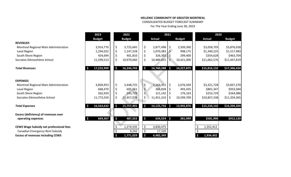CONSOLIDATED BUDGET FORECAST SUMMARY

For The Year Ending June 30, 2023

|                                                | 2023                             |                     | 2022          |         |               | 2021          |               | 2020            |               |
|------------------------------------------------|----------------------------------|---------------------|---------------|---------|---------------|---------------|---------------|-----------------|---------------|
|                                                | <b>Budget</b>                    |                     | <b>Budget</b> |         | <b>Actual</b> |               | <b>Budget</b> | <b>Actual</b>   | <b>Budget</b> |
| <b>REVENUES</b>                                |                                  |                     |               |         |               |               |               |                 |               |
| Montreal Regional Main Administration          | 3,914,770                        | \$                  | 3,725,645     | \$      | 2,877,498     | \$            | 2,509,300     | \$3,058,703     | \$3,876,928   |
| Laval Region                                   | 1,294,022                        | \$                  | 1,147,228     | \$      | 1,070,383     | $\zeta$       | 998,175       | \$1,340,225     | \$1,517,983   |
| South Shore Region                             | 424,694                          | \$                  | 401,810       | \$      | $326,392$ \$  |               | 299,400       | \$354,628       | \$463,704     |
| Socrates-Démosthène School                     | 11,599,513                       | \$                  | 10,970,060    | \$      | 10,486,015    | \$            | 10,421,000    | \$11,062,576    | \$11,447,819  |
| <b>Total Revenues</b>                          | 17,232,999                       | $\mathsf{S}$        | 16,244,743    | \$      | 14,760,288    | $\mathsf{S}$  | 14,227,875    | \$15,816,132    | \$17,306,434  |
| <b>EXPENSES</b>                                |                                  |                     |               |         |               |               |               |                 |               |
| Montreal Regional Main Administration          | 3,858,953                        | \$                  | 3,448,725     | $\zeta$ | 2,164,455     | \$            | 2,676,569     | \$3,321,728     | \$3,837,270   |
| Laval Region                                   | 668,470                          | \$                  | 605,961       | \$      | 388,828       | \$            | 493,435       | \$801,347       | \$933,584     |
| South Shore Region                             | 262,650                          | \$                  | 245,729       | \$      | 121,142       | \$            | 176,163       | \$253,729       | \$264,086     |
| Socrates-Démosthène School                     | 11,773,559                       | \$                  | 11,457,076    | \$      | 11,451,310    | \$            | 10,599,709    | \$10,857,338    | \$11,359,365  |
| <b>Total Expenses</b>                          | 16,563,632<br>$\mathsf{\hat{S}}$ | \$                  | 15,757,491    | \$      | 14,125,734    | $\mathsf{\S}$ | 13,945,876    | \$15,234,142    | \$16,394,304  |
| <b>Excess (deficiency) of revenues over</b>    |                                  |                     |               |         |               |               |               |                 |               |
| operating expenses                             | 669,367<br>$\ddot{\bm{\zeta}}$   | $\frac{1}{2}$       | 487,252       | \$      | 634,554       | $\mathsf{S}$  | 281,999       | \$581,990       | \$912,130     |
| <b>CEWS Wage Subsidy net professional fees</b> |                                  |                     | 1,274,535     | \$      | 3,830,475     |               |               | 1,352,412       |               |
| <b>Canadian Emergency Rent Subsidy</b>         |                                  |                     | 9,242         | \$      | 17,320        |               |               |                 |               |
| <b>Excess of revenues including CEWS</b>       |                                  | $\ddot{\bm{\zeta}}$ | 1,771,029     | $\zeta$ | 4,482,349     |               |               | \$<br>1,934,402 |               |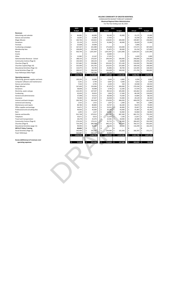|                                         |         | 2023                 | 2022                             |       |                    |                     | 2021    |               |     |                 |         | 2020 |               |
|-----------------------------------------|---------|----------------------|----------------------------------|-------|--------------------|---------------------|---------|---------------|-----|-----------------|---------|------|---------------|
|                                         |         | <b>Budget</b>        | <b>Budget</b>                    |       |                    | Actual              |         | <b>Budget</b> |     | Actual          |         |      | <b>Budget</b> |
| Revenues                                |         |                      |                                  |       |                    |                     |         |               |     |                 |         |      |               |
| Advertising and calendar                | \$      | 84,881               | \$<br>60,000                     |       | \$                 | 56,140              | \$      | 45,000        | \$  |                 | 15,175  | \$   | 15,000        |
| Dances and activities                   | \$      | 16,005               | \$<br>15,000                     |       | \$                 | 17,450              | \$      |               |     | \$              | 14,258  | \$   | 28,000        |
| <b>Magic Mission</b>                    | \$      | 160,746              | \$<br>150,652                    |       | \$                 | 118,045             | \$      | 200,000       |     | \$              | 199,987 | \$   | 230,000       |
| Donations                               | \$      | 25,159               | \$<br>23,579                     |       | \$                 | 41,906              | \$      | 40,000        | \$  |                 | 29,429  | \$   | 15,000        |
| Festivals                               | \$      | 25,608               | \$<br>24,000                     |       | \$                 |                     | \$      |               |     | \$              | 5,000   | \$   |               |
| <b>Fundraising campaigns</b>            | \$      | 167,507              | \$<br>201,989                    |       | \$                 | 175,438             | \$      | 150,000       |     | \$              | 172,571 | \$   | 367,000       |
| Membership fees                         | \$<br>Ś | 109,099              | \$<br>102,248                    |       | \$                 | 91,875              | \$      | 89,000        | \$  |                 | 81,234  | \$   | 127,600       |
| Rental                                  |         | 926,764              | \$<br>1,051,407                  |       | \$                 | 1,051,407           | \$      | 1,021,000     |     | \$<br>1,024,425 |         | \$   | 1,021,000     |
| Grants                                  | \$      |                      | \$                               |       | \$                 | 10,000              | \$      |               | \$  |                 |         | \$   |               |
| Other                                   | \$      | 12,982               | \$<br>12,167                     |       | \$                 | 17,355              | \$      |               |     | \$              | 4,429   | \$   | 1,000         |
| Administrative Revenue - School         | \$      | 188,333              | \$<br>176,507                    |       | \$                 | 294,544             | \$      | 240,000       |     | \$              | 240,000 | \$   | 230,000       |
| Community Centres (Page 6)              | \$      | 103,540              | \$<br>100,103                    |       | \$                 | 3,419               | \$      | 10,000        |     | \$              | 258,666 | \$   | 275,228       |
| Churches (Page 9)                       | \$<br>Ś | 557,682              | \$<br>520,986                    |       | \$                 | 433,501             | \$      | 372,100       |     | \$              | 516,920 | \$   | 792,900       |
| Churches Capital (Page 10)              |         | 325,000              | \$<br>241,702                    |       | \$                 | 224,355             | \$      | 125,000       |     | \$              | 100,418 | \$   | 249,000       |
| Educational Activities (Page 11)        | \$<br>Ś | 110,475              | \$<br>93,700                     |       | \$                 | 45,896              | \$      | 48,700        |     | \$              | 124,395 | \$   | 140,400       |
| Social Activities (Page 12)             |         | 309,537              | \$<br>206,258                    |       | \$                 | 226,408             | \$<br>Ś | 168,500       |     | \$<br>\$        | 271,795 | \$   | 384,800       |
| Foye Hellenique (New Page)              | \$<br>Ś | 791,452<br>3,914,770 | \$<br>745,346<br>\$<br>3,725,645 |       | \$<br>\$           | 69,758<br>2,877,498 | \$.     | 2,509,300     | \$. | 3,058,703       |         | \$   | 3,876,928     |
| <b>Operating expenses</b>               |         |                      |                                  |       |                    |                     |         |               |     |                 |         |      |               |
| Advertising, general supplies and texts |         | 109,293              | \$<br>16,000                     |       | \$                 | 9,444               | \$      | 6,800         |     | \$              | 4,294   | \$   | 6,800         |
| Computer software and maintenance       |         | 5,261                | \$                               | 4,740 | \$                 | 6,067               | \$      | 4,300         |     | \$              | 5,652   | \$   | 3,500         |
| Dances and activities                   |         | 7,543                | \$                               | 6,795 | \$                 | 4,339               | \$      | 250           |     | \$              | 19,938  | \$   | 20,550        |
| <b>Magic Mission</b>                    |         | 167,600              | \$<br>150,000                    |       | \$                 | 87,079              | \$      | 200,000       |     | \$              | 279,194 | \$   | 148,000       |
| Donations                               |         | 38,848               | \$<br>34,998                     |       | \$                 | 4,700               | \$      | 12,200        |     | \$              | 57,479  | \$   | 32,200        |
| Electricity, water and gas              |         | 110,195              | \$<br>107,507                    |       | \$                 | 99,510              | \$      | 105,000       |     | \$              | 103,462 | \$   | 125,000       |
| Fundraising                             |         | 42,630               | \$<br>39,953                     |       | -\$                | 2,826               | \$      | 17,300        | \$  |                 | 68,199  | \$   | 124,830       |
| General and administrative              |         | 57,098               | \$<br>53,513                     |       | \$                 | 38,368              | \$      | 73,500        |     | \$              | 14,684  | \$   | 68,550        |
| Insurance                               |         | 74,400               | \$<br>67,027                     |       | \$                 | 56,928              | \$      | 55,000        |     | \$              | 29,129  | \$   | 44,300        |
| Interest and bank charges               |         | 200,760              | \$<br>365,018                    |       | \$                 | 274,020             | \$      | 406,050       | \$  |                 | 400,078 | \$   | 431,250       |
| Janitorial and cleaning                 |         | 1,415                | \$                               | 1,415 | \$                 | 1,637               | \$      | 1,300         |     | \$              | 925     | \$   | 1,800         |
| Maintenance and repairs                 |         | 89,780               | \$<br>80,883                     |       | \$                 | 59,767              | \$      | 66,200        |     | \$              | 59,674  | \$   | 74,000        |
| Office supplies and postage             |         | 54,671               | \$<br>49,253                     |       | \$                 | 53,551              | \$      | 46,900        | \$  |                 | 35,827  | \$   | 45,400        |
| Professional and consulting fees        |         | 49,950               | \$<br>45,000                     |       | \$                 | 20,146              | 'S      | 93,000        |     | \$              | 55,487  | \$   | 45,100        |
| Rent                                    |         | 1,695                | \$                               | 1,527 | \$                 | 50,380              | \$      | 56,960        |     | \$              | 54,960  | \$   | 56,960        |
| Salaries and benefits                   |         | 912,748              | \$<br>670,912                    |       | \$                 | 511,397             | \$      | 687,300       |     | \$              | 681,721 | \$   | 733,350       |
| Telephone                               |         | 10,671               | \$                               | 9,613 | \$                 | 11,076              | \$      | 7,100         |     | \$              | 11,817  | \$   | 7,100         |
| Travel and transportation               |         | 28,278               | \$<br>25,476                     |       | $\zeta$            | 22,581              | \$      | 28,000        |     | \$              | 26,580  | \$   | 28,000        |
| Community Centres (Page 6)              |         | 174,226              | \$<br>170,215                    |       | \$                 | 91,712              | \$      | 80,400        |     | \$              | 284,425 | \$   | 353,599       |
| Churches (Page 9)                       |         | 724,199              | \$<br>686,098                    |       | \$                 | 440,115             | \$      | 497,705       |     | \$              | 760,727 | \$   | 953,605       |
| Educational Activities (page 11)        |         | 99,994               | \$<br>96,097                     |       | \$                 | 74,546              | \$      | 66,000        |     | \$              | 116,299 | \$   | 162,205       |
| <b>ERP &amp; IT Policy Training</b>     |         | 40,605               | \$                               |       | \$                 |                     | \$      |               |     | \$              |         | \$   |               |
| Social Activities (Page 12)             |         | 293,406              | \$<br>201,547                    |       | \$                 | 204,084             | \$      | 165,304       |     | \$              | 266,787 | \$   | 371,171       |
| Foyer Hellenique                        |         | 563,687              | \$<br>565,137                    |       | Ś                  | 45,834              | \$      |               | \$  |                 |         | Ś    |               |
|                                         |         | 3,858,953            | \$<br>3,448,725                  |       | \$                 | 2,164,455           | - \$    | 2,676,569     | \$. | 3,321,728       |         | \$.  | 3,837,270     |
|                                         |         |                      |                                  |       |                    |                     |         |               |     |                 |         |      |               |
| Excess (deficiency) of revenues over    |         |                      |                                  |       |                    |                     |         |               |     |                 |         |      |               |
| operating expenses                      |         | 55,818               | $\ddot{\mathbf{5}}$<br>276,920   |       | $\hat{\mathbf{z}}$ | $713,043 - $$       |         | 167,269       | -\$ |                 | 263,024 | Ŝ.   | 39,658        |
|                                         |         |                      |                                  |       |                    |                     |         |               |     |                 |         |      |               |
|                                         |         |                      |                                  |       |                    |                     |         |               |     |                 |         |      |               |
|                                         |         |                      |                                  |       |                    |                     |         |               |     |                 |         |      |               |
|                                         |         |                      |                                  |       |                    |                     |         |               |     |                 |         |      |               |
|                                         |         |                      |                                  |       |                    |                     |         |               |     |                 |         |      |               |
|                                         |         |                      |                                  |       |                    |                     |         |               |     |                 |         |      |               |
|                                         |         |                      |                                  |       |                    |                     |         |               |     |                 |         |      |               |
|                                         |         |                      |                                  |       |                    |                     |         |               |     |                 |         |      |               |
|                                         |         |                      |                                  |       |                    |                     |         |               |     |                 |         |      |               |
|                                         |         |                      |                                  |       |                    |                     |         |               |     |                 |         |      |               |
|                                         |         |                      |                                  |       |                    |                     |         |               |     |                 |         |      |               |
|                                         |         |                      |                                  |       |                    |                     |         |               |     |                 |         |      |               |
|                                         |         |                      |                                  |       |                    |                     |         |               |     |                 |         |      |               |
|                                         |         |                      |                                  |       |                    |                     |         |               |     |                 |         |      |               |
|                                         |         |                      |                                  |       |                    |                     |         |               |     |                 |         |      |               |
|                                         |         |                      |                                  |       |                    |                     |         |               |     |                 |         |      |               |
|                                         |         |                      |                                  |       |                    |                     |         |               |     |                 |         |      |               |
|                                         |         |                      |                                  |       |                    |                     |         |               |     |                 |         |      |               |
|                                         |         |                      |                                  |       |                    |                     |         |               |     |                 |         |      |               |

**HELLENIC COMMUNITY OF GREATER MONTREAL** CONSOLIDATED BUDGET FORECAST SUMMARY **Montreal Regional Main Administration**<br>For The Year Ending June 30, 2023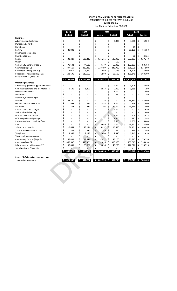CONSOLIDATED BUDGET FORECAST SUMMARY

For The Year Ending June 30, 2023 **LAVAL REGION**

|                                         |          | 2023                 |                                | 2022          |                           |             | 2021                |                                  |          |                    | 2020    |               |
|-----------------------------------------|----------|----------------------|--------------------------------|---------------|---------------------------|-------------|---------------------|----------------------------------|----------|--------------------|---------|---------------|
|                                         |          | <b>Budget</b>        |                                | <b>Budget</b> |                           | Actual      |                     | <b>Budget</b>                    |          | <b>Actual</b>      |         | <b>Budget</b> |
| <b>Revenues</b>                         |          |                      |                                |               |                           |             |                     |                                  |          |                    |         |               |
| Advertising and calendar                | \$       |                      | \$                             |               | \$                        |             | \$                  | 5,000                            | \$       | 4,600              | \$      | 5,500         |
| Dances and activities                   | \$       |                      | \$                             |               | \$                        |             | \$                  |                                  | \$       |                    | \$      |               |
| Donations                               | \$       |                      | \$                             |               | \$                        |             | \$                  |                                  | \$       | 25                 | \$      |               |
| Festival                                | \$       | 28,800               | \$                             |               | \$                        |             | \$                  |                                  | \$       | 57,138             | \$      | 65,150        |
| <b>Fundraising campaigns</b>            | \$       |                      | \$                             |               | \$                        |             | \$                  |                                  | \$       |                    | \$      |               |
| Membership fees                         | \$       |                      | \$                             |               | \$                        |             | \$                  |                                  | \$       | 75                 | \$      | 2,725         |
| Rental                                  | \$       | 632,229              | \$                             | 625,216       | \$                        | 625,216     | \$                  | 630,000                          | \$       | 692,357            | \$      | 629,240       |
| Other                                   | \$       |                      | \$                             |               | \$                        |             | \$                  | 100                              | \$       |                    | \$      |               |
| Community Centres (Page 6)              | \$       | 79,633               | \$                             | 74,633        | \$                        | 43,749      | \$                  | 50,000                           | \$       | 102,251            | \$      | 98,768        |
| Churches (Page 9)                       | \$       | 397,119              | \$                             | 330,430       | \$                        | 323,499     | \$                  | 243,900                          | \$       | 336,005            | \$      | 535,500       |
| Churches Capital (Page 10)              | \$       | 53,051               | \$                             | 6,349         | \$                        | 5,960       | \$                  | 2,675                            | \$       | 8,428              | \$      | 13,000        |
| Educational Activities (Page 11)        | \$       | 103,190              | \$                             | 110,600       | \$                        | 71,960      | \$                  | 66,500                           | \$       | 139,346            | \$      | 168,100       |
| Social Activities (Page 12)             | \$       |                      | \$                             |               | \$                        |             | \$                  |                                  | \$       |                    |         |               |
|                                         |          | \$1,294,022          |                                | \$1,147,228   |                           | \$1,070,383 | $\ddot{\bm{\zeta}}$ | 998,175                          |          | \$1,340,225        |         | \$1,517,983   |
| <b>Operating expenses</b>               |          |                      |                                |               |                           |             |                     |                                  |          |                    |         |               |
| Advertising, general supplies and texts | \$       |                      | \$<br>\$                       |               | \$                        |             | \$                  | 4,200                            | \$       | 3,708              | \$      | 4,550<br>790  |
| Computer software and maintenance       | \$       | 2,105                |                                | 1,897         | \$                        | 2,813       | \$                  | 2,000                            | \$       | 1,885              | \$      |               |
| Dances and activities                   | \$       |                      | \$                             |               | \$                        |             | \$                  | 1,500                            | \$       |                    | \$      | 1,500         |
| Donations                               | \$       |                      | \$                             |               | \$                        |             | \$                  | 250                              | \$       |                    | \$      | 250           |
| Electricity, water and gas              | \$       |                      | \$                             |               | \$<br>-\$                 |             | \$                  |                                  | \$       |                    | \$      |               |
| Festival                                | \$       | 28,800               | \$                             |               |                           | 276         | \$                  |                                  | \$       | 36,850             | \$      | 45,000        |
| General and administrative              | \$       | 968                  | \$                             | 872           | \$                        | 1,854       | \$                  | 1,000                            | \$       | 229                | \$      | 1,000         |
| Insurance                               | \$       | 238                  | \$                             | 214           | \$                        | 195         | \$                  | 22,000                           | \$       | 13,155             | \$      | 400           |
| Interest and bank charges               | \$       | $\ddot{\phantom{1}}$ | \$                             |               | \$                        | L,          | \$                  | 2,000                            | \$       |                    | \$      | 2,650         |
| Janitorial and cleaning                 | \$       |                      | \$                             |               | \$                        |             | \$                  |                                  | \$       |                    | \$      | 2,000         |
| Maintenance and repairs                 | \$       |                      | \$                             |               | \$                        |             | \$                  | 2,000                            | \$       | 606                | \$      | 2,075         |
| Office supplies and postage             | \$       |                      | \$                             |               | \$                        |             | \$                  | 1,400                            | \$       | 197                | \$      | 1,395         |
| Professional and consulting fees        | \$       |                      | \$                             |               | \$                        |             | \$                  | 9,500                            | \$       | 9,500              | \$      | 5,000         |
| Rent                                    | \$       |                      | \$                             |               | \$                        | 5,646       | \$                  | 4,000                            | \$       | 13,551             | \$      | 13,300        |
| Salaries and benefits                   | \$       | 25,664               | \$                             | 23,121        | \$                        | 6,937       | \$                  | 15,450                           | \$       | 38,161             | \$      | 48,850        |
| Taxes - municipal and school            | \$       | 349                  | \$                             | 314           | \$                        | 246         | \$                  | 340                              | \$       | 313                | \$      | 340           |
| Telephone                               | \$       | 2,358                | \$                             | 2,125         | \$                        | 1,669       | \$                  | 2,410                            | \$       | 2,242              | \$      | 2,410         |
| Travel and transportation               | \$       |                      | \$                             |               | \$                        |             | \$                  |                                  | \$       |                    | \$      |               |
| Community Centres (Page 6)              | \$       | 55,401               | \$                             | 49,911        | \$                        | 37,872      | \$                  | 46,100                           | \$       | 72,317             | \$      | 79,259        |
| Churches (Page 9)                       | \$       | 453,536              | \$                             | 428,456       | \$                        | 252,820     | \$                  | 333,060                          | \$       | 487,817            | \$      | 596,090       |
| Educational Activities (page 11)        | \$       | 99,051               | \$                             | 99,051        | \$                        | 79,050      | \$                  | 46,225                           | \$       | 120,816            | \$      | 126,725       |
| Social Activities (Page 12)             | \$<br>\$ | 668,470              | $\zeta$<br>$\ddot{\bm{\zeta}}$ | 605,961       | \$<br>$\ddot{\bm{\zeta}}$ | 388,828     | \$<br>\$            | 493,435                          | \$<br>\$ | 801,347            | \$<br>Ś | 933,584       |
|                                         |          |                      |                                |               |                           |             |                     |                                  |          |                    |         |               |
| Excess (deficiency) of revenues over    |          |                      |                                |               |                           |             |                     |                                  |          |                    |         |               |
| operating expenses                      |          | \$625,552            |                                |               |                           |             |                     | $$541,267$ $$681,555$ $$504,740$ |          | \$538,878\$538,400 |         |               |
|                                         |          |                      |                                |               |                           |             |                     |                                  |          |                    |         |               |
|                                         |          |                      |                                |               |                           |             |                     |                                  |          |                    |         |               |
|                                         |          |                      |                                |               |                           |             |                     |                                  |          |                    |         |               |
|                                         |          |                      |                                |               |                           |             |                     |                                  |          |                    |         |               |
|                                         |          |                      |                                |               |                           |             |                     |                                  |          |                    |         |               |
|                                         |          |                      |                                |               |                           |             |                     |                                  |          |                    |         |               |
|                                         |          |                      |                                |               |                           |             |                     |                                  |          |                    |         |               |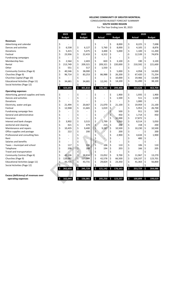CONSOLIDATED BUDGET FORECAST SUMMARY **SOUTH SHORE REGION**

For The Year Ending June 30, 2023

|                                         |    | 2023           |    | 2022                     |    |                | 2021 |                    |              |            | 2020 |               |
|-----------------------------------------|----|----------------|----|--------------------------|----|----------------|------|--------------------|--------------|------------|------|---------------|
|                                         |    | <b>Budget</b>  |    | <b>Budget</b>            |    | <b>Actual</b>  |      | <b>Budget</b>      |              | Actual     |      | <b>Budget</b> |
| <b>Revenues</b>                         |    |                |    |                          |    |                |      |                    |              |            |      |               |
| Advertising and calendar                | \$ |                |    |                          | \$ |                | \$   | 8,000              | \$           | 8,225      | \$   | 7,698         |
| Dances and activities                   | \$ | 6,538          | \$ | 6,127                    | \$ | 5,760          | \$   | 8,000              | \$           | 4,105      | \$   | 8,876         |
| Donations                               | \$ | 5,415          | \$ | 5,075                    | \$ | 3,400          | \$   | 5,000              | \$           | 1,100      | \$   | 11,200        |
| Festival                                | \$ | 23,936         | \$ | 22,433                   | \$ | 6,312          | \$   |                    | -\$          | 12,539     | \$   | 74,876        |
| <b>Fundraising campaigns</b>            | \$ |                | \$ |                          | \$ |                | \$   |                    | \$           |            | \$   |               |
| Membership fees                         | \$ | 2,564          | \$ | 2,403                    | \$ | 820            | \$   | 3,100              | -\$          | 190        | \$   | 3,100         |
| Rental                                  | \$ | 213,749        | \$ | 209,321                  | \$ | 209,321        | \$   | 220,000            | \$           | 210,592    | \$   | 221,600       |
| Other                                   | \$ | 551            | \$ | 517                      | \$ | 1,550          | \$   |                    | \$           |            | \$   |               |
| Community Centres (Page 6)              | \$ | 40,546         | \$ | 38,000                   | \$ |                | \$   | 5,000              | \$           | 4,958      | \$   | 14,000        |
| Churches (Page 9)                       | \$ | 96,714         | \$ | 83,253                   | \$ | 86,988         | \$   | 26,200             | \$           | 67,420     | \$   | 71,254        |
| Churches Capital (Page 10)              | \$ |                | \$ |                          | \$ |                | \$   | 10,000             | \$           | 19,466     | \$   | 13,000        |
| <b>Educational Activities (Page 11)</b> | \$ | 34,681         | \$ | 34,681                   | \$ | 12,241         | \$   | 14,100             | \$           | 51,490     | \$   | 38,100        |
| Social Activities (Page 12)             | \$ |                | \$ |                          | \$ |                | \$   |                    | \$           |            | \$   |               |
|                                         | \$ | 424,694        | \$ | 401,810                  | \$ | 326,392        | \$   | 299,400            | \$           | 354,628    | \$   | 463,704       |
| <b>Operating expenses</b>               |    |                |    |                          |    |                |      |                    |              |            |      |               |
| Advertising, general supplies and texts | \$ | ä,             | \$ | $\overline{\phantom{a}}$ | \$ | $\overline{a}$ | \$   | 1,900              | \$           | 1,935      | \$   | 1,900         |
| Dances and activities                   | \$ |                | \$ |                          | \$ |                | \$   | 1,500              | \$           | 511        | \$   | 1,500         |
| Donations                               | \$ |                | \$ |                          | \$ |                | \$   |                    | \$           | 1,000      | \$   |               |
| Electricity, water and gas              | \$ | 21,494         | \$ | 20,667                   | \$ | 21,070         | \$   | 21,100             | \$           | 19,959     | \$   | 21,100        |
| Festival                                | \$ | 12,948         | \$ | 11,665                   | \$ | 1,019          | \$   |                    | \$           | 5,953      | \$   | 26,700        |
| Fundraising campaign fees               | \$ |                | \$ |                          | \$ |                | \$   | 500                | \$           | 911        | \$   | 500           |
| General and administrative              | \$ | $\overline{a}$ | \$ | $\overline{\phantom{a}}$ | \$ |                | \$   | 450                | \$           | 1,714      | \$   | 450           |
| Insurance                               | \$ |                | \$ |                          | \$ |                | \$   | 32,000             | \$           | 17,872     | \$   |               |
| Interest and bank charges               | \$ | 3,902          | \$ | 3,515                    | \$ | 1,799          | \$   | 5,050              | \$           | 8,514      | \$   | 5,050         |
| Janitorial and cleaning                 | \$ | 421            | \$ | 379                      | \$ | 214            | \$   | 200                | \$           | 158        | \$   | 200           |
| Maintenance and repairs                 | \$ | 10,435         | \$ | 9,400                    | \$ | 9,287          | \$   | 10,500             | \$           | 10,230     | \$   | 10,500        |
| Office supplies and postage             | \$ | 222            | \$ | 200                      | \$ |                | \$   | 200                | \$           |            | \$   | 200           |
| Professional and consulting fees        | \$ |                | \$ |                          | \$ | ÷,             | \$   | 2,900              | \$           | 4,634      | \$   | 1,900         |
| Rent                                    |    |                | \$ |                          | \$ |                | \$   |                    | \$           | 400        | \$   |               |
| Salaries and benefits                   | \$ |                | \$ |                          | \$ |                | \$   |                    | \$           |            | \$   |               |
| Taxes - municipal and school            | \$ | 117            | \$ | 106                      | \$ | 106            | \$   | 110                | \$           | 106        | \$   | 110           |
| Telephone                               | \$ | 208            | \$ | 188                      | \$ | 194            | \$   | 203                | \$           | 166        | \$   | 205           |
| Travel and transportation               | \$ |                | \$ |                          | \$ |                | \$   |                    | \$           |            | \$   |               |
| Community Centres (Page 6)              | \$ | 43,106         | \$ | 38,834                   | \$ | 15,052         | \$   | 9,700              | \$           | 11,967     | \$   | 13,270        |
| Churches (Page 9)                       | \$ | 126,067        | \$ | 117,044                  | \$ | 42,578         | \$   | 66,500             | \$           | 126,337    | \$   | 123,701       |
| <b>Educational Activities (page 11)</b> | Ş  | 43,731         | Ş  | 43,731                   | Ş  | 29,824         | Ş    | 23,350             | Ş            | 41,363     |      | 56,800        |
| Social Activities (Page 12)             | \$ |                | \$ |                          | Ś  |                |      |                    | \$           |            |      |               |
|                                         | \$ | 262,650        | \$ | 245,729                  | Ś. | $121,142$ \$   |      | 176,163            | $\mathsf{S}$ | 253,729 \$ |      | 264,086       |
|                                         |    |                |    |                          |    |                |      |                    |              |            |      |               |
| Excess (deficiency) of revenues over    |    |                |    |                          |    |                |      |                    |              |            |      |               |
| operating expenses                      |    | 162,044        | Ŝ. | 156,081                  | Ŝ. |                |      | 205,250 \$ 123,237 | $\mathsf{S}$ | 100,899    | S.   | 199,619       |
|                                         |    |                |    |                          |    |                |      |                    |              |            |      |               |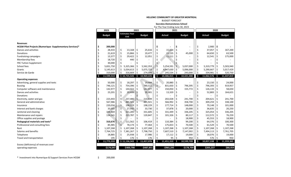#### BUDGET FORECAST

**Socrates-Demonstenes School**

| 2023<br>2022<br>2021<br>2020<br><b>Estimates Year</b><br><b>Budget</b><br><b>Budget</b><br><b>Budget</b><br><b>Budget</b><br>Actual<br>Actual<br>End<br><b>Revenues</b><br>$2,900$ \$<br><b>HCGM Pilot Projects (Numerique -Supplementary Services)*</b><br>\$<br>200,000<br>\$<br>\$<br>\$<br>$\zeta$<br>\$<br>\$<br>$\zeta$<br>37,057<br>28,433<br>13,168<br>25,616<br>15,614<br>Dances and activities<br>\$<br>\$<br>167,200<br>\$<br>\$<br>Ś<br>\$<br>15,866<br>19,477<br>\$<br>$64,650$ \$<br>21,619<br>-\$<br>11,135<br>45,000<br>63,500<br>Donations<br>\$<br>Ś<br>\$<br>Ś<br>\$<br>13,377<br>\$<br>29,422<br>-\$<br>12,051<br>11,511<br>12,541<br>175,000<br><b>Fundraising campaigns</b><br>\$<br>18,720<br>440<br>Ś<br>Membership fees<br>\$<br>Ś<br>30,000<br><b>FRC Tuition Supplement</b><br>\$<br>Ś<br>\$<br>\$<br>School fees<br>5,325,366<br>5,831,750<br>5,562,353<br>5,254,591<br>5,037,000<br>5,319,779<br>\$<br>5,503,940<br>\$<br>Ś<br>\$<br>\$<br>\$<br>5,145,613<br>5,034,613<br>5,075,723<br>4,947,630<br>5,096,000<br>5,290,667<br>5,017,429<br>Grants<br>\$<br>\$<br>\$<br>\$<br>\$<br>\$<br>\$<br>316,669<br>-\$<br>274,006<br>520,750<br>Service de Garde<br>310,000<br>Ś<br>245,534<br>243,000<br>334,981<br>11,599,513<br>\$10,735,545<br>$\mathsf{S}$<br>\$<br>10,421,000<br>\$<br>11,062,576<br>10,969,225<br>10,486,015<br>-S<br><b>S</b><br>11,447,819<br><b>Operating expenses</b><br>\$<br>\$<br>18,297<br>-\$<br>20,880<br>\$<br>23,150<br>\$<br>Advertising, general supplies and texts<br>50,000<br>\$<br>19,444<br>\$<br>24,000<br>\$<br>\$<br>\$<br>$\ddot{\varsigma}$<br>\$<br>\$<br>754,396<br>-\$<br>780,511<br>796,395<br>796,393<br>919,957<br>746,121<br>831,650<br><b>Bussing</b><br>$\overline{\mathsf{S}}$<br>\$<br>\$<br>142,977<br>$\ddot{\bm{\zeta}}$<br>142,977<br>\$<br>144,022<br>-\$<br>150,050<br>155,772<br>$126,133$ \$<br>Computer software and maintenance<br>58,650<br>Ś<br>\$<br>20,606<br>20,901<br>\$<br>13,320<br>$\zeta$<br>52,883<br>\$<br>23,201<br>\$<br>164,621<br>Dances and activities<br>-\$<br>\$<br>\$<br>Ś<br>Donations<br>\$<br>\$<br>\$<br>\$<br>Ś<br>237,480<br>214,849<br>202,028<br>\$<br>241,700<br>204,621<br>Electricity, water and gas<br>223,443<br>241,700<br>`S<br>\$<br>\$<br>\$<br>$\ddot{\varsigma}$<br>\$<br>567,986<br>\$<br>485,921<br>485,921<br>566,992<br>358,700<br>309,259<br>General and administrative<br>338,100<br>Ŝ<br>\$<br>\$<br>\$<br>$\ddot{\varsigma}$<br>\$<br>198,229<br>198,229<br>148,000<br>79,148<br>220,034<br>\$<br>\$<br>177,714<br>101,000<br>Insurance<br>\$<br>\$<br>\$<br>\$<br>\$<br>33,055<br>\$<br>27,935<br>33,730<br>Interest and bank charges<br>\$<br>37,878<br>20,000<br>36,635<br>20,250<br>321,285<br>\$<br>\$<br>Ś<br>$\zeta$<br>331,605<br>\$<br>325,054<br>\$<br>336,205<br>Janitorial and cleaning<br>344,869<br>331,449<br>336,205<br>\$<br>Ś<br>\$<br>$\zeta$<br>\$<br>223,787<br>\$<br>112,572<br>Maintenance and repairs<br>134,141<br>\$<br>120,847<br>101,326<br>80,117<br>76,259<br>\$<br>\$<br>Ś<br>S.<br>Office supplies and postage<br>18,900<br>45,553<br>18,900<br>\$<br>\$<br>\$<br>\$<br>64,376<br>\$<br>Pedagogical materials and texts*<br>310,676<br>111,562<br>- Ś<br>110,384<br>99,200<br>100,300<br>106,419<br>\$<br>\$<br>$\zeta$<br>\$<br>$61,529$ \$<br>85,985<br>78,174<br>175,653<br>70,500<br>70,500<br>Professional and consulting fees<br>\$<br>77,464<br>\$<br>Ś<br>\$<br>1,107,268<br>1,107,268<br>1,107,268<br>1,107,268<br>-\$<br>1,107,268<br>1,107,268<br>\$<br>1,107,268<br>Ŝ<br>Rent<br>\$<br>\$<br>\$<br>$\zeta$<br>\$<br>Salaries and benefits<br>7,381,267<br>7,798,750<br>7,494,113<br>7,761,705<br>7,764,725<br>\$<br>\$<br>7,607,510<br>7,147,002<br>\$<br>\$<br>\$<br>Ś<br>-\$<br>Telephone<br>18,885<br>\$<br>25,938<br>\$<br>17,986<br>17,112<br>19,000<br>18,076<br>19,000<br>Ś<br>\$<br>Ś<br>176<br>95<br>576<br>Travel and transportation<br>195<br>Ś<br>176<br>950<br>950<br>11,773,559<br>\$11,136,343<br>$\bullet$<br>11,451,310<br>10,599,709<br>10,857,338<br>11,457,076<br>-\$<br>Ś.<br><b>S</b><br>11,359,365<br>Excess (deficiency) of revenues over<br>$-$ \$965,295<br>\$205,237<br>$-$174,047$<br>$-5400,798$<br>$-5487,851$<br>$-$178,709$<br>\$88,454<br>operating expenses |  |  |  |  | For The Year Ending June 30, 2023 |  |  |  |
|------------------------------------------------------------------------------------------------------------------------------------------------------------------------------------------------------------------------------------------------------------------------------------------------------------------------------------------------------------------------------------------------------------------------------------------------------------------------------------------------------------------------------------------------------------------------------------------------------------------------------------------------------------------------------------------------------------------------------------------------------------------------------------------------------------------------------------------------------------------------------------------------------------------------------------------------------------------------------------------------------------------------------------------------------------------------------------------------------------------------------------------------------------------------------------------------------------------------------------------------------------------------------------------------------------------------------------------------------------------------------------------------------------------------------------------------------------------------------------------------------------------------------------------------------------------------------------------------------------------------------------------------------------------------------------------------------------------------------------------------------------------------------------------------------------------------------------------------------------------------------------------------------------------------------------------------------------------------------------------------------------------------------------------------------------------------------------------------------------------------------------------------------------------------------------------------------------------------------------------------------------------------------------------------------------------------------------------------------------------------------------------------------------------------------------------------------------------------------------------------------------------------------------------------------------------------------------------------------------------------------------------------------------------------------------------------------------------------------------------------------------------------------------------------------------------------------------------------------------------------------------------------------------------------------------------------------------------------------------------------------------------------------------------------------------------------------------------------------------------------------------------------------------------------------------------------------------------------------------------------------------------------------------------------------------------------------------------------------------------------------------------------------------------------------------------------------------------------------------------------------------------------------------------------------------------------------------------------------------------------------------------------------------------------------------------------------------------------------------------------------------------------------------------------------------------------------------------------------------------------------------------------------------------------------------------------------------------------------------------------------------------------------------------------------------------------------------------------------------------------------------------------------------------------------------------------------------------------------------------------------------------------------------|--|--|--|--|-----------------------------------|--|--|--|
|                                                                                                                                                                                                                                                                                                                                                                                                                                                                                                                                                                                                                                                                                                                                                                                                                                                                                                                                                                                                                                                                                                                                                                                                                                                                                                                                                                                                                                                                                                                                                                                                                                                                                                                                                                                                                                                                                                                                                                                                                                                                                                                                                                                                                                                                                                                                                                                                                                                                                                                                                                                                                                                                                                                                                                                                                                                                                                                                                                                                                                                                                                                                                                                                                                                                                                                                                                                                                                                                                                                                                                                                                                                                                                                                                                                                                                                                                                                                                                                                                                                                                                                                                                                                                                                                                    |  |  |  |  |                                   |  |  |  |
|                                                                                                                                                                                                                                                                                                                                                                                                                                                                                                                                                                                                                                                                                                                                                                                                                                                                                                                                                                                                                                                                                                                                                                                                                                                                                                                                                                                                                                                                                                                                                                                                                                                                                                                                                                                                                                                                                                                                                                                                                                                                                                                                                                                                                                                                                                                                                                                                                                                                                                                                                                                                                                                                                                                                                                                                                                                                                                                                                                                                                                                                                                                                                                                                                                                                                                                                                                                                                                                                                                                                                                                                                                                                                                                                                                                                                                                                                                                                                                                                                                                                                                                                                                                                                                                                                    |  |  |  |  |                                   |  |  |  |
|                                                                                                                                                                                                                                                                                                                                                                                                                                                                                                                                                                                                                                                                                                                                                                                                                                                                                                                                                                                                                                                                                                                                                                                                                                                                                                                                                                                                                                                                                                                                                                                                                                                                                                                                                                                                                                                                                                                                                                                                                                                                                                                                                                                                                                                                                                                                                                                                                                                                                                                                                                                                                                                                                                                                                                                                                                                                                                                                                                                                                                                                                                                                                                                                                                                                                                                                                                                                                                                                                                                                                                                                                                                                                                                                                                                                                                                                                                                                                                                                                                                                                                                                                                                                                                                                                    |  |  |  |  |                                   |  |  |  |
|                                                                                                                                                                                                                                                                                                                                                                                                                                                                                                                                                                                                                                                                                                                                                                                                                                                                                                                                                                                                                                                                                                                                                                                                                                                                                                                                                                                                                                                                                                                                                                                                                                                                                                                                                                                                                                                                                                                                                                                                                                                                                                                                                                                                                                                                                                                                                                                                                                                                                                                                                                                                                                                                                                                                                                                                                                                                                                                                                                                                                                                                                                                                                                                                                                                                                                                                                                                                                                                                                                                                                                                                                                                                                                                                                                                                                                                                                                                                                                                                                                                                                                                                                                                                                                                                                    |  |  |  |  |                                   |  |  |  |
|                                                                                                                                                                                                                                                                                                                                                                                                                                                                                                                                                                                                                                                                                                                                                                                                                                                                                                                                                                                                                                                                                                                                                                                                                                                                                                                                                                                                                                                                                                                                                                                                                                                                                                                                                                                                                                                                                                                                                                                                                                                                                                                                                                                                                                                                                                                                                                                                                                                                                                                                                                                                                                                                                                                                                                                                                                                                                                                                                                                                                                                                                                                                                                                                                                                                                                                                                                                                                                                                                                                                                                                                                                                                                                                                                                                                                                                                                                                                                                                                                                                                                                                                                                                                                                                                                    |  |  |  |  |                                   |  |  |  |
|                                                                                                                                                                                                                                                                                                                                                                                                                                                                                                                                                                                                                                                                                                                                                                                                                                                                                                                                                                                                                                                                                                                                                                                                                                                                                                                                                                                                                                                                                                                                                                                                                                                                                                                                                                                                                                                                                                                                                                                                                                                                                                                                                                                                                                                                                                                                                                                                                                                                                                                                                                                                                                                                                                                                                                                                                                                                                                                                                                                                                                                                                                                                                                                                                                                                                                                                                                                                                                                                                                                                                                                                                                                                                                                                                                                                                                                                                                                                                                                                                                                                                                                                                                                                                                                                                    |  |  |  |  |                                   |  |  |  |
|                                                                                                                                                                                                                                                                                                                                                                                                                                                                                                                                                                                                                                                                                                                                                                                                                                                                                                                                                                                                                                                                                                                                                                                                                                                                                                                                                                                                                                                                                                                                                                                                                                                                                                                                                                                                                                                                                                                                                                                                                                                                                                                                                                                                                                                                                                                                                                                                                                                                                                                                                                                                                                                                                                                                                                                                                                                                                                                                                                                                                                                                                                                                                                                                                                                                                                                                                                                                                                                                                                                                                                                                                                                                                                                                                                                                                                                                                                                                                                                                                                                                                                                                                                                                                                                                                    |  |  |  |  |                                   |  |  |  |
|                                                                                                                                                                                                                                                                                                                                                                                                                                                                                                                                                                                                                                                                                                                                                                                                                                                                                                                                                                                                                                                                                                                                                                                                                                                                                                                                                                                                                                                                                                                                                                                                                                                                                                                                                                                                                                                                                                                                                                                                                                                                                                                                                                                                                                                                                                                                                                                                                                                                                                                                                                                                                                                                                                                                                                                                                                                                                                                                                                                                                                                                                                                                                                                                                                                                                                                                                                                                                                                                                                                                                                                                                                                                                                                                                                                                                                                                                                                                                                                                                                                                                                                                                                                                                                                                                    |  |  |  |  |                                   |  |  |  |
|                                                                                                                                                                                                                                                                                                                                                                                                                                                                                                                                                                                                                                                                                                                                                                                                                                                                                                                                                                                                                                                                                                                                                                                                                                                                                                                                                                                                                                                                                                                                                                                                                                                                                                                                                                                                                                                                                                                                                                                                                                                                                                                                                                                                                                                                                                                                                                                                                                                                                                                                                                                                                                                                                                                                                                                                                                                                                                                                                                                                                                                                                                                                                                                                                                                                                                                                                                                                                                                                                                                                                                                                                                                                                                                                                                                                                                                                                                                                                                                                                                                                                                                                                                                                                                                                                    |  |  |  |  |                                   |  |  |  |
|                                                                                                                                                                                                                                                                                                                                                                                                                                                                                                                                                                                                                                                                                                                                                                                                                                                                                                                                                                                                                                                                                                                                                                                                                                                                                                                                                                                                                                                                                                                                                                                                                                                                                                                                                                                                                                                                                                                                                                                                                                                                                                                                                                                                                                                                                                                                                                                                                                                                                                                                                                                                                                                                                                                                                                                                                                                                                                                                                                                                                                                                                                                                                                                                                                                                                                                                                                                                                                                                                                                                                                                                                                                                                                                                                                                                                                                                                                                                                                                                                                                                                                                                                                                                                                                                                    |  |  |  |  |                                   |  |  |  |
|                                                                                                                                                                                                                                                                                                                                                                                                                                                                                                                                                                                                                                                                                                                                                                                                                                                                                                                                                                                                                                                                                                                                                                                                                                                                                                                                                                                                                                                                                                                                                                                                                                                                                                                                                                                                                                                                                                                                                                                                                                                                                                                                                                                                                                                                                                                                                                                                                                                                                                                                                                                                                                                                                                                                                                                                                                                                                                                                                                                                                                                                                                                                                                                                                                                                                                                                                                                                                                                                                                                                                                                                                                                                                                                                                                                                                                                                                                                                                                                                                                                                                                                                                                                                                                                                                    |  |  |  |  |                                   |  |  |  |
|                                                                                                                                                                                                                                                                                                                                                                                                                                                                                                                                                                                                                                                                                                                                                                                                                                                                                                                                                                                                                                                                                                                                                                                                                                                                                                                                                                                                                                                                                                                                                                                                                                                                                                                                                                                                                                                                                                                                                                                                                                                                                                                                                                                                                                                                                                                                                                                                                                                                                                                                                                                                                                                                                                                                                                                                                                                                                                                                                                                                                                                                                                                                                                                                                                                                                                                                                                                                                                                                                                                                                                                                                                                                                                                                                                                                                                                                                                                                                                                                                                                                                                                                                                                                                                                                                    |  |  |  |  |                                   |  |  |  |
|                                                                                                                                                                                                                                                                                                                                                                                                                                                                                                                                                                                                                                                                                                                                                                                                                                                                                                                                                                                                                                                                                                                                                                                                                                                                                                                                                                                                                                                                                                                                                                                                                                                                                                                                                                                                                                                                                                                                                                                                                                                                                                                                                                                                                                                                                                                                                                                                                                                                                                                                                                                                                                                                                                                                                                                                                                                                                                                                                                                                                                                                                                                                                                                                                                                                                                                                                                                                                                                                                                                                                                                                                                                                                                                                                                                                                                                                                                                                                                                                                                                                                                                                                                                                                                                                                    |  |  |  |  |                                   |  |  |  |
|                                                                                                                                                                                                                                                                                                                                                                                                                                                                                                                                                                                                                                                                                                                                                                                                                                                                                                                                                                                                                                                                                                                                                                                                                                                                                                                                                                                                                                                                                                                                                                                                                                                                                                                                                                                                                                                                                                                                                                                                                                                                                                                                                                                                                                                                                                                                                                                                                                                                                                                                                                                                                                                                                                                                                                                                                                                                                                                                                                                                                                                                                                                                                                                                                                                                                                                                                                                                                                                                                                                                                                                                                                                                                                                                                                                                                                                                                                                                                                                                                                                                                                                                                                                                                                                                                    |  |  |  |  |                                   |  |  |  |
|                                                                                                                                                                                                                                                                                                                                                                                                                                                                                                                                                                                                                                                                                                                                                                                                                                                                                                                                                                                                                                                                                                                                                                                                                                                                                                                                                                                                                                                                                                                                                                                                                                                                                                                                                                                                                                                                                                                                                                                                                                                                                                                                                                                                                                                                                                                                                                                                                                                                                                                                                                                                                                                                                                                                                                                                                                                                                                                                                                                                                                                                                                                                                                                                                                                                                                                                                                                                                                                                                                                                                                                                                                                                                                                                                                                                                                                                                                                                                                                                                                                                                                                                                                                                                                                                                    |  |  |  |  |                                   |  |  |  |
|                                                                                                                                                                                                                                                                                                                                                                                                                                                                                                                                                                                                                                                                                                                                                                                                                                                                                                                                                                                                                                                                                                                                                                                                                                                                                                                                                                                                                                                                                                                                                                                                                                                                                                                                                                                                                                                                                                                                                                                                                                                                                                                                                                                                                                                                                                                                                                                                                                                                                                                                                                                                                                                                                                                                                                                                                                                                                                                                                                                                                                                                                                                                                                                                                                                                                                                                                                                                                                                                                                                                                                                                                                                                                                                                                                                                                                                                                                                                                                                                                                                                                                                                                                                                                                                                                    |  |  |  |  |                                   |  |  |  |
|                                                                                                                                                                                                                                                                                                                                                                                                                                                                                                                                                                                                                                                                                                                                                                                                                                                                                                                                                                                                                                                                                                                                                                                                                                                                                                                                                                                                                                                                                                                                                                                                                                                                                                                                                                                                                                                                                                                                                                                                                                                                                                                                                                                                                                                                                                                                                                                                                                                                                                                                                                                                                                                                                                                                                                                                                                                                                                                                                                                                                                                                                                                                                                                                                                                                                                                                                                                                                                                                                                                                                                                                                                                                                                                                                                                                                                                                                                                                                                                                                                                                                                                                                                                                                                                                                    |  |  |  |  |                                   |  |  |  |
|                                                                                                                                                                                                                                                                                                                                                                                                                                                                                                                                                                                                                                                                                                                                                                                                                                                                                                                                                                                                                                                                                                                                                                                                                                                                                                                                                                                                                                                                                                                                                                                                                                                                                                                                                                                                                                                                                                                                                                                                                                                                                                                                                                                                                                                                                                                                                                                                                                                                                                                                                                                                                                                                                                                                                                                                                                                                                                                                                                                                                                                                                                                                                                                                                                                                                                                                                                                                                                                                                                                                                                                                                                                                                                                                                                                                                                                                                                                                                                                                                                                                                                                                                                                                                                                                                    |  |  |  |  |                                   |  |  |  |
|                                                                                                                                                                                                                                                                                                                                                                                                                                                                                                                                                                                                                                                                                                                                                                                                                                                                                                                                                                                                                                                                                                                                                                                                                                                                                                                                                                                                                                                                                                                                                                                                                                                                                                                                                                                                                                                                                                                                                                                                                                                                                                                                                                                                                                                                                                                                                                                                                                                                                                                                                                                                                                                                                                                                                                                                                                                                                                                                                                                                                                                                                                                                                                                                                                                                                                                                                                                                                                                                                                                                                                                                                                                                                                                                                                                                                                                                                                                                                                                                                                                                                                                                                                                                                                                                                    |  |  |  |  |                                   |  |  |  |
|                                                                                                                                                                                                                                                                                                                                                                                                                                                                                                                                                                                                                                                                                                                                                                                                                                                                                                                                                                                                                                                                                                                                                                                                                                                                                                                                                                                                                                                                                                                                                                                                                                                                                                                                                                                                                                                                                                                                                                                                                                                                                                                                                                                                                                                                                                                                                                                                                                                                                                                                                                                                                                                                                                                                                                                                                                                                                                                                                                                                                                                                                                                                                                                                                                                                                                                                                                                                                                                                                                                                                                                                                                                                                                                                                                                                                                                                                                                                                                                                                                                                                                                                                                                                                                                                                    |  |  |  |  |                                   |  |  |  |
|                                                                                                                                                                                                                                                                                                                                                                                                                                                                                                                                                                                                                                                                                                                                                                                                                                                                                                                                                                                                                                                                                                                                                                                                                                                                                                                                                                                                                                                                                                                                                                                                                                                                                                                                                                                                                                                                                                                                                                                                                                                                                                                                                                                                                                                                                                                                                                                                                                                                                                                                                                                                                                                                                                                                                                                                                                                                                                                                                                                                                                                                                                                                                                                                                                                                                                                                                                                                                                                                                                                                                                                                                                                                                                                                                                                                                                                                                                                                                                                                                                                                                                                                                                                                                                                                                    |  |  |  |  |                                   |  |  |  |
|                                                                                                                                                                                                                                                                                                                                                                                                                                                                                                                                                                                                                                                                                                                                                                                                                                                                                                                                                                                                                                                                                                                                                                                                                                                                                                                                                                                                                                                                                                                                                                                                                                                                                                                                                                                                                                                                                                                                                                                                                                                                                                                                                                                                                                                                                                                                                                                                                                                                                                                                                                                                                                                                                                                                                                                                                                                                                                                                                                                                                                                                                                                                                                                                                                                                                                                                                                                                                                                                                                                                                                                                                                                                                                                                                                                                                                                                                                                                                                                                                                                                                                                                                                                                                                                                                    |  |  |  |  |                                   |  |  |  |
|                                                                                                                                                                                                                                                                                                                                                                                                                                                                                                                                                                                                                                                                                                                                                                                                                                                                                                                                                                                                                                                                                                                                                                                                                                                                                                                                                                                                                                                                                                                                                                                                                                                                                                                                                                                                                                                                                                                                                                                                                                                                                                                                                                                                                                                                                                                                                                                                                                                                                                                                                                                                                                                                                                                                                                                                                                                                                                                                                                                                                                                                                                                                                                                                                                                                                                                                                                                                                                                                                                                                                                                                                                                                                                                                                                                                                                                                                                                                                                                                                                                                                                                                                                                                                                                                                    |  |  |  |  |                                   |  |  |  |
|                                                                                                                                                                                                                                                                                                                                                                                                                                                                                                                                                                                                                                                                                                                                                                                                                                                                                                                                                                                                                                                                                                                                                                                                                                                                                                                                                                                                                                                                                                                                                                                                                                                                                                                                                                                                                                                                                                                                                                                                                                                                                                                                                                                                                                                                                                                                                                                                                                                                                                                                                                                                                                                                                                                                                                                                                                                                                                                                                                                                                                                                                                                                                                                                                                                                                                                                                                                                                                                                                                                                                                                                                                                                                                                                                                                                                                                                                                                                                                                                                                                                                                                                                                                                                                                                                    |  |  |  |  |                                   |  |  |  |
|                                                                                                                                                                                                                                                                                                                                                                                                                                                                                                                                                                                                                                                                                                                                                                                                                                                                                                                                                                                                                                                                                                                                                                                                                                                                                                                                                                                                                                                                                                                                                                                                                                                                                                                                                                                                                                                                                                                                                                                                                                                                                                                                                                                                                                                                                                                                                                                                                                                                                                                                                                                                                                                                                                                                                                                                                                                                                                                                                                                                                                                                                                                                                                                                                                                                                                                                                                                                                                                                                                                                                                                                                                                                                                                                                                                                                                                                                                                                                                                                                                                                                                                                                                                                                                                                                    |  |  |  |  |                                   |  |  |  |
|                                                                                                                                                                                                                                                                                                                                                                                                                                                                                                                                                                                                                                                                                                                                                                                                                                                                                                                                                                                                                                                                                                                                                                                                                                                                                                                                                                                                                                                                                                                                                                                                                                                                                                                                                                                                                                                                                                                                                                                                                                                                                                                                                                                                                                                                                                                                                                                                                                                                                                                                                                                                                                                                                                                                                                                                                                                                                                                                                                                                                                                                                                                                                                                                                                                                                                                                                                                                                                                                                                                                                                                                                                                                                                                                                                                                                                                                                                                                                                                                                                                                                                                                                                                                                                                                                    |  |  |  |  |                                   |  |  |  |
|                                                                                                                                                                                                                                                                                                                                                                                                                                                                                                                                                                                                                                                                                                                                                                                                                                                                                                                                                                                                                                                                                                                                                                                                                                                                                                                                                                                                                                                                                                                                                                                                                                                                                                                                                                                                                                                                                                                                                                                                                                                                                                                                                                                                                                                                                                                                                                                                                                                                                                                                                                                                                                                                                                                                                                                                                                                                                                                                                                                                                                                                                                                                                                                                                                                                                                                                                                                                                                                                                                                                                                                                                                                                                                                                                                                                                                                                                                                                                                                                                                                                                                                                                                                                                                                                                    |  |  |  |  |                                   |  |  |  |
|                                                                                                                                                                                                                                                                                                                                                                                                                                                                                                                                                                                                                                                                                                                                                                                                                                                                                                                                                                                                                                                                                                                                                                                                                                                                                                                                                                                                                                                                                                                                                                                                                                                                                                                                                                                                                                                                                                                                                                                                                                                                                                                                                                                                                                                                                                                                                                                                                                                                                                                                                                                                                                                                                                                                                                                                                                                                                                                                                                                                                                                                                                                                                                                                                                                                                                                                                                                                                                                                                                                                                                                                                                                                                                                                                                                                                                                                                                                                                                                                                                                                                                                                                                                                                                                                                    |  |  |  |  |                                   |  |  |  |
|                                                                                                                                                                                                                                                                                                                                                                                                                                                                                                                                                                                                                                                                                                                                                                                                                                                                                                                                                                                                                                                                                                                                                                                                                                                                                                                                                                                                                                                                                                                                                                                                                                                                                                                                                                                                                                                                                                                                                                                                                                                                                                                                                                                                                                                                                                                                                                                                                                                                                                                                                                                                                                                                                                                                                                                                                                                                                                                                                                                                                                                                                                                                                                                                                                                                                                                                                                                                                                                                                                                                                                                                                                                                                                                                                                                                                                                                                                                                                                                                                                                                                                                                                                                                                                                                                    |  |  |  |  |                                   |  |  |  |
|                                                                                                                                                                                                                                                                                                                                                                                                                                                                                                                                                                                                                                                                                                                                                                                                                                                                                                                                                                                                                                                                                                                                                                                                                                                                                                                                                                                                                                                                                                                                                                                                                                                                                                                                                                                                                                                                                                                                                                                                                                                                                                                                                                                                                                                                                                                                                                                                                                                                                                                                                                                                                                                                                                                                                                                                                                                                                                                                                                                                                                                                                                                                                                                                                                                                                                                                                                                                                                                                                                                                                                                                                                                                                                                                                                                                                                                                                                                                                                                                                                                                                                                                                                                                                                                                                    |  |  |  |  |                                   |  |  |  |
|                                                                                                                                                                                                                                                                                                                                                                                                                                                                                                                                                                                                                                                                                                                                                                                                                                                                                                                                                                                                                                                                                                                                                                                                                                                                                                                                                                                                                                                                                                                                                                                                                                                                                                                                                                                                                                                                                                                                                                                                                                                                                                                                                                                                                                                                                                                                                                                                                                                                                                                                                                                                                                                                                                                                                                                                                                                                                                                                                                                                                                                                                                                                                                                                                                                                                                                                                                                                                                                                                                                                                                                                                                                                                                                                                                                                                                                                                                                                                                                                                                                                                                                                                                                                                                                                                    |  |  |  |  |                                   |  |  |  |
|                                                                                                                                                                                                                                                                                                                                                                                                                                                                                                                                                                                                                                                                                                                                                                                                                                                                                                                                                                                                                                                                                                                                                                                                                                                                                                                                                                                                                                                                                                                                                                                                                                                                                                                                                                                                                                                                                                                                                                                                                                                                                                                                                                                                                                                                                                                                                                                                                                                                                                                                                                                                                                                                                                                                                                                                                                                                                                                                                                                                                                                                                                                                                                                                                                                                                                                                                                                                                                                                                                                                                                                                                                                                                                                                                                                                                                                                                                                                                                                                                                                                                                                                                                                                                                                                                    |  |  |  |  |                                   |  |  |  |
|                                                                                                                                                                                                                                                                                                                                                                                                                                                                                                                                                                                                                                                                                                                                                                                                                                                                                                                                                                                                                                                                                                                                                                                                                                                                                                                                                                                                                                                                                                                                                                                                                                                                                                                                                                                                                                                                                                                                                                                                                                                                                                                                                                                                                                                                                                                                                                                                                                                                                                                                                                                                                                                                                                                                                                                                                                                                                                                                                                                                                                                                                                                                                                                                                                                                                                                                                                                                                                                                                                                                                                                                                                                                                                                                                                                                                                                                                                                                                                                                                                                                                                                                                                                                                                                                                    |  |  |  |  |                                   |  |  |  |
|                                                                                                                                                                                                                                                                                                                                                                                                                                                                                                                                                                                                                                                                                                                                                                                                                                                                                                                                                                                                                                                                                                                                                                                                                                                                                                                                                                                                                                                                                                                                                                                                                                                                                                                                                                                                                                                                                                                                                                                                                                                                                                                                                                                                                                                                                                                                                                                                                                                                                                                                                                                                                                                                                                                                                                                                                                                                                                                                                                                                                                                                                                                                                                                                                                                                                                                                                                                                                                                                                                                                                                                                                                                                                                                                                                                                                                                                                                                                                                                                                                                                                                                                                                                                                                                                                    |  |  |  |  |                                   |  |  |  |
|                                                                                                                                                                                                                                                                                                                                                                                                                                                                                                                                                                                                                                                                                                                                                                                                                                                                                                                                                                                                                                                                                                                                                                                                                                                                                                                                                                                                                                                                                                                                                                                                                                                                                                                                                                                                                                                                                                                                                                                                                                                                                                                                                                                                                                                                                                                                                                                                                                                                                                                                                                                                                                                                                                                                                                                                                                                                                                                                                                                                                                                                                                                                                                                                                                                                                                                                                                                                                                                                                                                                                                                                                                                                                                                                                                                                                                                                                                                                                                                                                                                                                                                                                                                                                                                                                    |  |  |  |  |                                   |  |  |  |

\* Investment into Numerique & Support Services from HCGM \$ 200,000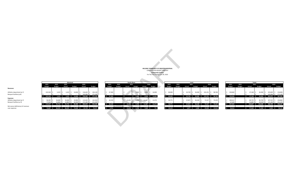**HELLENIC COMMUNITY OF GREATER MONTREAL** CONSOLIDATED BUDGET FORECAST **Community Centres** For The Year Ending June 30, 2023

|                                     |               |               |                     | Montreal                      |               |                                                  |                  |               |        | South Shore   |               |                                      |               |               |           |                                       |              |               |               |         |               | Totals        |                           |               |                                         |
|-------------------------------------|---------------|---------------|---------------------|-------------------------------|---------------|--------------------------------------------------|------------------|---------------|--------|---------------|---------------|--------------------------------------|---------------|---------------|-----------|---------------------------------------|--------------|---------------|---------------|---------|---------------|---------------|---------------------------|---------------|-----------------------------------------|
|                                     | 2023          | 2022          | 2021                |                               | 2020          |                                                  | 2023             | 2022          |        | 2021          |               | 2020                                 | 2023          | 2022          |           | 2021                                  |              | 2020          | 2023          |         | 2022          |               | 2021                      |               | 2020                                    |
|                                     | <b>Budget</b> | <b>Budget</b> | <b>Actual</b>       | <b>Budget</b>                 | <b>Actual</b> | <b>Budget</b>                                    | <b>Budget</b>    | <b>Budget</b> | Actual | <b>Budget</b> | <b>Actual</b> | <b>Budget</b>                        | <b>Budget</b> | <b>Budget</b> | Actual    | <b>Budget</b>                         | Actual       | <b>Budget</b> | <b>Budget</b> |         | <b>Budget</b> | <b>Actual</b> | <b>Budget</b>             | <b>Actual</b> | <b>Budget</b>                           |
| Revenues                            |               |               |                     |                               |               |                                                  |                  |               |        |               |               |                                      |               |               |           |                                       |              |               |               |         |               |               |                           |               |                                         |
|                                     |               |               |                     |                               |               |                                                  |                  |               |        |               |               |                                      |               |               |           |                                       |              |               |               |         |               |               |                           |               |                                         |
| Athletics department (p.7)          | 103,540 \$    | $3.419$ S     | $3,419$ \$          | 10,000 \$                     | 116,620 \$    | 104,128                                          | 47,300           |               |        | $5,000$ \$    |               | 4,958 \$ 14,000                      | 80,000        |               | 43,749 \$ | 50,000 \$                             | $102,251$ \$ | 98,768        |               | 230,840 |               | $47,168$ \$   | 65,000 \$                 |               | 223,829 \$ 216,896                      |
| Banquet facilities (p.8)            |               |               |                     |                               | 142,046 \$    | 171.100                                          |                  |               |        |               |               |                                      |               |               |           |                                       |              |               |               |         |               |               |                           |               | 142,046 \$ 171,100                      |
|                                     | $$103,540$ \$ |               |                     |                               |               | 3,419 \$ 3,419 \$ 10,000 \$ 258,666 \$ 275,228   | \$ 47,300        |               |        |               |               | $$5,000$$ $$4,958$$ $$14,000$        | \$80,000      |               |           | 43,749 \$ 50,000 \$ 102,251 \$ 98,768 |              |               |               | 230,840 |               |               |                           |               | 47,168 \$ 65,000 \$ 365,875 \$ 387,996  |
| <b>Expenses</b>                     |               |               |                     |                               |               |                                                  |                  |               |        |               |               |                                      |               |               |           |                                       |              |               |               |         |               |               |                           |               |                                         |
| Athletics department (p.7)          | 96,283        |               | 36,828 \$ 36,828 \$ | 29,900 \$                     | $113,242$ \$  | 142.354                                          | 42.559           |               |        |               |               | 11,967 \$ 13,270                     | 50,771        |               | 37,872 \$ | 46.100 \$                             | $72,317$ \$  | 79.259        |               | 189,612 |               | 89,753 \$     | 85,700 \$                 |               | 197,525 \$ 234,882                      |
| Banquet facilities (p. 8)           | 77.944 S      |               |                     | 54,883 \$ 54,883 \$ 50,500 \$ | $171,183$ \$  | 211.245                                          |                  |               |        |               |               |                                      |               |               |           |                                       |              |               |               | 67.640  |               | 54.883 S      | 50,500 \$                 |               | 171,183 \$ 211,245                      |
|                                     | $$174,227$ \$ |               |                     |                               |               | 91,712 \$ 91,712 \$ 80,400 \$ 284,425 \$ 353,599 | \$ 42,559        |               |        |               |               | 15,052 \$ 9,700 \$ 11,967 \$ 13,270  | \$50,771      |               |           | 37,872 \$ 46,100 \$ 72,317 \$ 79,259  |              |               | \$257,252     |         |               |               |                           |               | \$144,637 \$136,200 \$368,709 \$446,127 |
| Net excess (deficiency) of revenues |               |               |                     |                               |               |                                                  |                  |               |        |               |               |                                      |               |               |           |                                       |              |               |               |         |               |               |                           |               |                                         |
| auar aunances.                      |               |               |                     |                               |               | 20 COT C OR ON A DOARD C OCORD C OCORD C TO 271  | $A \overline{B}$ |               |        |               |               | $10053 \div 4700 \div 7000 \div 721$ | 6.30320       |               |           | <b>EQ77 6 2000 6 20024 6 10510</b>    |              |               |               | 26.412  |               |               | $07.400 \div 71.300 \div$ |               | $2024 \div 50121$                       |

|               |               |                      |                             |                     |        |                     | HELLENIC COMMUNITY OF GREATER MONTREAL<br>CONSOLIDATED BUDGET FORECAST<br><b>Community Centres</b><br>For The Year Ending June 30, 2023 |          |               |               |    |
|---------------|---------------|----------------------|-----------------------------|---------------------|--------|---------------------|-----------------------------------------------------------------------------------------------------------------------------------------|----------|---------------|---------------|----|
| 2023          | 2022          |                      | <b>South Shore</b><br>2021  |                     |        | 2020                |                                                                                                                                         |          | 2023          | 2022          |    |
| <b>Budget</b> | <b>Budget</b> | Actual               | <b>Budget</b>               |                     | Actual |                     | <b>Budget</b>                                                                                                                           |          | <b>Budget</b> | <b>Budget</b> |    |
| \$<br>47,300  |               | \$                   | \$<br>5,000                 | $\ddot{\mathsf{s}}$ | 4,958  | $\ddot{\mathsf{s}}$ | 14,000                                                                                                                                  |          | 80,000        |               | \$ |
| \$            |               | Ś<br>ä,              | Ś                           | Ś                   |        | Ś                   |                                                                                                                                         | \$<br>\$ |               |               | \$ |
| \$<br>47,300  |               | \$<br>۵              | \$<br>5,000                 | \$                  | 4,958  | \$                  | 14,000                                                                                                                                  | \$       | 80,000        |               | \$ |
| \$<br>42,559  |               | \$<br>15,052         | $\ddot{\varsigma}$<br>9,700 | $\zeta$             | 11,967 | \$                  | 13,270                                                                                                                                  | \$       | 50,771        |               | \$ |
| \$            |               | \$                   | $\mathsf{\hat{S}}$          | \$                  |        | \$                  |                                                                                                                                         | \$       |               |               | \$ |
| \$<br>42,559  |               | \$<br>15,052         | \$<br>9,700                 | \$                  | 11,967 | \$                  | 13,270                                                                                                                                  | $\sf S$  | 50,771        |               | \$ |
| 4,741<br>Ŝ    |               | $15,052 - 5$<br>$-5$ | 4,700 -\$                   |                     | 7,009  | $\sf s$             | 731                                                                                                                                     | \$       | 29,229        |               | \$ |
|               |               |                      |                             |                     |        |                     |                                                                                                                                         |          |               |               |    |

|               |                     |                                          | Montreal      |              |                                                                    |               |               | South Shore   |               |                      |                                       |               |               |           | Laval               |                                    |                   |               |               | <b>Totals</b> |                                        |                            |                    |
|---------------|---------------------|------------------------------------------|---------------|--------------|--------------------------------------------------------------------|---------------|---------------|---------------|---------------|----------------------|---------------------------------------|---------------|---------------|-----------|---------------------|------------------------------------|-------------------|---------------|---------------|---------------|----------------------------------------|----------------------------|--------------------|
| 2023          | 2022                | 2021                                     |               | 2020         |                                                                    | 2023          | 2022          | 2021          |               |                      | 2020                                  | 2023          | 2022          |           | 2021                |                                    | 2020              | 2023          | 2022          | 2021          |                                        |                            | 2020               |
| <b>Budget</b> | <b>Budget</b>       | Actual                                   | <b>Budget</b> | Actual       | <b>Budget</b>                                                      | <b>Budget</b> | <b>Budget</b> | <b>Actual</b> | <b>Budget</b> | Actual               | <b>Budget</b>                         | <b>Budget</b> | <b>Budget</b> | Actual    | <b>Budget</b>       | Actual                             | <b>Budget</b>     | <b>Budget</b> | <b>Budget</b> | Actual        | <b>Budget</b>                          | Actual                     | <b>Budget</b>      |
|               |                     |                                          |               |              |                                                                    |               |               |               |               |                      |                                       |               |               |           |                     |                                    |                   |               |               |               |                                        |                            |                    |
|               |                     |                                          |               |              |                                                                    |               |               |               |               |                      |                                       |               |               |           |                     |                                    |                   |               |               |               |                                        |                            |                    |
| 103,540 \$    |                     | $3,419$ \$<br>$3,419$ \$                 | 10,000 \$     | 116,620 \$   | 104,128                                                            | \$47,300      |               |               | $5,000$ \$    | 4,958                | 14,000                                | 80,000        |               | 43,749 \$ | 50,000              | $102,251$ \$                       | 98,768            | 230,840       |               | $47,168$ \$   | 65,000 \$                              |                            | 223,829 \$ 216,8   |
|               |                     |                                          |               | 142,046 \$   | 171.100                                                            |               |               |               |               |                      |                                       |               |               |           |                     |                                    |                   |               |               |               |                                        |                            | 142,046 \$ 171,1   |
|               | 103,540 \$ 3,419 \$ |                                          |               |              | 3,419 \$ 10,000 \$ 258,666 \$ 275,228                              | \$47,300      |               |               | \$5,000\$     |                      | 4,958 \$ 14,000                       | 80,000        |               |           | 43,749 \$ 50,000 \$ |                                    | 102,251 \$ 98,768 | \$230,840     |               | 47,168 \$     |                                        | 65,000 \$ 365,875 \$ 387,9 |                    |
|               |                     |                                          |               |              |                                                                    |               |               |               |               |                      |                                       |               |               |           |                     |                                    |                   |               |               |               |                                        |                            |                    |
| $96,283$ \$   | 36,828              | 36,828                                   | 29,900 \$     | $113,242$ \$ | 142.354                                                            | 42,559        |               | $15,052$ \$   |               | $9,700$ \$ 11,967 \$ | 13,270                                | 50,771        |               | 37,872 \$ | $46,100$ \$         | $72,317$ \$                        | 79,259            | 189,612       |               | 89,753        | 85,700 \$                              |                            | 197,525 \$ 234,8   |
| 77,944 \$     |                     | 54,883 \$ 54,883 \$ 50,500 \$ 171,183 \$ |               |              | 211.245                                                            |               |               |               |               |                      |                                       |               |               |           |                     |                                    |                   | 67,640        |               | $54,883$ \$   | 50,500 \$                              |                            | $171,183$ \$ 211,2 |
|               |                     |                                          |               |              | 174,227 \$ 91,712 \$ 91,712 \$ 80,400 \$ 284,425 \$ 353,599        | 42,559        |               |               |               |                      | 15,052 \$ 9,700 \$ 11,967 \$ 13,270   | 50,771        |               |           | 37,872 \$ 46,100 \$ |                                    | 72,317 \$ 79,259  | \$257,252     |               |               | 144,637 \$ 136,200 \$ 368,709 \$ 446,1 |                            |                    |
|               |                     |                                          |               |              |                                                                    |               |               |               |               |                      |                                       |               |               |           |                     |                                    |                   |               |               |               |                                        |                            |                    |
|               |                     |                                          |               |              | 70.687 - \$ 88.293 - \$ 88.293 - \$ 70.400 - \$ 25.759 - \$ 78.371 | 4.741         |               |               |               |                      | -\$ 15.052 -\$ 4.700 -\$ 7.009 \$ 731 | $5$ 29.229    |               |           |                     | 5.877 \$ 3.900 \$ 29.934 \$ 19.510 |                   | $-5$ 26.412   |               |               | 97.469 - \$71.200 - \$2.834 - \$58.1   |                            |                    |

|                                     |               |                                                                         |                     | Montreal      |                                                |               |               |               |               | <b>South Shore</b>             |                                                   |                 |               |               |               | Laval         |               |                                         |               |               | <b>Totals</b>                               |               |                              |                                        |
|-------------------------------------|---------------|-------------------------------------------------------------------------|---------------------|---------------|------------------------------------------------|---------------|---------------|---------------|---------------|--------------------------------|---------------------------------------------------|-----------------|---------------|---------------|---------------|---------------|---------------|-----------------------------------------|---------------|---------------|---------------------------------------------|---------------|------------------------------|----------------------------------------|
|                                     | 2023          | 2022                                                                    | 2021                |               | 2020                                           |               | 2023          | 2022          |               | 2021                           | 2020                                              |                 | 2023          | 2022          | 2021          |               |               | 2020                                    | 2023          | 2022          | 2021                                        |               |                              | 2020                                   |
|                                     | <b>Budget</b> | <b>Budget</b>                                                           | Actual              | <b>Budget</b> | Actual                                         | <b>Budget</b> | <b>Budget</b> | <b>Budget</b> | <b>Actual</b> | <b>Budget</b>                  | Actual                                            | <b>Budget</b>   | <b>Budget</b> | <b>Budget</b> | <b>Actual</b> | <b>Budget</b> | <b>Actual</b> | <b>Budget</b>                           | <b>Budget</b> | <b>Budget</b> | Actual                                      | <b>Budget</b> | <b>Actual</b>                | <b>Budget</b>                          |
| Revenues                            |               |                                                                         |                     |               |                                                |               |               |               |               |                                |                                                   |                 |               |               |               |               |               |                                         |               |               |                                             |               |                              |                                        |
| Athletics department (p.7)          | 103,540 \$    | $3,419$ \$                                                              | $3,419$ \$          | $10,000$ \$   | 116,620 \$                                     | 104,128       | 47,300        |               |               | $5,000$ \$<br>$\sim$ 15 $\sim$ |                                                   | 4,958 \$ 14,000 | 80,000        |               | 43,749 \$     | 50,000 \$     | 102,251 \$    | 98,768                                  | 230,840       |               | $47,168$ \$                                 | 65,000 \$     | 223,829 \$                   | 216,896                                |
| Banquet facilities (p.8)            |               |                                                                         |                     |               | 142,046 \$                                     | 171.100       |               |               |               |                                |                                                   |                 |               |               |               |               |               |                                         |               |               |                                             |               |                              | 142,046 \$ 171,100                     |
|                                     | $$103,540$ \$ |                                                                         |                     |               | 3,419 \$ 3,419 \$ 10,000 \$ 258,666 \$ 275,228 |               | \$ 47,300     |               |               | \$5,000\$                      |                                                   | 4,958 \$ 14,000 | \$80,000      |               |               |               |               | \$43,749 \$50,000 \$102,251 \$98,768    | \$230,840     |               | 47,168 \$                                   |               | 65,000 \$ 365,875 \$ 387,996 |                                        |
| <b>Expenses</b>                     |               |                                                                         |                     |               |                                                |               |               |               |               |                                |                                                   |                 |               |               |               |               |               |                                         |               |               |                                             |               |                              |                                        |
| Athletics department (p.7)          | 96,283        |                                                                         | 36,828 \$ 36,828 \$ | 29,900 \$     | 113,242 \$                                     | 142,354       | 42,559        |               |               |                                | $\frac{1}{2}$ 15,052 \$ 9,700 \$ 11,967 \$ 13,270 |                 | 50,771        |               | 37,872 \$     | $46,100$ \$   |               | 72,317 \$ 79,259                        | 189,612       |               | 89,753 \$                                   | 85,700 \$     | 197,525 \$                   | 234,882                                |
| Banquet facilities (p. 8)           | 77,944 \$     |                                                                         |                     |               | 54,883 \$ 54,883 \$ 50,500 \$ 171,183 \$       | 211.245       |               |               |               |                                |                                                   |                 |               |               |               |               |               |                                         | 67,640        |               | 54.883 S                                    |               |                              | 50,500 \$ 171,183 \$ 211,245           |
|                                     |               | \$ 174,227 \$ 91,712 \$ 91,712 \$ 80,400 \$ 284,425 \$ 353,599          |                     |               |                                                |               | \$42,559      |               |               |                                | \$ 15,052 \$ 9,700 \$ 11,967 \$ 13,270            |                 | \$50,771      |               |               |               |               | \$ 37,872 \$ 46,100 \$ 72,317 \$ 79,259 | \$257,252     |               | \$ 144,637 \$ 136,200 \$ 368,709 \$ 446,127 |               |                              |                                        |
| Net excess (deficiency) of revenues |               |                                                                         |                     |               |                                                |               |               |               |               |                                |                                                   |                 |               |               |               |               |               |                                         |               |               |                                             |               |                              |                                        |
| over expenses                       |               | $-5$ 70,687 $-5$ 88,293 $-5$ 88,293 $-5$ 70,400 $-5$ 25,759 $-5$ 78,371 |                     |               |                                                |               | 4,741         |               |               |                                | $-5$ 15,052 $-5$ 4,700 $-5$ 7,009 \$ 731          |                 | \$29,229      |               |               |               |               | 5,877 \$ 3,900 \$ 29,934 \$ 19,510      | $-5$ 26,412   |               |                                             |               |                              | 97,469 -\$ 71,200 -\$ 2,834 -\$ 58,131 |

#### **Revenues**

**Expenses**<br>Athletics department (p.7)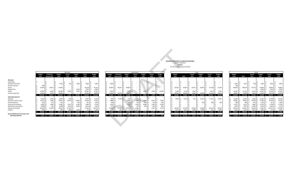| HELLENIC COMMUNITY OF GREATER MONTREAL |
|----------------------------------------|
|                                        |
|                                        |
|                                        |
|                                        |

| Montreal |     |                      |            |             |               |  |               |                     |     |               | South Shore  |               |            |               |  |               |           | Laval     |               |     |            |               |  |               |              | Totals       |  |
|----------|-----|----------------------|------------|-------------|---------------|--|---------------|---------------------|-----|---------------|--------------|---------------|------------|---------------|--|---------------|-----------|-----------|---------------|-----|------------|---------------|--|---------------|--------------|--------------|--|
| Actual   |     | <b>Budget</b>        | Actual     |             | <b>Budget</b> |  | <b>Budget</b> | <b>Estimated</b>    |     | <b>Budget</b> | Actual       | <b>Budget</b> | Actual     | <b>Budget</b> |  | <b>Budget</b> |           | Actual    | <b>Budget</b> |     | Actual     | <b>Budget</b> |  | <b>Budget</b> |              | Actual       |  |
| 2021     |     | 2021                 | 2020       |             | 2020          |  | 2023          | <b>Actuals 2021</b> |     | 2022          | 2021         | 2021          | 2020       | 2020          |  | 2023          | 2022      | 2021      | 2021          |     | 2020       | 2020          |  | 2023          | 2022         | 2021         |  |
|          |     |                      |            |             |               |  |               |                     |     |               |              |               |            |               |  |               |           |           |               |     |            |               |  |               |              |              |  |
|          |     |                      |            |             |               |  |               |                     |     |               |              |               |            |               |  |               |           |           |               |     |            |               |  |               |              |              |  |
|          |     |                      |            |             |               |  |               |                     |     |               |              |               |            |               |  |               |           |           |               |     |            |               |  |               |              |              |  |
| 736      |     | 1,000                | 3,260      |             | 4.000         |  | 3,300         |                     |     |               |              |               |            |               |  |               |           |           |               |     |            |               |  | 3,300         | 4,103        | 736          |  |
|          |     |                      |            |             |               |  |               |                     |     |               |              |               |            |               |  |               |           |           |               |     |            |               |  | 500           |              |              |  |
|          |     |                      | 39,128     |             | 39,128        |  | 28,000        | 44.375              |     | 28,000        |              |               |            |               |  | 38,500        | 38,500    | 36,155    | 28,000        |     | 55,768     | 55,768        |  | 108,500       | 108,500      | 36,155       |  |
|          |     | 4,000                | 7,525      |             | 4,000         |  |               |                     |     |               |              |               |            |               |  |               |           |           |               |     |            |               |  |               |              |              |  |
| 2,683    |     | 5,000                | 34,381     |             | 31,000        |  | 5.000         |                     |     | 5.000         |              | 5.000         | 4,958      | 14,000        |  | 1.500         | 3.133     | 1.630     |               |     | 2.014      | 7.000         |  | 30,500        | 32,133       | 4.313        |  |
|          |     |                      | 32,326     |             | 26,000        |  | 11.000        | 33.375              |     | 10,000        |              |               |            |               |  | 40,000 \$     | 33,000    | 5.964     | 22,000        |     | 44,469     | 36,000        |  | 88,040        | 73,000 \$    | 5,964        |  |
| 3.419    | - 5 | 10,000 \$            | 116,620    |             | 104,128       |  | 47,300        | 77,750 \$           |     | 43,000        |              | 5,000         | 4,958 \$   | 14.000        |  | 80,000        | 74,633    | 43,749 \$ | 50,000        |     | 102,251 \$ | 98,768        |  | 230,840 \$    | 217,736 \$   | 47,168       |  |
|          |     |                      |            |             |               |  |               |                     |     |               |              |               |            |               |  |               |           |           |               |     |            |               |  |               |              |              |  |
| 500      |     |                      | 9,474      |             | 8,200         |  | 300           | 4.743               | ı s | 176           | 527          |               |            |               |  | 9,000         | 8,140     | 625       | 12,000        |     | 11,575     | 12,000        |  | 15,400        | 14,370 \$    | 1,652        |  |
| 13,226   |     | 14,000               | 13,509     |             | 15,100        |  | 6,889         |                     |     | 6,889         | 7,023        | 7,000         | $6,653$ \$ | 7.000         |  |               |           |           |               |     |            |               |  | 20,801        | 20,801       | 20,249       |  |
|          |     | 700                  |            | 251         | 1,100         |  | 188           |                     |     | 188           | 194          | 200           | 166        | 200           |  |               |           |           |               |     | 200        | 30C           |  | 389           | 389          | 194          |  |
| 5,927    |     | 9.700                | 7,809      |             | 9,700         |  | 1,936         |                     |     | 1,936         | 1,936        | 2,000         | 1,919      | 2.000         |  |               |           |           |               |     |            |               |  | 8,517         | 8,517        | 7,864        |  |
| 4,118    |     | 4.000                | 4,673      |             | 1.200         |  | 175           |                     |     | 175           | 174          | 500           | 407        | 500           |  |               |           |           |               |     |            |               |  | 3.874         | 3.874        | 4.292        |  |
| 12,210   |     |                      | 77,463     |             | 105,554       |  | 33,000        | 32.741              |     | 29,400        | 4.986        |               | 2,822      | 3.570         |  | 40.700        | 40.700    | 36.188    | 31,800        |     | 60,232     | 64,959        |  | 138,700       | 148,141      | 53,383       |  |
| 848      |     | 1,500                |            | 63          | 1,500         |  |               | 238                 |     |               | 212          |               |            |               |  | 1.071         | 1.071     | 1,060     | 2,000         |     | 311        | 2,000         |  | 1,931         | 1,931        | 2,120        |  |
|          |     |                      |            |             |               |  |               |                     |     |               |              |               |            |               |  |               |           |           |               |     |            | -5            |  |               |              |              |  |
| 36,828   | - S | 29,900 \$            | 113,242 \$ |             | 142,354       |  | 42,559 \$     | 37.722 S            |     | 38,834 \$     | 15,052 \$    | 9,700 \$      | 11,967 \$  | 13.270        |  | 50,771 \$     | 49,911 \$ | 37,872 \$ | 46,100        | -S. | 72,317 \$  | 79,259        |  | 189,612 \$    | 198,023 \$   | 89,753 \$    |  |
|          |     |                      |            |             |               |  |               |                     |     |               |              |               |            |               |  |               |           |           |               |     |            |               |  |               |              |              |  |
|          |     | 33,409 -\$ 19,900 \$ |            | $3,379 - 5$ | 38,226        |  | 4,741 \$      | 40,028 \$           |     | $4,166 - $$   | $15,052 - $$ | 4,700 -\$     | 7,009 \$   | 731           |  | $$29,229$ \$  | 24,722 \$ | 5,877 \$  | 3,900 \$      |     | 29,934 \$  | 19,510        |  | 41,228 \$     | $19,713 - $$ | $42,585 - 5$ |  |

|    |               |    |         |     |        | Totals |               |    |         |    |               |
|----|---------------|----|---------|-----|--------|--------|---------------|----|---------|----|---------------|
|    | <b>Budget</b> |    |         |     | Actual |        | <b>Budget</b> |    | Actual  |    | <b>Budget</b> |
|    | 2023          |    | 2022    |     | 2021   |        | 2021          |    | 2020    |    | 2020          |
|    |               |    |         |     |        |        |               |    |         |    |               |
|    |               |    |         |     |        |        |               |    |         |    |               |
| \$ |               | \$ |         | \$  |        | \$     |               | \$ |         | \$ |               |
| \$ | 3,300         | \$ | 4,103   | \$  | 736    | Ś      | 1,000         | \$ | 3,260   | \$ | 4,000         |
| \$ | 500           | \$ |         | \$  |        | Ś      |               | \$ |         | \$ |               |
| \$ | 108,500       | \$ | 108,500 | \$  | 36,155 | Ś      | 28,000        | \$ | 94,896  | Ś  | 94,896        |
| \$ |               | \$ |         | \$  |        | Ś      | 4,000         | \$ | 7,525   | \$ | 4,000         |
| \$ | 30,500        | \$ | 32,133  | Ś   | 4,313  | Ś      | 10,000        | \$ | 41,353  | Ś  | 52,000        |
| \$ | 88,040        | \$ | 73,000  | \$  | 5,964  | \$     | 22,000        | \$ | 76,795  | \$ | 62,000        |
| \$ | 230,840       | \$ | 217,736 | \$  | 47,168 | \$     | 65,000        | \$ | 223,829 | \$ | 216,896       |
|    |               |    |         |     |        |        |               |    |         |    |               |
|    |               |    |         |     |        |        |               |    |         |    |               |
| \$ | 15,400        | \$ | 14,370  | \$  | 1,652  | Ś      | 12,000        | \$ | 21,048  | \$ | 20,200        |
| \$ | 20,801        | \$ | 20,801  | \$  | 20,249 | Ś      | 21,000        | \$ | 20,162  | \$ | 22,100        |
| \$ | 389           | \$ | 389     | \$  | 194    | Ś      | 1,200         | \$ | 617     | \$ | 1,600         |
| \$ | 8,517         | \$ | 8,517   | \$  | 7,864  | Ś      | 11,700        | \$ | 9,728   | \$ | 11,700        |
| \$ | 3,874         | \$ | 3,874   | \$  | 4,292  | Ś      | 4,500         | \$ | 5,081   | \$ | 1,700         |
| Ś  | 138,700       | \$ | 148,141 | Ś   | 53,383 | Ś      | 31,800        | \$ | 140,517 | Ś  | 174,082       |
| \$ | 1,931         | \$ | 1,931   | \$  | 2,120  | Ś      | 3,500         | \$ | 373     | \$ | 3,500         |
| \$ | 189,612       | Ś  | 198,023 | \$  | 89,753 | \$     | 85,700        | Ś  | 197,525 | \$ | 234,882       |
| \$ |               | \$ |         | -\$ |        |        |               | \$ |         |    |               |

|                                                            |      |                      |                     |                      | Montreal          |                                |                                                                       |                  |                                   |                     |                                                                          | South Shore |                                 |            |        |               |           |                                                              | Laval         |                          |                  |                                                                 |                    | Totals |                                                   |             |               |
|------------------------------------------------------------|------|----------------------|---------------------|----------------------|-------------------|--------------------------------|-----------------------------------------------------------------------|------------------|-----------------------------------|---------------------|--------------------------------------------------------------------------|-------------|---------------------------------|------------|--------|---------------|-----------|--------------------------------------------------------------|---------------|--------------------------|------------------|-----------------------------------------------------------------|--------------------|--------|---------------------------------------------------|-------------|---------------|
|                                                            |      |                      |                     |                      | Actual            | Budget                         | Actual                                                                | <b>Budget</b>    | Budget                            | Estimated           | <b>Budget</b>                                                            | Actual      | <b>Budget</b>                   | Actual     |        | <b>Budget</b> |           | Actual                                                       | <b>Budget</b> | Actual                   | <b>Budge</b>     | <b>Budget</b>                                                   |                    | Actual | <b>Budget</b>                                     | Actual      | <b>Budget</b> |
|                                                            | 2023 |                      | <b>Actuals 2021</b> | 2022                 | 2021              | 2021                           | 2020                                                                  | 2020             | 2023                              | <b>Actuals 2021</b> | 2022                                                                     | 2021        | 2021                            | 2020       | 2020   | 2023          | 2022      | 2021                                                         | 2021          | 2020                     | 2020             | 2023                                                            | 2022               | 2021   | 2021                                              | 2020        | 2020          |
|                                                            |      |                      |                     |                      |                   |                                |                                                                       |                  |                                   |                     |                                                                          |             |                                 |            |        |               |           |                                                              |               |                          |                  |                                                                 |                    |        |                                                   |             |               |
| Revenues                                                   |      |                      |                     |                      |                   |                                |                                                                       |                  |                                   |                     |                                                                          |             |                                 |            |        |               |           |                                                              |               |                          |                  |                                                                 |                    |        |                                                   |             |               |
| Advertising                                                |      | $\sim$ $\sim$ $\sim$ |                     |                      | $\sim$            |                                |                                                                       |                  |                                   |                     |                                                                          |             |                                 |            |        |               |           |                                                              |               |                          |                  | $-15$                                                           |                    | $\sim$ |                                                   |             |               |
| Activities and events                                      |      |                      |                     | 4,103                | 736   9           | 1,000                          | 3,260                                                                 | 4.000            | 3.300                             |                     |                                                                          |             |                                 |            |        |               |           |                                                              |               | $\sim$                   |                  | $3,300$ \$                                                      |                    | 736    | 1,000                                             | 3,260       | 4,000         |
| General revenues                                           |      | 500                  |                     |                      |                   |                                |                                                                       |                  |                                   |                     |                                                                          |             |                                 |            |        |               |           |                                                              |               | $\sim$ $-$               |                  | 500 5                                                           |                    |        |                                                   |             |               |
| Grants                                                     |      | 42,000               | 33,051              | 42,000               |                   |                                | 39,128                                                                | 39.128           | $28,000$ \$                       | 44,37               | 28,000                                                                   |             |                                 |            |        | 38,500        | 38,500    | $36,155$ \$                                                  | 28,000        |                          | 55,768 \$ 55,768 | 108,500 \$                                                      | 108,500            | 36,155 | 28,000                                            | 94,896      | 94,896        |
| Program fees                                               |      |                      |                     |                      | $\sim$            | 4.000                          | 7,525                                                                 | 4,000            |                                   |                     |                                                                          |             |                                 |            |        |               |           |                                                              |               |                          |                  |                                                                 |                    |        | 4.000                                             | 7,525       | 4,000         |
| Rental                                                     |      | 24,000               | 6.480               | 24,000               | $2,683$ $\mid$ \$ | 5.000                          | 34.381                                                                | 31,000           | 5.000                             |                     | 5.000                                                                    |             | 5,000                           | 4.958      | 14,000 | 1.500         |           | 1.630                                                        |               | $2.014$ S                | 7.000            | 30.500 \$                                                       |                    | 4.313  | 10,000                                            | 41.353      | 52.000        |
| Summer camp fees                                           |      | 37.040               | $9.766$ S           | 30,000               |                   |                                | $32,326$ \$                                                           | 26,000           | 11,000 \$                         | 33.375 \$           | 10,000                                                                   |             |                                 |            |        | 40,000 S      |           | 33,000 \$ 5,964 \$ 22,000 \$                                 |               |                          | 44.469 S 36.000  | 88,040 \$                                                       | 73,000 \$ 5.964 \$ |        | 22,000                                            | 76.795 S    | 62,000        |
|                                                            |      | 103,540 \$           |                     | 49,297 \$ 100,103 \$ |                   |                                | 3,419 \$ 10,000 \$ 116,620 \$ 104,128                                 |                  |                                   |                     | $$47,300 \quad $77,750 \quad $43,000 \quad $$                            |             | $-$ \$ 5,000 \$ 4,958 \$ 14,000 |            |        |               |           | \$ 80,000 \$ 74,633 \$ 43,749 \$ 50,000 \$ 102,251 \$ 98,768 |               |                          |                  | \$ 230,840 \$ 217,736 \$ 47,168 \$ 65,000 \$ 223,829 \$ 216,896 |                    |        |                                                   |             |               |
| <b>Operating expenses</b>                                  |      |                      |                     |                      |                   |                                |                                                                       |                  |                                   |                     |                                                                          |             |                                 |            |        |               |           |                                                              |               |                          |                  |                                                                 |                    |        |                                                   |             |               |
|                                                            |      |                      |                     |                      |                   |                                |                                                                       |                  |                                   |                     |                                                                          |             |                                 |            |        |               |           |                                                              |               |                          |                  |                                                                 |                    |        | 12,000                                            |             | 20,200        |
| Activities                                                 |      | 6,100                | $3,936$ \$          | 6,055                | $500 \quad S$     |                                | 9.474                                                                 | 8.200            | $300 \, \text{S}$                 | $4.743$ S           | 176 S                                                                    | 527         |                                 |            |        | $9,000$ \$    | 8.140 S   |                                                              | 625 \$ 12,000 |                          | 11,575 \$ 12,000 | 15,400                                                          | $14,370$ \$        | 1,652  |                                                   | $21,048$ \$ |               |
|                                                            |      | 13,912               | $5,786$ \$          | 13,912 \$            | $13,226$ \$       | 14,000                         | 13,509                                                                | 15,100           | $6,889$ \$                        |                     | $6,889$ \$                                                               | $7.023$ S   | 7,000                           | $6,653$ \$ | 7,000  |               |           |                                                              |               | $\sim$                   |                  | 20,801                                                          | $20,801$ \$        | 20,249 | 21,000                                            | $20,162$ \$ | 22,100        |
| Electricity, water and gas<br>General expenses             |      | 202                  | $152$ $\pm$         | 202                  |                   | 700                            | 251                                                                   | 1,100            | 188 <sup>5</sup>                  |                     | 188                                                                      | 194         |                                 | 166        |        |               |           | $\sim$                                                       | 300           | $200 \quad$ \$           | 300              | 389                                                             | 389 5              | 194    | 1.200                                             | 617         | 1,600         |
| Janitorial and cleaning                                    |      | 6,581                | $1.864$ \ 5         | 6,581                | $5,927$ \$        | 9,700                          | 7,809                                                                 | 9.700            | $1,936$ \$                        |                     | 1,936                                                                    | 1,936       | 2,000                           | 1,919      | 2,000  |               |           |                                                              |               | $\overline{\phantom{a}}$ |                  | 8,517                                                           | $8,517$ $\mid$ \$  | 7.864  | 11,700                                            | 9.728       | 11,700        |
| Maintenance and repairs                                    |      | 3,698                | $159$ $\leq$        | 3.698                | $4,118$ \$        | 4.000                          | 4.673                                                                 | 1.200            | $175$ $\overline{\phantom{1}}$ \$ |                     |                                                                          | 174         |                                 | 407        |        |               |           | $\sim$                                                       |               | $\sim$                   |                  | $3.874$ \$                                                      | $3.874$ S          | 4.292  | 4.500                                             | 5.081       | 1,700         |
| Salaries and benefits                                      |      | 65,000               | 24,309 \$           | 78,041               | 12,210            |                                | 77,463                                                                | 105,554          | 33,000 \$                         | 32,741              | $5$ 29,400 \$                                                            | 4.986       |                                 | 2,822      | 3.570  | 40,700 \$     | 40,700 S  | 36,188 \$                                                    | 31,800        | 60,232 \$                | 64,959           | 138,700 \$                                                      | 148,141 \$         | 53,383 | 31,800                                            | 140,517     | 174,082       |
|                                                            |      | 789                  |                     | 789                  | 848 S             | 1.500 S                        | 63 5                                                                  | 1.500            | 71 S                              | 238 1               | 71 S<br>S.                                                               |             |                                 |            |        | $1.071$ S     | $1.071$ S | $1.060$ S                                                    | 2.000 \$      |                          | 311 \$ 2.000     | $1.931$ $\pm$                                                   | $1.931$ S          | 2.120  |                                                   | $373$ $\pm$ | 3.500         |
| Supplies                                                   |      |                      |                     |                      |                   |                                | 96,283 \$ 36,206 \$ 109,278 \$ 36,828 \$ 29,900 \$ 113,242 \$ 142,354 |                  |                                   |                     | \$ 42,559 \$ 37,722 \$ 38,834 \$ 15,052 \$ 9,700 \$ 11,967 \$ 13,270     |             |                                 |            |        |               |           | $$5, 50,771, $49,911, $37,872, $46,100, $$                   |               |                          | 72,317 \$ 79,259 | \$ 189,612 \$ 198,023 \$ 89,753 \$ 85,700 \$ 197,525 \$ 234,882 |                    |        |                                                   |             |               |
|                                                            |      |                      |                     |                      |                   |                                |                                                                       |                  |                                   |                     | <b>Contract Contract Contract</b>                                        |             |                                 |            |        |               |           |                                                              |               |                          |                  |                                                                 |                    |        |                                                   |             |               |
| Excess (deficiency) of revenues over<br>operating expenses |      |                      | 7,257 \$ 13,091 -\$ |                      |                   | 9,175 -\$ 33,409 -\$ 19,900 \$ |                                                                       | 3,379 -\$ 38,226 |                                   |                     | $\frac{1}{5}$ 4,741 \$ 40,028 \$ 4,166 -\$ 15,052 -\$ 4,700 -\$ 7,009 \$ |             |                                 |            |        |               |           | \$ 29,229 \$ 24,722 \$ 5,877 \$ 3,900 \$ 29,934 \$ 19,510    |               |                          |                  | $$41,228$ \$                                                    |                    |        | 19,713 -\$ 42,585 -\$ 20,700 \$ 26,304 -\$ 17,986 |             |               |

|                                                                                                    |                                                                                  |                                                                         |                                                                                                     |                                                                                                              |                                                                                                                             |                                                                                     |                                                                                                                           |                                        |                                                                                                                                        |                                                                                            |                                                     |                                                             |                                              |                                               | HELLENIC COMMUNITY OF GREATER MONTREAL<br><b>BUDGET FORECAST</b><br><b>Athletics</b><br>For The Year Ending June 30, 2023 |                                                                                       |                                                                                                  |                                                                                  |                                                                 |                                                                                |                                                                                                                |                                                                                                                          |                                                                                                       |                                                                             |                                                       |
|----------------------------------------------------------------------------------------------------|----------------------------------------------------------------------------------|-------------------------------------------------------------------------|-----------------------------------------------------------------------------------------------------|--------------------------------------------------------------------------------------------------------------|-----------------------------------------------------------------------------------------------------------------------------|-------------------------------------------------------------------------------------|---------------------------------------------------------------------------------------------------------------------------|----------------------------------------|----------------------------------------------------------------------------------------------------------------------------------------|--------------------------------------------------------------------------------------------|-----------------------------------------------------|-------------------------------------------------------------|----------------------------------------------|-----------------------------------------------|---------------------------------------------------------------------------------------------------------------------------|---------------------------------------------------------------------------------------|--------------------------------------------------------------------------------------------------|----------------------------------------------------------------------------------|-----------------------------------------------------------------|--------------------------------------------------------------------------------|----------------------------------------------------------------------------------------------------------------|--------------------------------------------------------------------------------------------------------------------------|-------------------------------------------------------------------------------------------------------|-----------------------------------------------------------------------------|-------------------------------------------------------|
|                                                                                                    | Estimated                                                                        | <b>Budget</b>                                                           | Montreal<br>Actual                                                                                  | <b>Budget</b>                                                                                                | Actual                                                                                                                      | <b>Budget</b>                                                                       | Budget                                                                                                                    | Estimated                              | <b>Budget</b>                                                                                                                          | South Shore<br>Actual                                                                      | <b>Budget</b>                                       | Actual                                                      | <b>Budget</b>                                | <b>Budget</b>                                 |                                                                                                                           | Actual                                                                                | Laval<br><b>Budget</b>                                                                           | Actual                                                                           | <b>Budget</b>                                                   | <b>Budget</b>                                                                  |                                                                                                                | Totals<br>Actual                                                                                                         | <b>Budget</b>                                                                                         | Actual                                                                      | <b>Budget</b>                                         |
| 2023                                                                                               | <b>Actuals 2021</b>                                                              | 2022                                                                    | 2021                                                                                                | 2021                                                                                                         | 2020                                                                                                                        | 2020                                                                                | 2023                                                                                                                      | <b>Actuals 2021</b>                    | 2022                                                                                                                                   | 2021                                                                                       | 2021                                                | 2020                                                        | 2020                                         | 2023                                          | 2022                                                                                                                      | 2021                                                                                  | 2021                                                                                             | 2020                                                                             | 2020                                                            | 2023                                                                           | 2022                                                                                                           | 2021                                                                                                                     | 2021                                                                                                  | 2020                                                                        | 2020                                                  |
| 500 <sup>5</sup><br>42,000<br>24,000<br>37,040<br>103,540 \$                                       | $\sim$<br>$\sim$<br>33,051<br>$\sim$<br>6,480<br>9.766<br>49.297 \$              | $\sim$<br>4,103<br>42,000<br>24,000<br>30,000<br>100.103 \$             | $\sim$<br>736<br>$\sim$<br>$\sim$<br>$\sim$<br>2.683<br>$\sim$<br>$3,419$ \$                        | s.<br>$\sim$<br>$1,000$ \$<br>$\sim$<br>4.000<br>$5.000$ S<br>-S.<br>$\sim$<br>10.000 \$                     | IS.<br>$\sim$ $-$<br>3,260<br>$\sim$<br>39,128<br>7,525<br>34,381<br>32.326<br>116.620 S                                    | $\sim$<br>4.000<br>39,128<br>4.000<br>31,000<br>26,000<br>104.128                   | S.<br>$\sim$<br>3,300<br>Ś.<br>$\sim$<br>\$28,000<br>$\overline{\phantom{a}}$<br>\$5,000<br>$5 - 11.000$<br>$5$ 47.300 \$ | 44.375<br>33.375                       | 28,000<br>s.<br>5,000<br>10,000<br>77,750 \$ 43,000 \$                                                                                 |                                                                                            | S.<br>5.000<br>$-5$ 5.000 \$                        | $\mathsf{S}^-$<br>4.958                                     | 14,000<br>4.958 \$ 14.000                    | I S<br>38,500<br>1,500<br>IS.<br>40,000       | 38,500<br>3,133<br>33,000                                                                                                 | $\overline{\phantom{a}}$<br>36,155<br>1,630<br>5.964<br>80,000 \$ 74,633 \$ 43,749 \$ | 28,000<br>$\sim$<br>22.000<br>50.000 S                                                           | $\sim$<br>$\sim$<br>$\sim$<br>55,768<br>$\sim$<br>2,014<br>44.469<br>102,251 \$  | $\overline{\phantom{a}}$<br>55,768<br>7.000<br>36,000<br>98.768 | $\sim$<br>3,300<br>500<br>108,500<br>$\sim$<br>30,500<br>88,040                | -S<br>$\sim$<br>4,103<br>108,500<br>73,000<br>230.840 \$ 217.736 \$ 47.168 \$ 65.000 \$ 223.829                | s.<br>$\sim$<br>736<br>$\sim$<br>\$36,155<br>$\sim$<br>$32,133$ \$ 4,313 \$<br>5.964                                     | -S.<br>$\sim$<br>$1,000$ \$<br>I S.<br>28,000 \$<br>IS.<br>4.000<br>10,000<br>22.000                  | $\sim$<br>3,260<br>$\sim$<br>94,896<br>7,525<br>41,353<br>76.795            | 4.0<br>94.8<br>52.0<br>62.0<br>216.8                  |
| $6,100$ \$<br>13,912 \$<br>$202 \mid 5$<br>6,581<br>3,698<br>65,000<br>789<br>96.283 \$<br>7.257 S | 3,936<br>5,786<br>152<br>$1,864$ \$<br>159<br>24,309<br>36.206 S<br>$13,091 - $$ | 6,055<br>13,912 \$<br>$202 \quad$ \$<br>6,581<br>3,698<br>78,041<br>789 | 500<br>13,226<br>$\sim$<br>5,927<br>IS.<br>4,118<br>12,210<br>IS.<br>848<br>$9,175 - 5$ 33,409 - \$ | $\sim$<br>14,000 \$<br>S.<br>700 S<br>$9,700$ \$<br>IS.<br>$4,000$ \$<br>$\sim$ $-$<br>$1.500$ S<br>19,900 S | 9,474<br>13,509<br>251<br>7,809<br>4,673<br>77,463<br>IS.<br>63<br>109,278 \$ 36,828 \$ 29,900 \$ 113,242 \$<br>$3.379 - S$ | 8,200<br>15,100<br>1,100<br>9,700<br>1,200<br>105,554<br>1.500<br>142.354<br>38.226 | 300<br>s.<br>Ś.<br>6,889<br>Š.<br>188<br>1,936<br>s.<br>s.<br>175<br>\$33,000<br>71<br>42.559 S                           | 4.743<br>238<br>$5$ 4.741 \$ 40.028 \$ | $\sim$<br>176<br>6,889<br>$\sim$<br>188<br>1,936<br>175<br>32,741 \$ 29,400<br>37,722 \$ 38,834 \$ 15,052 \$ 9,700 \$ 11,967 \$ 13,270 | 527<br>7,023<br>194<br>$1,936$ \$<br>174<br>4,986<br>212<br>4,166 -\$ 15,052 -\$ 4,700 -\$ | $5$ 7,000 \$<br>200<br>2,000<br>500<br>S.<br>$\sim$ | $6,653$ \$<br>166<br>$1,919$ \$<br>407<br>2,822<br>7,009 \$ | 7,000<br>200<br>2,000<br>500<br>3,570<br>731 | 9,000<br>I S<br>l s<br>l <<br>40,700<br>1.071 | 8.140<br>40.700<br>1.071<br>\$ 29.229 \$ 24.722 \$                                                                        | 625<br>$\sim$<br>36,188<br>1.060<br>5.877 S                                           | 12,000<br>300<br>$\sim$<br>31,800<br>2.000<br>50.771 \$ 49.911 \$ 37.872 \$ 46.100 \$<br>3.900 S | 11,575<br>$\sim$<br>200<br>$\sim$<br>$\sim$<br>60,232<br>IS.<br>311<br>29,934 \$ | 12,000<br>300<br>64.959<br>2.000<br>72.317 \$ 79.259<br>19.510  | 15,400<br>20,801<br>389<br>8,517<br>3,874<br>138,700<br>1.931<br>$5$ 41.228 \$ | 14,370 \$<br>389<br>8,517<br>3.874<br>148,141<br>1.931<br>189,612 \$ 198,023 \$ 89,753 \$ 85,700 \$ 197,525 \$ | 20,801 \$ 20,249 \$<br>194<br>S.<br>7,864 \$<br>-S.<br>4,292<br>53,383<br>S.<br>2.120<br>19,713 -\$ 42,585 -\$ 20,700 \$ | $1,652$ \$ 12,000 \$<br>21,000 \$<br>$1,200$ \$<br>IS.<br>11,700 \$<br>4,500<br>$$31,800$ \$<br>3.500 | 21,048<br>20,162<br>617<br>9,728<br>5,081<br>140,517<br>373<br>$26.304 - S$ | 20,2<br>22,1<br>11.7<br>174,0<br>3.5<br>234.8<br>17.9 |
|                                                                                                    |                                                                                  |                                                                         |                                                                                                     |                                                                                                              |                                                                                                                             |                                                                                     |                                                                                                                           |                                        |                                                                                                                                        |                                                                                            |                                                     |                                                             |                                              |                                               |                                                                                                                           |                                                                                       |                                                                                                  |                                                                                  |                                                                 |                                                                                |                                                                                                                |                                                                                                                          |                                                                                                       |                                                                             |                                                       |

| 2023    |       |                                          | 2022    | 2021         |    | 2021   | 2020          | 2020          |
|---------|-------|------------------------------------------|---------|--------------|----|--------|---------------|---------------|
|         |       |                                          |         |              |    |        |               |               |
|         |       |                                          |         |              |    |        |               |               |
|         |       | Ś                                        |         | \$           | \$ |        | \$            | \$            |
|         | 3,300 | \$                                       | 4,103   | \$<br>736    | Ś  | 1,000  | \$<br>3,260   | \$<br>4,000   |
|         | 500   | \$                                       |         | \$           | \$ |        | \$            | \$            |
| 108,500 |       | \$                                       | 108,500 | \$<br>36,155 | Ś  | 28,000 | \$<br>94,896  | \$<br>94,896  |
|         |       | \$<br>\$<br>32,133<br>\$<br>73,000<br>\$ |         | \$           | \$ | 4,000  | \$<br>7,525   | \$<br>4,000   |
| 30,500  |       |                                          |         | \$<br>4,313  | Ś  | 10,000 | \$<br>41,353  | \$<br>52,000  |
| 88,040  |       |                                          |         | \$<br>5,964  | Ś  | 22,000 | \$<br>76,795  | \$<br>62,000  |
| 230,840 |       | 217,736                                  |         | \$<br>47,168 | \$ | 65,000 | \$<br>223,829 | \$<br>216,896 |
|         |       |                                          |         |              |    |        |               |               |
| 15,400  |       | \$<br>14,370<br>\$<br>20,801             |         | \$<br>1,652  | Ś  | 12,000 | \$<br>21,048  | \$<br>20,200  |
| 20,801  |       |                                          |         | \$<br>20,249 | Ś  | 21,000 | \$<br>20,162  | \$<br>22,100  |
|         | 389   | \$<br>389                                |         | \$<br>194    | Ś  | 1,200  | \$<br>617     | \$<br>1,600   |
|         | 8,517 | \$<br>8,517                              |         | \$<br>7,864  | Ś  | 11,700 | \$<br>9,728   | \$<br>11,700  |
|         | 3,874 | \$                                       | 3,874   | \$<br>4,292  | \$ | 4,500  | \$<br>5,081   | \$<br>1,700   |
| 138,700 |       | \$                                       | 148,141 | \$<br>53,383 | Ś  | 31,800 | \$<br>140,517 | \$<br>174,082 |
|         | 1,931 | \$<br>1,931                              |         | \$<br>2,120  | Ś  | 3,500  | \$<br>373     | \$<br>3,500   |
| 189,612 |       | \$                                       | 198,023 | \$<br>89,753 | \$ | 85,700 | \$<br>197,525 | \$<br>234,882 |
|         |       |                                          |         |              |    |        |               |               |
|         |       |                                          |         |              |    |        |               |               |

**Operating expenses** 

**Revenues**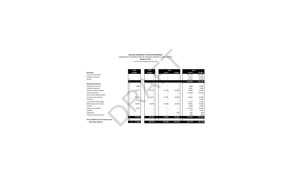#### **HELLENIC COMMUNITY OF GREATER MONTREAL** COMPARATIVE PERFORMA FORECAST ONGOING CONCERN vs SUB CONTRACT **Banquet Centre** For The Year Ending June 30, 2023

|                                      |      |                       | HELLENIC COMMUNITY OF GREATER MONTREAL<br><b>Banquet Centre</b><br>For The Year Ending June 30, 2023 | COMPARATIVE PERFORMA FORECAST ONGOING CONCERN VS SUB CONTRACT |               |                |               |
|--------------------------------------|------|-----------------------|------------------------------------------------------------------------------------------------------|---------------------------------------------------------------|---------------|----------------|---------------|
| <b>Revenues</b>                      |      | 2023<br><b>Budget</b> | 2022<br><b>Budget</b>                                                                                | 2021<br>Actual                                                | <b>Budget</b> | 2020<br>Actual | <b>Budget</b> |
| Activities and events                |      |                       |                                                                                                      |                                                               |               | 107,773        | 106,500       |
| Cafeteria revenues                   |      |                       |                                                                                                      |                                                               | -             | 4,943          | 12,000        |
| Rental                               | \$   |                       |                                                                                                      |                                                               | -             | 29,330         | 52.600        |
|                                      | \$   | $\sim$                | -                                                                                                    |                                                               | l             | 142,046        | 171,100       |
| <b>Operating expenses</b>            | \$   |                       |                                                                                                      |                                                               |               |                |               |
| Activities and events                | Ś    | 4,085                 |                                                                                                      |                                                               |               | 1,808          | 3,600         |
| Cafeteria expenses                   | \$   |                       |                                                                                                      |                                                               |               | 2,865          | 7,800         |
| Electricity, water and gas           | Ś    | 25,573                | 27,427                                                                                               | 27,316                                                        | 25,000        | 27,901         | 31,000        |
| Food and alcohol                     |      |                       |                                                                                                      |                                                               |               | 41.400         | 43,000        |
| General and administrative           |      |                       |                                                                                                      |                                                               |               |                |               |
| Janitorial and cleaning              | \$   | 16,460                | 13,637                                                                                               | 12,281                                                        | 13,000        | 15,192         | 17,500        |
| Insurance                            | \$   |                       |                                                                                                      |                                                               |               | -              | 5,500         |
| Linen rentals and laundry            | \$   |                       |                                                                                                      |                                                               |               | 3.112          | 4.120         |
| Maintenance and repairs              | \$   | 24,839                | 19,873                                                                                               | 15,286                                                        | 12.000        | 23,431         | 19,825        |
| Permits                              | \$   |                       |                                                                                                      |                                                               |               | 1.068          | 1.400         |
| Salaries and benefits                | \$   | 6,987                 |                                                                                                      |                                                               |               | 53,161         | 75,000        |
| Supplies                             | Ś    |                       | -                                                                                                    |                                                               | -             | 253            | 1,200         |
| Telephone                            |      |                       | -                                                                                                    |                                                               | 500           | 684            | 500           |
| Travel and transportation            |      |                       |                                                                                                      |                                                               |               | 309            | 800           |
|                                      | \$   | 77,944                | 60,937                                                                                               | 54,883                                                        | 50,500        | 171,183        | 211,245       |
| Excess (deficiency) of revenues over | \$   |                       |                                                                                                      |                                                               |               |                |               |
| operating expenses                   | $-5$ | 77,944                | (60, 937)                                                                                            | (54, 883)                                                     | (50, 500)     | (29, 137)      | (40, 145)     |
|                                      |      |                       |                                                                                                      |                                                               |               |                |               |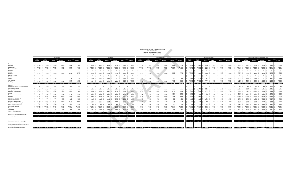|                                                                                                   |                                                                       |                                                                 |                                         |                 |                                 |                       |                |               |                               |                 |                                                                 | <b>BUDGET FORECAST</b><br><b>Churches (Montreal-South Shore)</b><br>For The Year Ending June 30, 2023 | <b>HELLENIC COMMUNITY OF GREATER MONTREAL</b> |               |                                                                |                   |                                                                  |                       |                                                             |                |                    |                 |                                                               |                            |              |                                    |                                                                |                |
|---------------------------------------------------------------------------------------------------|-----------------------------------------------------------------------|-----------------------------------------------------------------|-----------------------------------------|-----------------|---------------------------------|-----------------------|----------------|---------------|-------------------------------|-----------------|-----------------------------------------------------------------|-------------------------------------------------------------------------------------------------------|-----------------------------------------------|---------------|----------------------------------------------------------------|-------------------|------------------------------------------------------------------|-----------------------|-------------------------------------------------------------|----------------|--------------------|-----------------|---------------------------------------------------------------|----------------------------|--------------|------------------------------------|----------------------------------------------------------------|----------------|
|                                                                                                   |                                                                       | ST-GEORGE                                                       |                                         |                 |                                 |                       | KOIMISIS       |               |                               |                 |                                                                 |                                                                                                       | EVANGELISMOS                                  |               |                                                                |                   |                                                                  |                       | ST-IFAN-RAPTISTE                                            |                |                    |                 |                                                               |                            |              | SUB-TOTAL- MONTREAL SOUTH SHORE    |                                                                |                |
|                                                                                                   | 2023<br>2022<br><b>Budget</b><br><b>Budget</b>                        | 2021<br>Actual<br><b>Budget</b>                                 | 2020<br>Actual                          | <b>Budget</b>   | 2023<br><b>Budget</b>           | 2022<br><b>Budget</b> | 2021<br>Actual | <b>Budget</b> | 2020<br>Actual                | <b>Budget</b>   | 2023<br><b>Budget</b>                                           | 2022<br><b>Budget</b>                                                                                 | 2021<br>Actual                                | <b>Budget</b> | 2020<br>Actual                                                 | <b>Budget</b>     | 2023<br><b>Budget</b>                                            | 2022<br><b>Budget</b> | 2021<br>Actual                                              | <b>Budget</b>  | 2020<br>Actual     | <b>Budget</b>   | 2023<br><b>Budget</b>                                         | 2022<br><b>Budget</b>      | Actual       | 2021<br><b>Budget</b>              | 2020<br>Actual                                                 | <b>Budget</b>  |
| <b>Revenues</b>                                                                                   |                                                                       |                                                                 |                                         |                 |                                 |                       |                |               |                               |                 |                                                                 |                                                                                                       |                                               |               |                                                                |                   |                                                                  |                       |                                                             |                |                    |                 |                                                               |                            |              |                                    |                                                                |                |
| Baptisms                                                                                          | 15,418<br>$14,450$ \$                                                 | 12,850                                                          | 10,000<br>9.849                         | 21.000          | 9.244                           | 8.663                 | 4.250          | 2.000         | 5.300                         | 18,000          | 8.536                                                           | 8.000                                                                                                 | 5.050                                         | 8.000         | 6.400                                                          | 13,200            | 6.438                                                            | 5.800                 | $2.900$ S                                                   | $3.000$ S      | 5.800              | 8.400           | 39.635                                                        | 36,913                     | 25,050       | 23,000 \$                          | 27,349                                                         | 60,600         |
| Candle sales                                                                                      | 88,561<br>83,000                                                      | 82,080                                                          | 70,000<br>65,239                        | 96,000          | 116,303                         | 109,000               | 106,955        | 120,000       | 146,691                       | 200,000         | 136,576                                                         | 128,000                                                                                               | 97,068                                        | 80,000        | 153.643                                                        | 167,000           | 40,000                                                           | 30,500                | 36,055                                                      | 15,000         | 25,651             | 28,654          | 381,440                                                       | 350,500                    | 322,158      | 285,000                            | 391,224                                                        | 491,654        |
| Commemorations                                                                                    | 5.548<br>5,200                                                        | 4.250                                                           | 7.000<br>5.750                          | 4.000           | 7,732                           | 7,247                 | 5.090          | 10,000        | 5.550                         | 10.000          | 9.002                                                           | 8.437                                                                                                 | 2,310                                         | 7,000         | 9.850                                                          | 12,000            | 2.442                                                            | 2.200                 | $1.100$ :                                                   | 500 l          | 2.350              | 2.500           | 24,725                                                        | 23.083                     | 12,750       | 24,500                             | 23,500                                                         | 28,500         |
| Donations                                                                                         | $\sim$                                                                |                                                                 |                                         |                 | $\sim$                          |                       | $\sim$         |               |                               | . .             |                                                                 |                                                                                                       |                                               |               |                                                                |                   |                                                                  |                       |                                                             |                |                    |                 |                                                               |                            |              |                                    |                                                                |                |
| Festival                                                                                          |                                                                       |                                                                 |                                         | 2.000           | $\sim$                          |                       | $\sim$         |               |                               | $\sim$          |                                                                 |                                                                                                       |                                               |               | 8.981                                                          | 80,000            | 15,000                                                           |                       |                                                             |                | 5,119              | $\sim$          | 15,000                                                        |                            | $\sim$       |                                    | 14,100                                                         | 82,000         |
| Funerals                                                                                          | 15,578<br>14,600                                                      | 13,000                                                          | 15,000<br>20,475                        | 10,200          | 13,789                          | 12,923                | 20,000         | 10,000        | 6.750                         | 11,100          | 16.892                                                          | 15,832                                                                                                | 12,050                                        | 10,000        | 16,845                                                         | 17.100            | 4,107                                                            | 3.700                 | 3.300                                                       | 3.000          | 4.600              | 3,000           | 50.367                                                        | 47.055                     | 48,350       | 38,000                             | 48,670                                                         | 41,400         |
| Membership fees                                                                                   |                                                                       |                                                                 |                                         |                 | $\sim$                          |                       |                |               |                               |                 |                                                                 |                                                                                                       |                                               |               |                                                                |                   |                                                                  |                       |                                                             |                |                    |                 |                                                               |                            |              |                                    |                                                                |                |
| Rental                                                                                            |                                                                       |                                                                 |                                         |                 | $\sim$                          |                       |                |               |                               |                 |                                                                 |                                                                                                       |                                               |               |                                                                |                   |                                                                  |                       |                                                             |                |                    |                 |                                                               |                            |              |                                    |                                                                |                |
| Sundry                                                                                            | 2,162<br>2,027                                                        | 3.224                                                           | 1.738                                   | 2.300           | 1,209                           | 1,133                 | 2,859          |               | 5.780                         | 5,000           | 898                                                             | 842                                                                                                   | 1,735                                         |               | 510                                                            | 1,000             | 2,803                                                            | 2,525                 | $122$ $\frac{1}{2}$                                         |                | 6,933              | 8,500           | $7,072$ :                                                     | 6,526                      | 7,940        |                                    | 14,961                                                         | 16,800         |
| Tray (general)                                                                                    |                                                                       |                                                                 | 3.915                                   | 27,000          | $\sim$                          |                       |                |               | 6,840                         | 25,000          |                                                                 |                                                                                                       |                                               |               | 15.364                                                         | 40,000            | 14,208                                                           | 12,800                | $6.365$ $\pm$                                               | 4.000 \$       | 14,367             | 18,000          | 14,208 \$                                                     | 12,800                     | 6,365        | 4,000                              | 40.486                                                         | 110,000        |
| Weddings                                                                                          | 14.600<br>13.683                                                      | 5.800                                                           | 13.300<br>17,350                        | 17,000          | 4.944                           | 4.633                 | 4.500          | 4.200         | 3.400                         | 6.000           | 3.539                                                           |                                                                                                       |                                               | 5.600         | 700                                                            | 8,000             | 2.100                                                            |                       |                                                             | 700            | 2.600              | 2.200           | 25.183                                                        | 23.383                     | 12.550       | 23,800                             | 24.050                                                         | 33,200         |
| <b>Expenses</b><br>Advertising, general supplies and texts<br>Dances and activities               | l S<br>141.868 \$ 132.960 \$<br>885                                   | 122,204 S<br>903<br>800 <sub>1</sub>                            | 115,300 S<br>124.316 \$<br>815<br>1.064 | 179,500<br>815  | 153,221 \$<br>١s                | 143,600 S             | 143,654 S      | 146,200 S     | 180.311 S                     | 275.100         |                                                                 | 175.443 S 164.427 S                                                                                   | 119,463 \$                                    | 110,600 \$    | 212.293 \$                                                     | 338,300<br>$\sim$ | 87.098 \$                                                        | 59.275 S<br>1.600     | 49,842 S<br>$1,245$ \$                                      | 26,200 S<br>۱۹ | 67.420 \$<br>3.563 | 71.254          | \$557.630 \$<br>888 9                                         | 500.261 \$<br>800<br>1.600 | 903<br>1,245 | 435.163 S 398.300 S<br>$815$ $\pm$ | 584,340 S<br>1.064<br>3,563                                    | 864,154<br>815 |
| Metropolis Fees                                                                                   | 40,000<br>$36,833$ \$                                                 | 10,833                                                          | 15,000<br>40,000                        | 40,000          | 40,000                          | 36,833                | 10.833         | 15,000        | 40,000                        | 40,000          | 40,000                                                          | 36,833                                                                                                | 10.833                                        | 15,000        | 36.085                                                         | 40,000            | 40,000                                                           | 36.833                | $10,833$ \$                                                 | $15,000$ \$    | 40,000             | 40,150          | 160,000                                                       | 147,332                    | 43,332       | 60,000 \$                          | 156,085                                                        | 160,150        |
| Electricity, water and gas                                                                        | 15,964<br>15,350 \$                                                   | 14,593                                                          | 17,000<br>14.905                        | 17,000          | 19,905                          | 19,139                | 18.403         | 18.000        | 16,626                        | 22,600          | 30.196                                                          | 29,034                                                                                                | 23,605                                        | 35,500        | 34,120                                                         | 35.500            | 7,165                                                            | 6.889                 | 7,023                                                       | 7,200          | 6.653              | 7.200           | 73,229                                                        | 70,413                     | 63,625       | 77,700 \$                          | 72,304                                                         | 82,300         |
| Festival                                                                                          | $\sim$                                                                |                                                                 |                                         |                 | $\sim$                          |                       | $\sim$         |               |                               |                 |                                                                 |                                                                                                       |                                               |               | 9.813                                                          | 50,000            | 2.000                                                            |                       |                                                             |                | $\sim$             | <b>1100</b>     | 2,000                                                         |                            | $\sim$       |                                    | 9,813                                                          | 50,000         |
| General and administrative                                                                        | 1.674<br>1.609                                                        | 1,745                                                           | 1.300<br>3.441                          | 1.300           | 2,266                           | 2,179                 | 2,301          | 3.000         | 1.501                         | 3,000           | 2.949                                                           | 2,657                                                                                                 | 1.745                                         | 2,300         | 1,554                                                          | 5.300             | 2.063                                                            | 1.859                 | 749 IS                                                      | 700            | 4.044              | 3.450           | 8.952                                                         | 8.304                      | 6.541        | $7.300$ S                          | 10,540                                                         | 13,050         |
| Insurance                                                                                         | 54,853<br>49,417                                                      | 44.539                                                          | 39,000<br>18,874                        | 25,000          | 16,845                          | 15,176                | 12,832         | 12,000        | 5.662                         | 8,000           | 39,280 \$                                                       | 35,387                                                                                                | 31,903                                        | 28,000        | 13,599                                                         | 19,000            | 8.842                                                            | 7.966                 |                                                             | 7.000          | 3.220              | <b>College</b>  | 119,820                                                       | 107,946                    | 89,274       | 86,000                             | 41,354                                                         | 52,000         |
| Interest and bank charges                                                                         | 615<br>554                                                            | 381                                                             | 1.000<br>469                            | 1.000           | 98                              | 89                    | 87             | 20,200        | 28,809                        | 200             | 309                                                             | $278$ S                                                                                               | 279                                           | 250           | 284                                                            | 250               | 271                                                              | 244                   | 127                                                         | 500            | 136                | 500             | 1,293                                                         | 1.165                      | 875          | 21,950                             | 29.698                                                         | 1.950          |
| Janitorial and cleaning                                                                           |                                                                       |                                                                 | 1.000<br>1.083                          | 1.000           | 1,439                           | 1.439                 | 1,155          | 2.000         | 1.205                         | 2.000           | 555                                                             | 555 l                                                                                                 | 106                                           | 1,000         | 674                                                            | 1.000             | 3,294                                                            | 3,294                 | 3,294                                                       | 3.400          | 3.264              | 3,400           | 5,288                                                         | 5.288                      | 4,556        | 7,400                              | 6,227                                                          | 7,400          |
| Maintenance and repairs                                                                           | 22,645<br>20.401                                                      | 26,167                                                          | 14,400<br>20,201                        | 14,400          | 5.631                           | 5.073                 | 5.714          | 3.720         | 8.699                         | 3.720           | 994                                                             | 896                                                                                                   | 1.011                                         | 3.500         | 1.360                                                          | 3.500             | 331                                                              |                       |                                                             | 1.600          | 4.337              | 1.600           | 29.601                                                        | 26.668                     | 33.188       | 23,220                             | 29.598                                                         | 23,220         |
| Professional and consulting fees                                                                  | 6.092<br>5.858                                                        | 3.491                                                           | 13.815                                  |                 | 2,651                           | 2.549                 | 2.687          |               | 3.587                         |                 |                                                                 |                                                                                                       |                                               |               | 269                                                            | <b>1999</b>       |                                                                  |                       |                                                             |                |                    | . .             | 8.743                                                         | 8.407                      | 6,178        |                                    | 9,959                                                          |                |
| Office supplies and postage                                                                       | 1,602<br>1.443                                                        | 1.780                                                           | 1.400<br>1,056                          | 1.400           | 497                             | 448                   | 910            | 350           | 572                           | 350             | 712                                                             | 642                                                                                                   | 1.140                                         | 500           | 718                                                            | 100               | 383                                                              |                       | 964                                                         | 100            | 140                | 100             | 3,194                                                         | 2.877                      | 4,794        | $2,350$ \$                         | 2.487                                                          | 1.950          |
| Salaries and benefits                                                                             | 112,511<br>109.767                                                    | 96,742                                                          | 96,500<br>128,070                       | 171,200         | 104,271                         | 101,728               | 28,278         | 42,000        | 107,286                       | 153.800         | 97.508                                                          | 95,130                                                                                                | 29,424                                        | 46,400        | 118,118                                                        | 144,600           | 52,425                                                           | 51,146                | 11,702                                                      | 25,600         | 51,831             | 57,651          | 366,714                                                       | 357,770                    | 166,145      | 210,500                            | 405,304                                                        | 527,251        |
| Supplies                                                                                          | 15.548<br>14.007                                                      | 13,469                                                          | 12,000<br>13,906                        | 29,000          | 28,491                          | 28.491                | 27.395         | 34,000        | 43.846                        | 54.000          | 10.905                                                          | 9.824                                                                                                 | 9.446                                         | 10,000        | 35,764                                                         | 49,000            | 8.877                                                            | 6.195                 | 5.957                                                       | 5.000          | 7.209              | 9,250           | 63.821                                                        | 58.518                     | 56,267       | 61,000                             | 100,725                                                        | 151,250        |
| Telephone                                                                                         | 1.002<br>903                                                          | 1.164                                                           | 1,520<br>1,639                          | 1,520           | 2,652                           | 2.389                 | 2.435          | 2.100         | 1.960                         | 2.100           | 2,652                                                           | 2.389                                                                                                 | 1.785                                         | 1,950         | 2,801                                                          | 1.950             | 416                                                              | 375                   | 387                                                         | 400            | 332                | 400             | 6,722                                                         | 6.056                      | 5,771        | 5,970                              | 6,732                                                          | 5.970          |
| Travel and transportation                                                                         |                                                                       |                                                                 |                                         |                 |                                 |                       |                |               |                               |                 |                                                                 |                                                                                                       |                                               |               |                                                                |                   |                                                                  |                       |                                                             |                |                    |                 |                                                               |                            |              |                                    |                                                                |                |
|                                                                                                   | \$ 273,394 \$ 256,942 \$ 215,807 \$ 200,935 \$ 258,526 \$             |                                                                 |                                         | 303.635         | $S$ 224,745 S                   | 215,531 S             | 113,030 \$     |               | 152,370 \$ 247,579 \$ 299,770 |                 |                                                                 |                                                                                                       |                                               |               | 226,060 \$ 213,625 \$ 111,278 \$ 144,400 \$ 254,622 \$ 350,200 |                   | 126,067 \$ 117,044 \$                                            |                       | 42,578 \$ 66,500 \$ 124,729 \$ 123,701                      |                |                    |                 |                                                               |                            |              |                                    | 850,266 \$ 803,143 \$ 482,693 \$ 564,205 \$ 885,456 \$         | 1,077,306      |
| Excess (deficiency) of revenues over                                                              |                                                                       |                                                                 |                                         |                 |                                 |                       |                |               |                               |                 |                                                                 |                                                                                                       |                                               |               |                                                                |                   |                                                                  |                       |                                                             |                |                    |                 |                                                               |                            |              |                                    |                                                                |                |
| operating expenses                                                                                | -\$ 131.526 -\$ 123.983 -\$ 93.603 -\$ 85.635 -\$ 134.210 -\$ 124.135 |                                                                 |                                         |                 | $-5$ 71.524 $-5$ 71.931 \$      |                       | $30.624 - S$   | $6.170 - S$   | 67.268 - \$                   | 24.670          |                                                                 | 50.616 - \$49.198 \$                                                                                  | 8.185 - S 33.800 - S                          |               | 42.329 - \$                                                    | 11,900            | I-S                                                              |                       | 38,969 -\$ 57,769 \$ 7,264 -\$ 40,300 -\$ 57,309 -\$ 52,447 |                |                    |                 |                                                               |                            |              |                                    | -\$ 292.636 -\$ 302.882 -\$ 47.530 -\$ 165.905 -\$ 301.116 -\$ | 213.152        |
|                                                                                                   |                                                                       |                                                                 |                                         |                 |                                 |                       |                |               |                               |                 |                                                                 |                                                                                                       |                                               |               |                                                                |                   |                                                                  |                       |                                                             |                |                    |                 |                                                               |                            |              |                                    |                                                                |                |
| Operational Fundraising campaigns                                                                 | \$ 72.150 \$ 65.000 \$ 48.180 \$                                      |                                                                 | $-5$<br>$-5$                            | <b>Contract</b> | $\sim$ $\sim$                   | $\sim$ $\sim$         | $-5$           | $\sim$ s      | $-5$                          | <b>Contract</b> |                                                                 | 15,000 \$ 15,000 \$                                                                                   | $-5$                                          | $-5$          | - 5                                                            | <b>Contractor</b> | $\mathsf{S}$                                                     |                       | 9.616 \$ 23.978 \$ 37.146 \$                                | $\sim$ s       | - 5                | <b>Contract</b> | \$ 96.766 \$ 103.978 \$ 85.326 \$                             |                            |              | $-5$                               |                                                                |                |
| Net Excess (deficiency) of revenues over<br>operating expenses<br>including Fundraising campaigns |                                                                       | 59.376 - \$58.983 - \$45.423 - \$85.635 - \$134.210 - \$124.135 |                                         |                 | -S 71.524 -S 71.931 S 30.624 -S |                       |                |               | 6.170 -S 67.268 -S 24.670     |                 | -\$ 35,616 -\$ 34,198 \$ 8,185 -\$ 33,800 -\$ 42,329 -\$ 11,900 |                                                                                                       |                                               |               |                                                                |                   | -\$ 29,353 -\$ 33,791 \$ 44,410 -\$ 40,300 -\$ 57,309 -\$ 52,447 |                       |                                                             |                |                    |                 | -\$ 195,870 -\$ 198,904 \$ 37,796 -\$ 165,905 -\$ 301,116 -\$ |                            |              |                                    |                                                                | 213,152        |
|                                                                                                   |                                                                       |                                                                 |                                         |                 |                                 |                       |                |               |                               |                 |                                                                 |                                                                                                       |                                               |               |                                                                |                   |                                                                  |                       |                                                             |                |                    |                 |                                                               |                            |              |                                    |                                                                |                |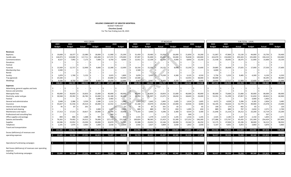#### **HELLENIC COMMUNITY OF GREATER MONTREAL** BUDGET FORECAST **Churches (Laval)** For The Year Ending June 30, 2023

|                                                    |                |      |               | <b>HOLY CROSS</b>  |               |              |               |                     |                                     |             | <b>ST-NICHOLAS</b> |              |                |               |                      |                 | SUB-TOTAL - LAVAL |                    |               |
|----------------------------------------------------|----------------|------|---------------|--------------------|---------------|--------------|---------------|---------------------|-------------------------------------|-------------|--------------------|--------------|----------------|---------------|----------------------|-----------------|-------------------|--------------------|---------------|
|                                                    | 2023           |      | 2022          | 2021               |               | 2020         |               | 2023                | 2022                                |             | 2021               |              | 2020           | 2023          | 2022                 |                 | 2021              |                    | 2020          |
|                                                    | <b>Budget</b>  |      | <b>Budget</b> | Actual             | <b>Budget</b> | Actual       | <b>Budget</b> | <b>Budget</b>       | <b>Budget</b>                       | Actual      | <b>Budget</b>      | Actual       | <b>Budget</b>  | <b>Budget</b> | <b>Budget</b>        | Actual          | <b>Budget</b>     | Actual             | <b>Budget</b> |
| Revenues                                           |                |      |               |                    |               |              |               |                     |                                     |             |                    |              |                |               |                      |                 |                   |                    |               |
| <b>Baptisms</b>                                    | 19,608         |      | 18,377        | 22,080             | 18,000        | 11,900<br>Ŝ. | 25,200        | 31,459<br>-Ś        | 29,483                              | 31,050      | 26,000             | 21,850       | 34,200<br>I \$ | 51,067        | 47,860               | 53,130<br>-Ŝ    | 44,000            | $33,750$ \$<br>-Ś  | 59,400        |
| Candle sales                                       | 126,973        | -S   | 119,000       | 117,711            | 105,000       | 117,372      | 170,000       | 97,097              | 91,000<br>l S                       | 85,632      | 50,000             | 76,838       | 140,000<br>-Ś  | 224,070       | 210,000              | $203,343$ \$    | 155,000           | 194,210 \$<br>- Ś  | 310,000       |
| Commemorations                                     | 8,527          | -Ś   | 7,992         | 7,175              | 7,000         | 6,750        | 8,000         | 12,911<br>-S        | 12,100                              | 11,200      | 4,000              | 8,850        | 15,150<br>-Ś   | 21,438        | 20,092               | 18,375          | 11,000            | 15,600<br>l \$     | 23,150        |
| Donations                                          |                |      |               |                    |               |              |               |                     |                                     |             |                    |              |                |               |                      |                 |                   |                    |               |
| Festival                                           |                |      |               |                    |               |              |               |                     |                                     |             |                    |              |                |               |                      |                 |                   |                    |               |
| Funerals                                           | 13,569         |      | 12,717        | 12,900             | 9,000         | 12,300       | 12,000        | 16,316              | 15,292                              | 14,125      | 8,000              | 15,250       | 15,600         | 29,885        | 28,008               | 27,025          | 17,000            | 27,550             | 27,600        |
| Membership fees                                    | 3,500          |      |               |                    |               |              |               | 2,500               |                                     |             |                    |              |                | 6,000         |                      |                 |                   |                    |               |
| Rental                                             |                |      |               |                    |               |              |               |                     |                                     |             |                    |              |                |               |                      |                 |                   |                    |               |
| Sundry                                             | 1,878          |      | 1,760         | 5,155              |               | 3,025        | 1,800         | 3,878               | 3,493                               | 4,330       | 4,300              | 3,125        | 4,550          | 5,756         | 5,253                | 9,485           | 4,300             | 6,150              | 6,350         |
| Tray (general)                                     | 25,500         |      |               |                    |               | 25,840       | 50,000        | 14,500              |                                     |             | $\sim$             | 14,455       | 38,000<br>-Ś   | 40,000        |                      |                 |                   | 40,295             | 88,000        |
| Weddings                                           | 9.336          |      | 8.750         | 3.500              | 8.400         | 10.250       | 12,000        | 9.567               | 8,967                               | 8.400       | 4.200              | 8.200        | 9,000          | 18.904        | 17.717               | 11.900          | 12.600            | 18,450             | 21,000        |
|                                                    | 208.891        |      | 168.595       | 168.521 \$         | 147,400 \$    | 187,437 \$   | 279,000       | 188.228             | $160,335$ \$                        | 154,737     | 96,500<br>-S       | 148.568 \$   | 256,500        | 397,119       | 328,930 \$           | $323,258$ \$    | 243.900           | 336,005<br>- 9     | 535,500       |
| Expenses                                           |                |      |               |                    |               |              |               |                     |                                     |             |                    |              |                |               |                      |                 |                   |                    |               |
| Advertising, general supplies and texts            |                |      |               |                    |               |              |               |                     |                                     |             |                    |              |                |               |                      |                 |                   |                    |               |
| Dances and activities                              |                |      |               |                    |               |              |               |                     |                                     |             |                    |              |                |               |                      |                 |                   |                    | $\sim$        |
| Metropolis Fees                                    | 40,000         |      | 36,833        | 10,833             | 15,000        | 40,000       | 40,000        | `\$<br>40,000       | 36,833                              | 10,833      | 15,000             | 40,000       | 40,000<br>-Ś   | 80,000        | 73,666               | 21,666          | 30,000            | 80,000             | 80,000        |
| Electricity, water and gas                         | 30,568         |      | 29,392        | 26,782             | 33,000        | 31,180       | 36,500        | 22,783              | 21,907                              | 21,075      | 18,650             | 18,643       | 24,400         | 53,351        | 51,299               | 47,857          | $51,650$ \$       | 49,823             | 60,900        |
| Festival                                           |                |      |               |                    | 3,000         | 2,402        |               |                     |                                     |             |                    |              |                |               |                      |                 | $3,000$ -\$       | 2,402              |               |
| General and administrative                         | 2,648          |      | 2,386         | 3,550              | 2,580         | 1,212        | 1,880         | 1,823               | 1,642                               | 1,845       | 1,605              | 1,614        | 1,605<br>- S   | 4,472         | 4,028                | 5,396           | $4,185$ \$        | 2,826              | 3,485         |
| Insurance                                          | 35,027         |      | 31,556        | 29,314             | 26,000        | 12,552       | 15,000        | 21,168              | 19,070                              | 23,466      | 23,000             | 10,926       | 8,000          | 56,195        | 50,626               | 52,779          | 49,000            | 23,478<br>l S      | 23,000        |
| Interest and bank charges                          | 95             |      | 87            | 201                |               |              | 55            |                     | 87<br>95                            | 201         | 65                 |              | 65             | 190           | 174                  | 402             | 65                | I \$               | 120           |
| Janitorial and cleaning                            |                |      |               |                    | 2,000         | 1,477        | 2,050         | 889                 | 889                                 | 797         | 650                | 1,095        | 650<br>ıς      | 889           | 889                  | 797             | 2,650             | $2,571$ \$<br>l S  | 2,700         |
| Maintenance and repairs                            | 17,313         | -Ś   | 17,313        | 19,817             | 19,900        | 11,704       | 19,900        | Ŝ.<br>4,333         | 3,903                               | 4,396       | 3,300              | 4,014        | 3,300          | 21,646        | 21,216               | 24,212          | 23,200            | 15,719<br>I \$     | 23,200        |
| Professional and consulting fees                   |                |      |               |                    |               | 269          |               |                     |                                     |             |                    | 269          |                |               |                      |                 |                   | 537                |               |
| Office supplies and postage                        | 894            |      | 806           | 1,688              | 905           | 420          | 830           | 1,531               | 1,379                               | 1,519       | 1,245              | 1,416        | 1,245          | 2,425         | 2,185                | 3,207           | 2,150             | 1,835              | 2,075         |
| Salaries and benefits                              | 76,262         |      | 74,402        | 24,012             | 76,000        | 127,172      | 151,500       | 100,824<br>-S       | 98,365                              | 21,423      | 55,300             | 127,252      | 146,300<br>Ŝ.  | 177,086       | 172,767              | 45,435          | 131,300           | 254,424<br>-S      | 297,800       |
| Supplies                                           | 26,586         | S.   | 23,952        | 23,030             | 20,000        | 32,870       | 52,700        | 25,588              | 23,053                              | 22,166      | 18,000             | 23,342       | 46,250<br>ıς   | 52,175        | 47,004               | 45,196          | 38,000            | 56,212<br>ı s      | 98,950        |
| Telephone                                          | 2,191          | l S  | 1,974         | 2,063<br>Ŝ.<br>۱\$ | 1,830         | 2,018<br>Ŝ   | 1,830         | 2,916<br>-S         | 2,627                               | 3,809       | 2,030<br>S         | 1,852        | 2,030<br>l \$  | 5,107         | 4,601                | $5,872$ \$<br>S | 3,860             | $3,870$ \$<br>l \$ | 3,860         |
| Travel and transportation                          |                |      |               |                    |               |              |               |                     |                                     |             |                    |              |                |               |                      |                 |                   |                    |               |
|                                                    | 231.585        |      | 218,701       | 141,290 \$<br>S.   | 194,215 \$    | 257,934 \$   | 322,245       | 221,950             | 209,756 \$<br>S.                    | 111,530 \$  | 138,845 \$         | 229,884 \$   | 273,845        | $453,536$ \$  | 428.456 \$           | 252,820         | 333,060<br>-S.    | 487,818            | 596,090       |
| Excess (deficiency) of revenues over               |                |      |               |                    |               |              |               |                     |                                     |             |                    |              |                |               |                      |                 |                   |                    |               |
| operating expenses                                 | $22,695 - 5$   |      | 50.106 \$     | $27.231 - 5$       | $46.815 - S$  | 70,497 -\$   | 43,245        | $33,723 - 5$<br>-Ś  | 49.421 \$                           | 43,207 - \$ | $42,345 - 5$       | $81,316 - $$ | 17,345         | $56,417 - $$  | 99,526 \$            | 70,438 -\$      | $89,160 - $$      | $151,813 - 5$      | 60,590        |
|                                                    |                |      |               |                    |               |              |               |                     |                                     |             |                    |              |                |               |                      |                 |                   |                    |               |
|                                                    |                |      |               |                    |               |              |               |                     |                                     |             |                    |              |                |               |                      |                 |                   |                    |               |
| Operational Fundraising campaigns                  | <b>College</b> | - \$ | $\sim$ $-$    | S.<br>$\sim$ s     | $-5$          | $-5$         | $\sim$ $\sim$ | IS.                 | $\sim$ $\sim$ $\sim$ $\sim$<br>$-5$ | $-5$        | $-5$               | $-5$         | $\sim$ $-$     | $-5$          | $\sim$ $\sim$ $\sim$ | $-5$            | <b>College</b>    | S.<br><b>COLL</b>  | S.            |
| Net Excess (deficiency) of revenues over operating |                |      |               |                    |               |              |               |                     |                                     |             |                    |              |                |               |                      |                 |                   |                    |               |
| expenses                                           |                |      |               |                    |               |              |               |                     |                                     |             |                    |              |                |               |                      |                 |                   |                    |               |
| including Fundraising campaigns                    | $22.695 - 5$   |      | 50,106 \$     | $27.231 - S$       | $46.815 - S$  | 70,497 -\$   | 43,245        | $33,723 - 5$<br>-\$ | 49.421 \$                           | 43.207 - S  | $42,345 - 5$       | $81,316 - $$ | 17,345         | $56,417 - $$  | 99,526 \$            | $70,438 - $$    | $89,160 - 5$      | $151.813 - S$      | 60,590        |
|                                                    |                |      |               |                    |               |              |               |                     |                                     |             |                    |              |                |               |                      |                 |                   |                    |               |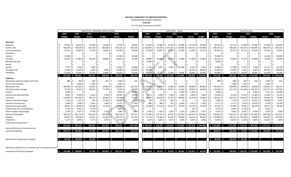### **HELLENIC COMMUNITY OF GREATER MONTREAL** CONSOLIDATED BUDGET FORECAST  **Churches**

For The Year Ending June 30, 2023

|                                                             |               |         |                         |                          | SUB-TOTAL- MONTREAL SOUTH SHORE |                       |                       |                                |                                                                        |                          | SUB-TOTAL - LAVAL     |                       |               |                     |                          | <b>Total Churches</b> |                          |                                                           |                      |
|-------------------------------------------------------------|---------------|---------|-------------------------|--------------------------|---------------------------------|-----------------------|-----------------------|--------------------------------|------------------------------------------------------------------------|--------------------------|-----------------------|-----------------------|---------------|---------------------|--------------------------|-----------------------|--------------------------|-----------------------------------------------------------|----------------------|
|                                                             | 2023          |         | 2022                    | 2021                     |                                 | 2020                  |                       | 2023                           | 2022                                                                   |                          | 2021                  |                       | 2020          | 2023                | 2022                     |                       | 2021                     |                                                           | 2020                 |
|                                                             | <b>Budget</b> |         | <b>Budget</b>           | Actual                   | <b>Budget</b>                   | Actual                | <b>Budget</b>         | <b>Budget</b>                  | <b>Budget</b>                                                          | Actual                   | <b>Budget</b>         | Actual                | <b>Budget</b> | <b>Budget</b>       | <b>Budget</b>            | Actual                | <b>Budget</b>            | Actual                                                    | <b>Budget</b>        |
|                                                             |               |         |                         |                          |                                 |                       |                       |                                |                                                                        |                          |                       |                       |               |                     |                          |                       |                          |                                                           |                      |
| Revenues                                                    |               |         |                         |                          |                                 |                       |                       |                                |                                                                        |                          |                       |                       |               |                     |                          |                       |                          |                                                           |                      |
| <b>Baptisms</b>                                             |               | 39,635  | 36,913<br>S.            | 25,050                   | 23,000<br>S.                    | 27,349<br>Ŝ.          | -Ś<br>60,600          | \$ 51,067                      | \$47,860                                                               | \$53,130                 |                       | $$44,000$ $$33,750$   | $5$ 59,400    | 90,702<br>S.        | 84,773<br>- S            | $5$ 78,180            | \$67,000                 | 61,099<br>S.                                              | \$120,000            |
| Candle sales                                                |               | 381,440 | 350,500<br>Ŝ.           | 322,158                  | 285,000                         | 391,224<br>Ŝ.         | 491,654<br>S.         | \$224,070                      | \$210,000                                                              | \$203,343                |                       | $$155,000$ $$194,210$ | \$310,000     | $605,510$ \$        | 560,500                  | \$525,501             | \$440,000                | 585,434<br>Ŝ                                              | 801,654              |
| Commemorations                                              |               | 24,725  | 23,083<br>S.            | 12,750                   | 24,500<br>-S                    | 23,500                | 28,500                | \$21,438                       | \$20,092                                                               | \$18,375                 | \$11,000              | \$15,600              | 23,150<br>S.  | Ŝ.<br>$46,162$ \$   | 43,175                   | $\frac{1}{2}$ 31,125  | S.<br>35,500             | Ŝ.<br>39,100                                              | 51,650               |
| Donations                                                   |               |         |                         | $\overline{\phantom{a}}$ |                                 |                       |                       |                                |                                                                        | Ś                        |                       | Ś.                    |               |                     | $\overline{\phantom{a}}$ | S,                    |                          |                                                           |                      |
| Festival                                                    |               | 15,000  | -S                      | -S                       | S.                              | 14,100<br>-Ś          | 82,000<br>-S          |                                | Ŝ.                                                                     | -Ś                       |                       | -S                    |               | 15,000              | - S                      | - Ś                   |                          | 14,100<br>Ŝ.                                              | 82,000               |
| Funerals                                                    |               | 50,367  | 47,055                  | 48,350<br>- S            | 38,000<br>S.                    | 48,670<br>Ŝ           | 41,400                | \$29,885                       | Ś.<br>28,008                                                           | $5$ 27.025               | \$17.000              | \$27,550              | \$27,600      | 80,252              | 75,063<br>- S            | I S.<br>75,375        | S.<br>55,000             | Ŝ.<br>76,220                                              | 69,000               |
| Membership fees                                             |               |         |                         | $\overline{\phantom{a}}$ |                                 |                       |                       | 6,000                          |                                                                        |                          |                       |                       |               | 6,000               | S<br>$\sim$              | -Ś                    |                          |                                                           |                      |
| Rental                                                      |               |         |                         | Ŝ<br>$\sim$              |                                 |                       |                       |                                |                                                                        | Ś.                       |                       | -Ś                    |               |                     |                          | Ŝ.                    |                          |                                                           |                      |
| Sundry                                                      |               | 7,072   | 6,526<br>Ŝ.             | $7,940$ \$               |                                 | 14,961                | 16,800                | S.<br>5,756                    | $\mathsf{S}$<br>5,253                                                  | Ś.<br>9,485              | Ś.<br>4,300           | \$<br>6,150           | Ŝ.<br>6,350   | 12,828              | 11,780<br>-S             | \$17,425              | \$<br>4,300              | Ŝ.<br>21,111                                              | 23,150               |
| Tray (general)                                              |               | 14,208  | 12,800                  | 6,365                    | 4,000                           | 40,486                | 110,000               | \$40.000                       |                                                                        |                          |                       | 40,295<br>Ŝ.          | 88,000        | 54,208              | 12,800                   | IS.<br>6,365          | Ŝ.<br>4.000              | Ŝ.<br>80,781                                              | 198,000              |
| Weddings                                                    |               | 25,183  | 23.383                  | 12,550                   | 23,800                          | 24,050                | 33,200                | \$18.904                       | $\zeta$<br>17.717                                                      | ς.<br>11,900             | \$12.600              | Ŝ.<br>18.450          | 21,000        | 44,086              | 41,100                   | S.<br>24.450          | ς.<br>36.400             | 42,500<br>ς.                                              | 54,200               |
|                                                             |               | 557.630 | 500.261<br>S.           | 435,163<br>- 9           | 398.300                         | 584,340 \$<br>S.      | 864,154               |                                | \$397.119 \$328.930 \$323.258                                          |                          | \$243,900             | \$336,005             | \$535,500     | 954,748 \$<br>Ś.    |                          | 829.191 \$758.421     | \$642,200                | -S                                                        | 920,345 \$ 1,399,654 |
| Expenses                                                    |               |         |                         |                          |                                 |                       |                       |                                |                                                                        |                          |                       |                       |               |                     |                          |                       |                          |                                                           |                      |
| Advertising, general supplies and texts                     |               | 888     | 800<br>Ŝ.               | 903                      | 815                             | 1,064<br>Ŝ            | Ŝ.<br>815             |                                | Ŝ.                                                                     | $\overline{\phantom{a}}$ | $\sim$                | Ŝ                     |               | 888                 | 800                      | -Ś<br>903             | 815<br>Ś.                | Ŝ.<br>1,064                                               | 815                  |
| Dances and activities                                       |               |         | 1,600<br>Ŝ.             | $1,245$ \$               |                                 | Ŝ<br>3,563            | -Ŝ                    |                                |                                                                        |                          |                       |                       |               |                     | 1,600                    | IS.<br>1.245          |                          | Ś<br>3,563                                                |                      |
| Metropolis Fees                                             |               | 160,000 | 147,332                 | 43,332                   | 60,000<br>S.                    | I \$<br>156,085       | 160,150<br>-S         | 80.000                         | Ś.<br>73,666                                                           | \$21,666                 | \$ 30,000             | $\frac{1}{5}$ 80.000  | 80,000<br>S.  | 240,000             | 220,998<br>l Ś           | \$64,998              | \$90.000                 | 236,085<br>Ŝ.                                             | 240,150<br>S.        |
| Electricity, water and gas                                  |               | 73,229  | 70,413<br>S.            | 63,625                   | 77,700                          | 72,304                | 82,300                | 53,351                         | 51,299<br>Ś.                                                           | \$47,857                 | \$1,650               | 49,823<br>Ŝ.          | 60,900        | Ś.<br>126,580       | 121,712                  | \$111,482             | \$129,350                | 122,127                                                   | 143,200              |
| Festival                                                    |               | 2,000   | Ŝ.                      | $\sim$                   |                                 | 9,813                 | 50,000                |                                |                                                                        | Ś                        | 3,000                 | -\$<br>2,402          |               | 2,000               | I\$                      | -Ś                    | -Ś<br>3,000              | 7,411<br>Ŝ                                                | 50,000               |
| General and administrative                                  |               | 8,952   | Ŝ.<br>8,304             | $6,541$   \$             | 7,300                           | 10,540                | 13,050                | Ś.<br>4,472                    | Ŝ.<br>4,028                                                            | \$<br>5,396              | 4,185<br>S.           | \$<br>2,826           | 3,485<br>S.   | 13,424              | l Ś<br>12,333            | \$11,937              | S.<br>11,485             | 13,366<br>Ŝ                                               | 16,535               |
| Insurance                                                   |               | 119,820 | 107,946                 | 89,274 \$                | 86,000                          | 41,354                | 52,000                | 56,195                         | 50,626<br>Ŝ                                                            | \$52,779                 | \$49,000              | $5$ 23,478            | 23,000<br>-S  | 176,015             | 158,572<br>-Ś            | \$142.053             | \$135,000                | 64,832                                                    | 75,000               |
| Interest and bank charges                                   |               | 1,293   | 1,165                   | 875                      | 21,950                          | 29,698                | 1,950                 | 190<br>$\mathsf{S}$            | 174<br>Ŝ                                                               | Ś.<br>402                | 65                    | S.                    | 120           | 1,483               | 1,339<br>-S              | S.<br>1,277           | S.<br>22,015             | 29,698<br>Ŝ                                               | 2,070                |
| Janitorial and cleaning                                     |               | 5,288   | 5,288<br>Ŝ.             | $4,556$ \$               | 7,400                           | 6,227                 | 7,400                 | 889                            | 889<br>Ŝ                                                               | Ś.<br>797                | Ś.<br>2,650           | I\$<br>2,571          | 2,700<br>Ŝ.   | 6,177               | ۱\$<br>6,177             | I \$<br>5,353         | \$<br>10,050             | 8,798<br>Ŝ                                                | 10,100               |
| Maintenance and repairs                                     |               | 29,601  | 26,668                  | $33,188$   \$            | 23,220                          | 29,598                | 23,220                | 21,646                         | Ŝ.<br>21,216                                                           | \$24,212                 | \$23,200              | \$15,719              | 23,200<br>l S | 51,247              | 47,884<br>l \$           | \$57,401              | Ŝ.<br>46,420             | 45,317<br>Ŝ                                               | 46,420               |
| Professional and consulting fees                            |               | 8,743   | 8,407                   | $6,178$ \$               |                                 | 9,959                 |                       |                                |                                                                        | $\overline{\phantom{a}}$ |                       | 537<br>-Ś             |               | 8,743               | 8,407<br>Ŝ               | \$<br>6,178           |                          | 9,422                                                     |                      |
| Office supplies and postage                                 |               | 3,194   | $2,877$ \$<br>Ŝ.        | $4,794$ \$               | 2,350                           | 2,487                 | <sup>5</sup><br>1,950 | \$<br>2,425                    | Ś.<br>2,185                                                            | \$<br>3,207              | Ŝ.<br>2,150           | I\$<br>1,835          | 2,075<br>S.   | 5,619               | 5,062                    | S.<br>8,001           | Ŝ.<br>4,500              | 4,323<br>Ŝ                                                | 4,025                |
| Salaries and benefits                                       |               | 366,714 | 357,770 \$<br>S.        | 166,145 \$               | 210,500                         | 405,304               | 527,251               | \$177,086                      | \$172,767                                                              | \$45,435                 | \$131,300             | \$254,424             | \$297,800     | 543,801             | 530,537                  | \$211,580             | \$341,800                | 659,728<br>Ś.                                             | 825,051              |
| Supplies                                                    |               | 63,821  | 58,518                  | 56,267                   | 61,000                          | 100,725               | 151,250               | \$52,175                       | Ś.<br>47.004                                                           | \$45,196                 | \$38,000              | \$56,212              | 98,950<br>S.  | 115,996             | 105,522                  | \$101,463             | 99,000<br>Ŝ.             | 156,937<br>Ś.                                             | 250,200              |
| Telephone                                                   |               | 6,722   | $6,056$ \$<br>S.        | $5,771$ \$               | 5,970                           | 6,732<br>Ŝ.           | 5,970                 | Ś.<br>5,107                    | Ŝ.<br>4,601                                                            | \$<br>5,872              | $3,860$ \$<br>\$      | 3,870                 | 3,860<br>S.   | Ŝ.<br>11,830        | 10,657<br>l Ś            | \$11,643              | \$<br>9,830              | Ś.<br>10,602                                              | 9,830                |
| Travel and transportation                                   |               |         |                         | $\sim$                   |                                 |                       |                       |                                | Ś                                                                      | Ś                        |                       | Ŝ                     |               |                     |                          | -Ś                    |                          |                                                           |                      |
|                                                             | S.            |         | 850,266 \$ 803,143      | 482,693<br>S.            | 564,205 \$<br>S.                | 885,456 \$            | 1,077,306             |                                | \$453,536 \$428,456 \$252,820 \$333,060 \$487,818 \$596,090            |                          |                       |                       |               | $$1,303,802$ \$     |                          |                       |                          | 1,231,599 \$ 735,513 \$ 897,265 \$ 1,373,275 \$ 1,673,396 |                      |
| Excess (deficiency) of revenues over                        |               |         |                         |                          |                                 |                       |                       |                                |                                                                        |                          |                       |                       |               |                     |                          |                       |                          |                                                           |                      |
| operating expenses                                          |               |         | 292,752 -\$ 302,882 -\$ | 47,530 -\$               | 165,905 -\$                     | $301,116 - $$         | 213,152               |                                | -\$ 56,417 -\$ 99,526 \$ 70,438 -\$ 89,160 -\$ 151,813 -\$ 60,590      |                          |                       |                       |               | $-5$ 349,053 $-5$   |                          |                       |                          | 402,408 \$ 22,907 -\$ 255,065 -\$ 452,930 -\$ 273,742     |                      |
|                                                             |               |         |                         |                          |                                 |                       |                       |                                |                                                                        |                          |                       |                       |               |                     |                          |                       |                          |                                                           |                      |
|                                                             |               |         |                         |                          |                                 |                       |                       |                                |                                                                        |                          |                       |                       |               |                     |                          |                       |                          |                                                           |                      |
| <b>Operational Fundraising campaigns</b>                    | S.            |         | 96,766 \$ 103,978 \$    | 85,326 \$                | <b>Contract Contract</b>        | S.<br><b>Contract</b> | S.<br>$\sim$          | S.<br><b>Contract Contract</b> | S.<br><b>Contractor</b>                                                | S.<br><b>Contract</b>    | S.<br><b>Contract</b> | S.<br>$\sim 100$      | S.<br>$\sim$  | 96,766 \$<br>S.     |                          | 103,978 \$ 85,326 \$  | <b>Contract Contract</b> | S.<br>$\sim$                                              | S.                   |
|                                                             |               |         |                         |                          |                                 |                       |                       |                                |                                                                        |                          |                       |                       |               |                     |                          |                       |                          |                                                           |                      |
|                                                             |               |         |                         |                          |                                 |                       |                       |                                |                                                                        |                          |                       |                       |               |                     |                          |                       |                          |                                                           |                      |
| Net Excess (deficiency) of revenues over operating expenses |               |         |                         |                          |                                 |                       |                       |                                |                                                                        |                          |                       |                       |               |                     |                          |                       |                          |                                                           |                      |
| including Fundraising campaigns                             | -\$           |         | 195.986 -\$ 198.904 \$  | 37,796 - \$              | 165,905 - \$                    | $301,116 - S$         | 213,152               |                                | $-5$ 29,424 $-5$ 99,526 \$ 70,438 $-5$ 89,160 $-5$ 151,813 $-5$ 60,590 |                          |                       |                       |               | -Ŝ<br>$252.287 - S$ |                          |                       |                          | 298,430 \$ 108,233 -\$ 255,065 -\$ 452,930 -\$ 273,742    |                      |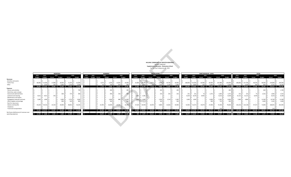|                                                                | <b>MONTREAL</b><br><b>ROXBORO</b><br>2022<br>2023<br>2021<br>2020<br>2023<br>2022<br>2021 |                     |                                        |               |                               |               |                          |        |                       |              |                                      |                 |                |                              |            | <b>BUDGET FORECAST</b> | HELLENIC COMMUNITY OF GREATER MONTREAL<br><b>Supplemental Education - Elementary School</b><br>For The Year Ending June 30, 2023 |                       |                                                |                  |                        |                      |                       |                       |                       |       |                       |                                         |                         |                 |
|----------------------------------------------------------------|-------------------------------------------------------------------------------------------|---------------------|----------------------------------------|---------------|-------------------------------|---------------|--------------------------|--------|-----------------------|--------------|--------------------------------------|-----------------|----------------|------------------------------|------------|------------------------|----------------------------------------------------------------------------------------------------------------------------------|-----------------------|------------------------------------------------|------------------|------------------------|----------------------|-----------------------|-----------------------|-----------------------|-------|-----------------------|-----------------------------------------|-------------------------|-----------------|
|                                                                |                                                                                           |                     |                                        |               |                               |               |                          |        |                       |              |                                      |                 |                |                              |            | <b>SOUTH SHORE</b>     |                                                                                                                                  |                       |                                                |                  | SAINT NICHOLAS - LAVAL |                      |                       |                       |                       |       | <b>TOTAL</b>          |                                         |                         |                 |
|                                                                | <b>Budget</b>                                                                             | <b>Budget</b>       | Actual                                 | <b>Budget</b> | Actual                        | <b>Budget</b> | Budget Budget Actual     |        | <b>Budget</b>         | Actual       | 2020                                 | <b>Budget</b>   | 2023<br>Budget | 2022<br><b>Budget</b>        | Actual     | 2021<br><b>Budget</b>  | Actual                                                                                                                           | 2020<br><b>Budget</b> | 2023<br>2022<br><b>Budget</b><br><b>Budget</b> | 2021<br>Actual   | <b>Budget</b>          | Actual               | 2020<br><b>Budget</b> | 2023<br><b>Budget</b> | 2022<br><b>Budget</b> |       | 2021<br><b>Actual</b> | <b>Budget</b>                           | 2020<br>Actual          | <b>Budget</b>   |
| <b>Revenues</b>                                                |                                                                                           |                     |                                        |               |                               |               |                          |        |                       |              |                                      |                 |                |                              |            |                        |                                                                                                                                  |                       |                                                |                  |                        |                      |                       |                       |                       |       |                       |                                         |                         |                 |
| Activities and events                                          |                                                                                           |                     |                                        | $\sim$        |                               | $\sim$        |                          |        |                       | $\sim$       |                                      | . .             |                |                              |            |                        |                                                                                                                                  |                       | $\sim$                                         |                  |                        |                      |                       |                       |                       |       |                       |                                         |                         |                 |
| <b>Tuition Fees</b>                                            | 68,000                                                                                    | $$52,000$ $$$       | 17,848 \$                              | 18,000 \$     | 71,545 \$                     | 62,000        |                          |        | $5,673$ \$            | $5,500$ \$   | 15,605 \$                            | 20,000          |                | 32,000 \$ 24,706 \$          | 6,673      | $6,500$ \$             |                                                                                                                                  | 44,760 \$ 30,000      | 108,000 \$81,000 \$                            | 60,484           | 60,000                 | 107,988 \$           | 134,000               |                       | 208,000 \$ 157,706 \$ |       |                       | 90,678 \$ 90,000 \$                     | 239,899                 | \$246,000       |
| Other                                                          |                                                                                           | 3.335               | 160                                    | 3.000         | 2,750                         | 2,500         |                          |        | 50                    | 700          | 620                                  | 900             |                | \$1,050                      | 50         | 1.500                  | $1,130$ \$                                                                                                                       | 1,400                 | \$4.800                                        | $100 - 5$        | 6.000                  | $5,255$ \$           | 5,500                 |                       | 9.185                 |       | 360                   | 800                                     | 9,755                   | 10,300          |
|                                                                |                                                                                           | 68,000 \$ 55,335 \$ |                                        |               | 18,008 \$ 21,000 \$ 74,295 \$ | 64,500        | -S<br><b>State State</b> |        | $5,723$ \$            |              | 6,200 \$ 16,225 \$ 20,900            |                 |                | 32,000 \$ 25,756 \$          | $6,723$ \$ |                        | 8,000 \$ 45,890 \$ 31,400                                                                                                        |                       | 108,000 \$85,800 \$60,584 \$54,000 \$          |                  |                        | 113,243 \$           | 139,500               |                       | 208,000 \$ 166,891 \$ |       |                       | 91,038 \$ 89,200 \$ 249,654 \$          |                         | 256,300         |
| Expenses                                                       |                                                                                           |                     |                                        |               |                               |               |                          |        |                       |              |                                      |                 |                |                              |            |                        |                                                                                                                                  |                       |                                                |                  |                        |                      |                       |                       |                       |       |                       |                                         |                         |                 |
| Dances and activities                                          |                                                                                           |                     |                                        | $\sim$        |                               | 700           |                          |        |                       | 400          |                                      | 40 <sub>C</sub> |                |                              |            | 200                    |                                                                                                                                  | 200                   | s.<br>$\sim$                                   | $\sim$           |                        | $\sim$               | 400                   |                       |                       |       |                       | 600                                     |                         | 1,700           |
| Electricity, water and gas                                     |                                                                                           |                     |                                        | $\sim$        | $\overline{\phantom{a}}$      | $\sim$        |                          |        |                       | $\sim$       |                                      |                 |                |                              |            | $\sim$                 |                                                                                                                                  |                       | $\sim$                                         | $\sim$           |                        | $\sim$               | $\vert$ s             |                       |                       |       | $\sim$                |                                         |                         |                 |
| General and administrative                                     |                                                                                           |                     |                                        | 600           | 575                           | 600           |                          |        |                       | 400          | 150 <sub>5</sub>                     | 400             |                |                              |            |                        | $325$ $S$<br>150 <sub>5</sub>                                                                                                    | 150                   | 231S<br>231                                    | 75 S             | 1,375                  | $1,854$ \$           | 1,375                 |                       | 231 S                 | 231   | 75 \$                 | $2,525$ \$                              | 2,905                   | 2,525           |
| Janitorial and cleaning                                        |                                                                                           | $4,611$ \$ $4,611$  | 143                                    | $\sim$        |                               |               |                          |        |                       |              |                                      |                 |                | 2,281<br>2.281               |            |                        |                                                                                                                                  |                       | 8.229<br>8,229                                 | 8.402            | $\sim$                 | $8,223$ \$           | 8.100                 |                       | 15,121 \$ 15,121      |       | 8.544                 | $\sim$                                  | 8,223                   | 8,100           |
| Maintenance and repairs                                        |                                                                                           |                     |                                        | $\sim$        |                               |               |                          |        |                       |              |                                      |                 |                |                              |            |                        |                                                                                                                                  |                       |                                                |                  | $\sim$                 | $\sim$               |                       |                       |                       |       | $\sim$                |                                         |                         |                 |
| Pedagogical materials and texts<br>Office supplies and postage | 3.000                                                                                     | 1.600               |                                        | 3,000<br>800  | 2,753<br>620                  | 3,000<br>800  |                          |        |                       | 1,000<br>300 | 688                                  | 1,000<br>300    |                | 3,000<br>$-1,600$            |            | 1,500                  | $1,514$ \$<br>100 \$                                                                                                             | 1,300<br>100          | 1,600 \$ 1,600<br>$\sim$                       | $\sim$<br>$\sim$ | $6,000$ \$<br>400      | $5,781$ \$<br>722 \$ | 6,000<br>400          |                       | 7,600 \$              | 4.800 | $\sim$<br>$\sim$      | 11,500 \$<br>$1,600$ \$                 | 10,736 \$<br>$1,341$ \$ | 11,300<br>1,600 |
| Rent for classrooms                                            |                                                                                           |                     |                                        | $\sim$        |                               |               |                          |        |                       |              |                                      |                 |                |                              |            |                        |                                                                                                                                  |                       |                                                |                  |                        | $\sim$               | ΙŚ<br>$\sim$          |                       |                       |       |                       | $\sim$                                  |                         |                 |
| Salaries and benefits                                          | 45.629                                                                                    | \$44.516            | 23,324                                 | 19,000        | 48.852                        | 56,205        |                          | 22,595 |                       | 16,000       | 24,586                               | 32,200          | 27,624         | \$26,950                     | 16,934     | 9.800                  | 22,663                                                                                                                           | 33,900                | 52,963<br>\$51,672                             | 34.674           | 27,000                 | 72,540 \$            | 79,600                | 126,216               | \$123,138             |       | 97,527                | 71,800                                  | 168,641                 | 201,905         |
| Telephone                                                      |                                                                                           |                     |                                        | $\sim$        |                               | $\sim$        |                          |        |                       |              | <b>Contract Contract Contract</b>    | $\sim$          |                |                              |            | $\sim$                 |                                                                                                                                  | $\sim$                | $\sim$                                         | $\sim$           |                        | $\sim$               | IS.                   |                       |                       |       | $\sim$                | $\sim$                                  |                         |                 |
| Travel and transportation                                      |                                                                                           |                     |                                        |               |                               |               |                          |        |                       |              |                                      |                 |                |                              |            |                        |                                                                                                                                  |                       |                                                |                  |                        | 124                  |                       |                       |                       |       |                       |                                         | 124                     |                 |
|                                                                |                                                                                           |                     | 53,240 \$50,727 \$ 23,467 \$ 23,400 \$ |               | 52,800 \$ 61,305              |               | . .                      |        |                       |              | 22,595 \$ 18,100 \$ 25,424 \$ 34,300 |                 |                |                              |            |                        | 32,905 \$30,831 \$ 16,934 \$ 11,750 \$ 24,502 \$                                                                                 | 35,650                | 63,023 \$ 61,731 \$ 43,151 \$ 34,775 \$        |                  |                        | 88,996 \$            | 95,875                | ı.                    | 149,168 \$ 143,289 \$ |       |                       | 106,146 \$ 88,025 \$ 191,722 \$ 227,130 |                         |                 |
| Net Excess (deficiency) of revenues over                       |                                                                                           |                     |                                        |               |                               |               |                          |        |                       |              |                                      |                 |                |                              |            |                        |                                                                                                                                  |                       |                                                |                  |                        |                      |                       |                       |                       |       |                       |                                         |                         |                 |
| operating expenses                                             | $$14,760 \t$4,608 \t$$                                                                    |                     | $5,458 - $$                            |               | 2,400 \$ 21,495 \$            | 3,195         | . .                      |        | 16,872 -\$ 11,900 -\$ |              | 9,199 -\$ 13,400                     |                 |                | 905 -\$ 5,075 -\$ 10,211 -\$ |            |                        | 3,750 \$ 21,388 -\$                                                                                                              | 4,250                 | 44,977 \$24,069 \$17,433 \$19,225 \$           |                  |                        | 24,247 \$            | 43.625 S              |                       | 58,832 \$ 23,602 -\$  |       | 15,108 \$             | 1.175 \$                                | 57,932 \$               | 29.170          |
|                                                                |                                                                                           |                     |                                        |               |                               |               |                          |        |                       |              |                                      |                 |                |                              |            |                        |                                                                                                                                  |                       |                                                |                  |                        |                      |                       |                       |                       |       |                       |                                         |                         |                 |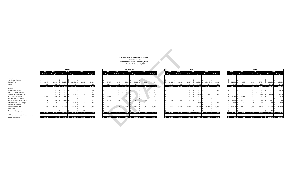| HELLENIC COMMUNITY OF GREATER MONTREAL          |
|-------------------------------------------------|
| <b>BUDGET FORECAST</b>                          |
| <b>Supplemental Education -Secondary School</b> |
| For The Year Ending June 30, 2023               |

|                                 |    | 2023<br><b>Budget</b> |    |
|---------------------------------|----|-----------------------|----|
|                                 |    |                       |    |
| Revenues                        |    |                       |    |
| <b>Activities and events</b>    | \$ |                       | \$ |
| <b>Tuition Fees</b>             | \$ | 36,147                | Ś  |
| Other                           | \$ | 1,000                 | \$ |
|                                 | Ś  | 37,147                | \$ |
| Expenses                        |    |                       |    |
| Dances and activities           | \$ |                       | \$ |
| Electricity, water and gas      | \$ |                       | \$ |
| General and administrative      | \$ |                       | Ś  |
| Janitorial and cleaning         | \$ | 3,600                 | \$ |
| Maintenance and repairs         | \$ |                       | Ś  |
| Pedagogical materials and texts | \$ | 1,776                 | Ś  |
| Office supplies and postage     | \$ | 444                   | \$ |
| Rent for classrooms             | \$ |                       | \$ |
| Salaries and benefits           | \$ | 33,589                | Ś  |
| Telephone                       | \$ |                       | \$ |
| Travel and transportation       | \$ |                       | \$ |
|                                 | \$ | 39,409                | \$ |

| Revenues                                 |             |                                         |           |     |                   |            |                                                                     |             |                   |                              |                   |              |                       |             |        |     |                         |             |             |                         |                  |        |     |           |        |                     |       |                                       |             |         |       |
|------------------------------------------|-------------|-----------------------------------------|-----------|-----|-------------------|------------|---------------------------------------------------------------------|-------------|-------------------|------------------------------|-------------------|--------------|-----------------------|-------------|--------|-----|-------------------------|-------------|-------------|-------------------------|------------------|--------|-----|-----------|--------|---------------------|-------|---------------------------------------|-------------|---------|-------|
| Activities and events                    |             |                                         |           |     |                   |            |                                                                     |             |                   |                              |                   |              |                       |             |        |     |                         |             |             |                         |                  |        |     |           |        |                     |       |                                       |             |         |       |
| <b>Tuition Fees</b>                      | $36,147$ \$ | 32,565                                  | 22,165 \$ |     | 20,000 \$         | 32,560     | 48,000                                                              | 8.797       |                   | 7.925                        | $5,518$ \$        |              | $5,500$ $\frac{5}{5}$ | $5,550$ \$  | 6,500  |     | 26,418 \$               | 23,800      | $11,376$ \$ | $11,500$ \$             | 25,543 \$        | 28,000 |     | 71,362    | 64.290 | 39,058              |       | $37,000$ \$                           | $63,653$ \$ | 82,500  |       |
| Other                                    | $1,000$ \$  | 1,000                                   |           |     | $1,500$ \$        | $1,190$ \$ | 1,500                                                               |             | $1,000$ $\mid$ \$ | 1.000                        |                   |              |                       | $50 \mid S$ | 200    |     | $1,000$ \$              | 1.000       |             | $1,000$   $\frac{4}{5}$ | 560 <sup>°</sup> |        |     | 3,000     | 3.000  |                     |       | 100ء د                                | .800        | 2,300   |       |
|                                          |             | 37,147 \$ 33,565 \$ 22,165 \$ 21,500 \$ |           |     |                   | 33,750 \$  | 49,500                                                              | 9.797       |                   | 8,925 \$                     | $5,518$ \$        |              | $6,100$ \$            | 5,600       | 6,700  |     | $$27,418$ \$            | 24,800 \$   | 11,376 \$   | 12,500 \$               | $26,103$ \$      | 28.600 |     | 74,362 \$ |        | 67,290 \$ 39,058 \$ |       | 40,100 \$                             | $65,453$ \$ | 84,800  |       |
| Expenses                                 |             |                                         |           |     |                   |            |                                                                     |             |                   |                              |                   |              |                       |             |        |     |                         |             |             |                         |                  |        |     |           |        |                     |       |                                       |             |         |       |
| Dances and activities                    |             |                                         |           |     |                   |            | 700                                                                 |             |                   |                              |                   | a s          |                       |             |        |     |                         |             |             |                         |                  |        | 300 |           |        |                     |       |                                       |             |         | 1,000 |
| Electricity, water and gas               |             |                                         |           |     |                   |            |                                                                     |             |                   |                              |                   |              |                       |             |        |     |                         |             |             |                         |                  |        |     |           |        |                     |       |                                       |             |         |       |
| General and administrative               |             |                                         |           |     | $2,400$ $\mid$ \$ | $1,824$ \$ | 2,400                                                               |             |                   |                              |                   |              |                       |             |        | 100 |                         |             |             | $1,100$ \$              | 1,146            |        | 800 |           |        |                     |       | $3,500$ \$                            | $2,969$ \$  |         | 3,300 |
| Janitorial and cleaning                  | $3,600$ \$  | 3,600                                   |           |     |                   |            | 400                                                                 | 2,532       |                   | 2.281                        |                   |              |                       |             |        |     |                         |             |             |                         |                  |        |     | 6,132     |        |                     |       |                                       |             |         |       |
| Maintenance and repairs                  |             |                                         |           |     |                   |            |                                                                     |             |                   |                              |                   |              |                       |             |        |     |                         |             |             |                         |                  |        |     |           |        |                     |       |                                       |             |         |       |
| Pedagogical materials and texts          | 1,776       | 1,600                                   | 1.365     |     |                   |            |                                                                     | 1.776       |                   | 1,600                        |                   |              | 600 l                 | 551         |        | 150 | 1,776                   | 1,600       |             |                         |                  |        |     | 5,328     | 4,800  |                     | 1,365 | $600 \mid S$                          |             | 551S    |       |
| Office supplies and postage              | 444S        | 400                                     |           | 91. | 600 \$            | 739 \$     | 820                                                                 |             |                   |                              |                   |              |                       |             |        |     |                         |             |             | 100S                    |                  |        | 100 | 444 5     | 400    |                     |       | 700 \$                                |             | 748 \$  |       |
| Rent for classrooms                      |             |                                         |           |     |                   |            |                                                                     |             |                   |                              |                   |              |                       |             |        |     |                         |             |             |                         |                  |        |     |           |        |                     |       |                                       |             |         |       |
| Salaries and benefits                    | 33,589      | 32,770                                  | 25,809    |     | $21,500$ \$       | 42,290 \$  | 56,780                                                              | $11,839$ \$ |                   | 11,550                       | $9,705$ $\mid$ \$ |              | $11,000$ \$           | $13,403$ \$ | 20,900 |     | 17,066                  | 16,650      | 12,434      | $10,000$ \$             | 25,284           | 29,400 |     | 62,494    | 60,970 | 47,948              |       | 42,500 \$                             | 80,977 \$   | 107,080 |       |
| Telephone                                |             |                                         |           |     |                   |            |                                                                     |             |                   |                              |                   |              |                       |             |        |     |                         |             |             |                         |                  |        |     |           |        |                     |       |                                       |             |         |       |
| Travel and transportation                |             |                                         |           |     |                   |            |                                                                     |             |                   |                              |                   |              |                       |             |        |     |                         |             |             |                         |                  |        |     |           |        |                     |       |                                       |             |         |       |
|                                          |             | \$ 39,409 \$ 38,370 \$ 27,569 \$        |           |     | 24,500 \$         | 44,831 \$  | 61,100                                                              | $16,147$ \$ |                   | 15,431 \$ 9,705 \$ 11,600 \$ |                   |              |                       | 13,954 \$   | 21,150 |     | $$18,842$$ \$ 18,250 \$ |             | 12,434 \$   | 11,200 \$               | 26,439 \$        | 30,600 |     | 74,398 \$ |        | 72,051 \$ 49,708 \$ |       | 47,300 \$                             | 85,223 \$   | 112,850 |       |
| Net Excess (deficiency) of revenues over |             |                                         |           |     |                   |            |                                                                     |             |                   |                              |                   |              |                       |             |        |     |                         |             |             |                         |                  |        |     |           |        |                     |       |                                       |             |         |       |
| operating expenses                       |             |                                         |           |     |                   |            | $-5$ 2.262 $-5$ 4.805 $-5$ 5.405 $-5$ 3.000 $-5$ 11.081 $-5$ 11.600 | $6.350 - S$ |                   | 6.506 - \$4.187 - \$         |                   | $-5,500 - $$ |                       | $8.354 - S$ | 14.450 |     | \$ 8.576 \$             | $6.550 - S$ | 1.058 \$    | $1.300 - S$             | $336 - S$        | 2.000  |     | 36 - S    |        |                     |       | 4.761 -S 10.650 -S 7.200 -S 19.771 -S |             | 28.050  |       |

|     |                       |    |                       |    |                    |      | HELLENIC COMMUNITY OF GREATER MONTREAL<br><b>BUDGET FORECAST</b><br><b>Supplemental Education -Secondary School</b> |    |                |         |                          |  |    |                       |        |                       |          |
|-----|-----------------------|----|-----------------------|----|--------------------|------|---------------------------------------------------------------------------------------------------------------------|----|----------------|---------|--------------------------|--|----|-----------------------|--------|-----------------------|----------|
|     |                       |    |                       |    |                    |      | For The Year Ending June 30, 2023                                                                                   |    |                |         |                          |  |    |                       |        |                       |          |
|     |                       |    |                       |    | <b>SOUTH SHORE</b> |      |                                                                                                                     |    |                |         |                          |  |    |                       |        |                       |          |
|     | 2022<br><b>Budget</b> |    | 2022<br><b>Budget</b> |    | Actual             | 2021 | <b>Budget</b>                                                                                                       |    | 2020<br>Actual |         | <b>Budget</b>            |  |    | 2023<br><b>Budget</b> |        | 2022<br><b>Budget</b> |          |
| \$  |                       | \$ |                       | \$ |                    | \$   |                                                                                                                     | S  |                | \$      |                          |  | \$ |                       | \$     |                       | \$       |
| \$  | 8,797                 | Ś  | 7,925                 | Ś  | 5,518              | \$   | 5,500                                                                                                               | Ś  | 5,550          | \$      | 6,500                    |  | \$ | 26,418                | \$     | 23,800                | \$       |
| \$  | 1,000                 | Ś  | 1.000                 | Ś  |                    | Ś    | 600                                                                                                                 | Ś  | 50             | \$      | 200                      |  | \$ | 1,000                 | Ś      | 1.000                 | \$       |
| \$  | 9,797                 | \$ | 8,925                 | Ś  | 5,518              | \$   | 6,100                                                                                                               | \$ | 5,600          | \$      | 6,700                    |  | \$ | 27,418                | \$     | 24,800                | \$       |
|     |                       |    |                       |    |                    |      |                                                                                                                     |    |                |         |                          |  |    |                       |        |                       |          |
| \$  |                       | \$ |                       | \$ |                    | \$   |                                                                                                                     | \$ |                | \$      |                          |  | \$ |                       | \$     |                       | \$       |
| \$  | ÷                     | \$ |                       | \$ |                    | \$   |                                                                                                                     | \$ |                | \$      | $\overline{a}$           |  | \$ |                       | Ś      |                       | \$       |
| \$  |                       | Ś  |                       | \$ |                    | \$   | $\overline{\phantom{a}}$                                                                                            | \$ |                | \$      | 100                      |  | \$ |                       | \$     |                       |          |
| \$  | 2,532                 | \$ | 2,281                 | \$ |                    | \$   |                                                                                                                     | \$ | ÷,             | \$      | $\overline{\phantom{a}}$ |  | \$ | ÷                     | \$     |                       | \$<br>\$ |
| \$  |                       | \$ |                       | \$ |                    | \$   |                                                                                                                     | Ś  | ÷,             | \$      | $\overline{\phantom{a}}$ |  | \$ |                       | \$     |                       | \$       |
| \$  | 1,776                 | \$ | 1,600                 | \$ |                    | \$   | 600                                                                                                                 | \$ | 551            | \$      | 150                      |  | \$ | 1,776                 | \$     | 1,600                 | \$       |
| \$  |                       | \$ | ä,                    | \$ |                    | \$   | ÷                                                                                                                   | \$ |                | \$      | ÷                        |  | \$ |                       | \$     |                       | \$       |
| \$  |                       | Ś  |                       | \$ |                    | \$   |                                                                                                                     | \$ |                | \$      |                          |  | \$ |                       | \$     |                       | \$       |
| \$  | 11,839                | \$ | 11,550                | \$ | 9,705              | \$   | 11,000                                                                                                              | \$ | 13,403         | \$      | 20,900                   |  | \$ | 17,066                | \$     | 16,650                | \$       |
| \$  |                       | Ś  |                       | \$ |                    | \$   |                                                                                                                     | \$ |                | \$      |                          |  | \$ |                       | \$     |                       | \$       |
| \$  |                       | Ś  |                       | Ś  |                    | Ś    |                                                                                                                     | Ś  |                | \$      |                          |  | \$ |                       | Ś      |                       | \$       |
| \$  | 16,147                | Ś  | 15,431                | Ś  | 9,705              | Ś    | 11,600                                                                                                              | \$ | 13,954         | $\sf s$ | 21,150                   |  | Ś  | 18,842                | \$     | 18,250                | \$       |
|     |                       |    |                       |    |                    |      |                                                                                                                     |    |                |         |                          |  |    |                       |        |                       |          |
| -\$ | $6,350 - $$           |    | $6,506 - $$           |    | $4,187 - $$        |      | $5,500 - $$                                                                                                         |    | $8,354 - $$    |         | 14,450                   |  | \$ | 8,576                 | $\sim$ | $6,550 - $$           |          |
|     |                       |    |                       |    |                    |      |                                                                                                                     |    |                |         |                          |  |    |                       |        |                       |          |

|               |             |                            |                     | <b>MONTREAL</b> |           |                               |                     |               |                       | <b>SOUTH SHORE</b> |                    |                            |     |               |               |                     | <b>LAVAL</b>            |           |                    |               |               |                        | <b>TOTAL</b>  |           |                             |
|---------------|-------------|----------------------------|---------------------|-----------------|-----------|-------------------------------|---------------------|---------------|-----------------------|--------------------|--------------------|----------------------------|-----|---------------|---------------|---------------------|-------------------------|-----------|--------------------|---------------|---------------|------------------------|---------------|-----------|-----------------------------|
| 2023          |             | 2022                       |                     | 2021            | 2020      |                               | 2022                | 2022          |                       | 2021               | 2020               |                            |     | 2023          | 2022          |                     | 2021                    | 2020      |                    | 2023          | 2022          | 2021                   |               |           | 2020                        |
| <b>Budget</b> |             | <b>Budget</b>              | Actual              | <b>Budget</b>   | Actual    | <b>Budget</b>                 | <b>Budget</b>       | <b>Budget</b> | Actual                | <b>Budget</b>      | Actual             | <b>Budget</b>              |     | <b>Budget</b> | <b>Budget</b> | Actual              | <b>Budget</b>           | Actual    | <b>Budget</b>      | <b>Budget</b> | <b>Budget</b> | <b>Actual</b>          | <b>Budget</b> | Actual    | <b>Budget</b>               |
|               |             |                            |                     |                 |           |                               |                     |               |                       |                    |                    |                            |     |               |               |                     |                         |           |                    |               |               |                        |               |           |                             |
|               |             |                            |                     |                 |           |                               |                     |               |                       |                    |                    |                            |     |               |               |                     |                         |           |                    |               |               |                        |               |           |                             |
|               |             |                            |                     |                 |           |                               |                     |               |                       |                    |                    |                            |     |               |               |                     |                         |           |                    |               |               |                        |               |           |                             |
|               | 36,147      | 32.565                     | $22,165$ \$         | 20,000 \$       | 32,560    | 48,000                        | 8.797               |               | 5.518                 |                    | $5,500$ $\sqrt{5}$ | $5,550$ $\mid$ \$<br>6.500 |     | 26,418        |               |                     | $11.376$ S<br>11,500    | 25.543    | 28,000             | 71.362        | 64.290        | 39,058 \$              | 37,000        | 63,653    | 82,500                      |
|               | 1,000       | 1.000                      |                     | 1,500           | 1,190     | 1,500                         | 1,000               | .000          |                       | 600                |                    | 50 \$<br>200               |     | $1,000$ \$    | 1.000         |                     | 1,000<br>l S            | 560 l     | - 600              | 3,000         | 3.000         |                        | 3,100         | L.800     | 2,300                       |
|               | $37,147$ \$ |                            | 33,565 \$ 22,165 \$ | 21,500 \$       | 33,750    | 49.500                        | 9.797               |               | 8,925 \$ 5,518 \$     |                    | $6,100$ \$         | 5,600 \$<br>6.700          |     | 27,418 \$     | 24,800 \$     | 11,376 \$           | 12,500 \$               | 26,103 \$ | 28,600             | 74,362 \$     | 67.290 \$     | 39,058 \$              | 40,100        | 65,453 \$ | 84,800                      |
|               |             |                            |                     |                 |           |                               |                     |               |                       |                    |                    |                            |     |               |               |                     |                         |           |                    |               |               |                        |               |           |                             |
|               |             |                            |                     |                 |           | 700                           |                     |               |                       |                    |                    |                            |     |               |               |                     |                         |           | 300                |               |               |                        |               |           | 1,000                       |
|               |             |                            |                     |                 |           |                               |                     |               |                       |                    |                    |                            |     |               |               |                     |                         |           |                    |               |               |                        |               |           |                             |
|               |             |                            |                     | 2.400           | 1,824     | 2,400                         |                     |               |                       |                    |                    |                            | 100 |               |               |                     | 1.100                   | 1.146     | 800                |               |               |                        | 3,500         | 2.969     | 3,300                       |
|               | 3,600       | 3,600                      | 387                 |                 |           |                               | 2,532               | 2,281         |                       |                    |                    |                            |     |               |               |                     |                         |           |                    | 6,132         | 5,881         | 387                    |               |           |                             |
|               |             |                            |                     |                 |           |                               |                     |               |                       |                    |                    |                            |     |               |               |                     |                         |           |                    |               |               |                        |               |           |                             |
|               | 1,776       | 1,600                      | $1,365$ \$          |                 |           |                               | 1.776               | L.600         |                       |                    | $600$ $\mid$ \$    | 551                        | 150 | $1,776$ \$    | 1.600         |                     |                         |           |                    | 5,328         | 4,800         | 1,365                  | 600           | 551       | 150                         |
|               | 444         | 400                        |                     | 600             |           | 739<br>820                    |                     |               |                       |                    |                    |                            |     |               |               |                     | 100                     |           | 100                | 444           | 400           |                        | 700           | 748       | 92C                         |
|               |             |                            |                     |                 |           |                               |                     |               |                       |                    |                    |                            |     |               |               |                     |                         |           |                    |               |               |                        |               |           |                             |
|               | 33,589      | 32,770                     | 25,809              | 21,500          | 42,290    | 56,78L                        | 11,839              | 11.550        | $9.705$ S             | 11,000             |                    | 20,900<br>$13,403$ \$      |     | 17,066        |               | $12.434$ S          | 10,000                  | 25,284    | 29,400             | 62,494        | 60,970        | 47,948                 | 42,500        | 80,97     | 107,080                     |
|               |             |                            |                     |                 |           |                               |                     |               |                       |                    |                    |                            |     |               |               |                     |                         |           |                    |               |               |                        |               |           |                             |
|               |             |                            |                     |                 |           |                               |                     |               |                       |                    |                    |                            |     |               |               |                     |                         |           |                    |               |               |                        |               |           |                             |
|               |             | 39,409 \$ 38,370 \$ 27,569 |                     | 24,500 \$       | 44,831 \$ | 61,100                        | 16,147 \$           |               | 15,431 \$ 9,705 \$    | $11,600 \quad $$   |                    | 13,954 \$ 21,150           |     | 18,842 \$     |               | 18,250 \$ 12,434 \$ | 11,200 \$               | 26,439 \$ | 30,600             | 74,398        | 72,051 \$     | 49,708 \$              | 47,300        |           | 85,223 \$ 112,850           |
|               |             |                            |                     |                 |           |                               |                     |               |                       |                    |                    |                            |     |               |               |                     |                         |           |                    |               |               |                        |               |           |                             |
|               |             | $2,262 - $ 4,805 - $$      | $5,405 - $$         |                 |           | $3,000 - $ 11,081 - $ 11,600$ | $6.350 - S$<br>$-S$ |               | $6,506 - $ 4,187 - $$ |                    |                    | 5,500 -\$ 8,354 -\$ 14,450 |     | $$3,576$ \$   | $6,550 - $$   |                     | 1.058 \$<br>$1.300 - S$ |           | 2.000<br>$336 - 5$ |               | $36 - $$      | 4,761 - \$ 10,650 - \$ |               |           | 7,200 -\$ 19,771 -\$ 28,050 |

|                                          |                                                             |               |        | <b>MONTREAL</b> |               |                             |                  |                 |                                 |                           | <b>SOUTH SHORE</b> |            |                  |                 |               |                     | LAVAL         |                            |               |               |               |        | <b>TOTAL</b>                   |               |           |                                                              |
|------------------------------------------|-------------------------------------------------------------|---------------|--------|-----------------|---------------|-----------------------------|------------------|-----------------|---------------------------------|---------------------------|--------------------|------------|------------------|-----------------|---------------|---------------------|---------------|----------------------------|---------------|---------------|---------------|--------|--------------------------------|---------------|-----------|--------------------------------------------------------------|
|                                          | 2023                                                        | 2022          |        | 2021            |               | 2020                        |                  | 2022            | 2022                            |                           | 2021               | 2020       |                  | 2023            | 2022          |                     | 2021          | 2020                       |               | 2023          | 2022          |        | 2021                           |               |           | 2020                                                         |
|                                          | <b>Budget</b>                                               | <b>Budget</b> | Actual |                 | <b>Budget</b> | Actual                      | <b>Budget</b>    | <b>Budget</b>   | <b>Budget</b>                   | Actual                    | <b>Budget</b>      | Actual     | <b>Budget</b>    | <b>Budget</b>   | <b>Budget</b> | Actual              | <b>Budget</b> | Actual                     | <b>Budget</b> | <b>Budget</b> | <b>Budget</b> |        | Actual                         | <b>Budget</b> | Actual    | <b>Budget</b>                                                |
| Revenues                                 |                                                             |               |        |                 |               |                             |                  |                 |                                 |                           |                    |            |                  |                 |               |                     |               |                            |               |               |               |        |                                |               |           |                                                              |
|                                          |                                                             |               |        |                 |               |                             |                  |                 |                                 |                           |                    |            |                  |                 |               |                     |               |                            |               |               |               |        |                                |               |           |                                                              |
| Activities and events                    |                                                             |               |        |                 |               |                             |                  |                 |                                 |                           |                    |            |                  |                 |               |                     |               |                            |               |               |               |        |                                |               |           |                                                              |
| <b>Tuition Fees</b>                      | 36,147                                                      | 32,565        |        | 22,165          | 20,000        | 32,560                      | 48,000           | 8,797           | 7.925                           | $5,518$ \$                | $5,500$ \$         | $5,550$ \$ | 6,500            | 26,418          | 23,800        | 11,376 \$           | 11,500 \$     | 25,543                     | 28,000        | 71,362        |               | 64.290 | 39,058                         | 37,000 \$     | 63,653 \$ | 82,500                                                       |
| Other                                    | 1,000                                                       | 1.000         |        |                 | 1,500         | $1,190$ \$                  | 1,500            | 1,000           | 1,000                           |                           | 600 l              |            | 200              | 1,000           | 1.000         |                     | 1,000         | 560 l                      | 600           | 3,000         |               | 3.000  |                                | 3,100         | 1.800     | 2,300                                                        |
|                                          | $$37,147$ \$                                                | 33,565 \$     |        | 22,165 \$       | 21,500 \$     |                             | 33,750 \$ 49,500 | 9.797           | 8,925 \$                        | $5,518$ \$                | $6,100$ \$         | 5,600 \$   | 6,700            | $$27,418$ \$    | 24,800 \$     | 11,376 \$           |               | 12,500 \$ 26,103 \$ 28,600 |               |               |               |        | $$74,362$ \$67,290 \$39,058 \$ | 40,100 \$     | 65,453    | 84,800                                                       |
| Expenses                                 |                                                             |               |        |                 |               |                             |                  |                 |                                 |                           |                    |            |                  |                 |               |                     |               |                            |               |               |               |        |                                |               |           |                                                              |
| Dances and activities                    |                                                             |               |        |                 |               |                             | 700              |                 |                                 |                           |                    |            |                  |                 |               |                     |               |                            | 300           |               |               |        |                                |               |           | 1,000                                                        |
| Electricity, water and gas               |                                                             |               |        |                 |               |                             |                  |                 |                                 |                           |                    |            |                  |                 |               |                     |               |                            |               |               |               |        |                                |               |           |                                                              |
| General and administrative               |                                                             |               |        |                 | 2,400         | 1,824                       | 2,400            |                 |                                 |                           |                    |            | 100              |                 |               |                     | 1,100         | 1,146                      | 800           |               |               |        |                                | $3,500$ \$    | 2,969     | 3,300                                                        |
| Janitorial and cleaning                  | 3,600                                                       | 3,600         |        | 387             |               |                             | 400              | 2,532           | 2.281                           |                           |                    |            |                  |                 |               |                     |               |                            |               | 6,132         |               | 5.881  | 387                            |               |           | 400                                                          |
| Maintenance and repairs                  |                                                             |               |        |                 |               |                             |                  |                 |                                 |                           |                    |            |                  |                 |               |                     |               |                            |               |               |               |        |                                |               |           |                                                              |
| Pedagogical materials and texts          | 1,776                                                       | 1,600         |        | 1.365           |               | $\sim$                      |                  | 1.776           | 1.600                           |                           | 600                | 551        | 150              | 1,776           | 1.600         |                     |               |                            |               | 5,328         |               | 4.800  | 1,365                          | 600 S         | 551S      | 150                                                          |
| Office supplies and postage              | 444                                                         | 400           |        |                 | 600           | 739                         | 820              |                 |                                 |                           |                    |            |                  |                 |               |                     | 100           |                            | 100           | 444           |               | 400    |                                | 700 S         | 748 S     | 920                                                          |
| Rent for classrooms                      |                                                             |               |        |                 |               |                             |                  |                 |                                 |                           |                    |            |                  |                 |               |                     |               |                            |               |               |               |        |                                |               |           |                                                              |
| Salaries and benefits                    | 33,589                                                      | 32,770        |        | 25,809          | 21,500        | 42,290                      | \$5,780          | $11,839$ \$     | 11,550                          | $9.705$ $\mid$ \$         | 11,000             | 13,403     | 20,900           | 17,066          | 16,650        | $12,434$ \$         | 10,000        | 25,284                     | 29,400        | 62,494        |               | 60,970 | 47.948                         | $42,500$ \$   | 80,977    | 107,080                                                      |
| Telephone                                |                                                             |               |        |                 |               |                             |                  |                 |                                 |                           |                    |            |                  |                 |               |                     |               |                            |               |               |               |        |                                |               |           |                                                              |
| Travel and transportation                |                                                             |               |        |                 |               |                             |                  |                 |                                 |                           |                    |            |                  |                 |               |                     |               |                            |               |               |               |        |                                |               |           |                                                              |
|                                          | $$39,409$ $$38,370$ $$27,569$ $$24,500$ $$44,831$ $$61,100$ |               |        |                 |               |                             |                  |                 | $$16,147$ \$ 15,431 \$ 9,705 \$ |                           | 11,600 \$          |            | 13,954 \$ 21,150 | $5$ 18.842 $5$  |               | 18,250 \$ 12,434 \$ |               | 11,200 \$ 26,439 \$ 30,600 |               |               |               |        |                                |               |           | $$74,398$ $$72,051$ $$49,708$ $$47,300$ $$85,223$ $$112,850$ |
| Net Excess (deficiency) of revenues over |                                                             |               |        |                 |               |                             |                  |                 |                                 |                           |                    |            |                  |                 |               |                     |               |                            |               |               |               |        |                                |               |           |                                                              |
| operating expenses                       | $-5$ 2,262 $-5$                                             | $4,805 - $$   |        | $5,405 - $$     |               | 3,000 -\$ 11,081 -\$ 11,600 |                  | $-5$ 6,350 $-5$ |                                 | $6,506 \div 4,187 \div 5$ | $5,500 - $$        |            | 8,354 -\$ 14,450 | 8,576 \$<br>IS. | $6,550 - $$   | $1,058$ \$          | $1,300 - $$   |                            | 336 -\$ 2,000 | $-S$          | $36 - $$      |        |                                |               |           | 4,761 -\$ 10,650 -\$ 7,200 -\$ 19,771 -\$ 28,050             |
|                                          |                                                             |               |        |                 |               |                             |                  |                 |                                 |                           |                    |            |                  |                 |               |                     |               |                            |               |               |               |        |                                |               |           |                                                              |
|                                          |                                                             |               |        |                 |               |                             |                  |                 |                                 |                           |                    |            |                  |                 |               |                     |               |                            |               |               |               |        |                                |               |           |                                                              |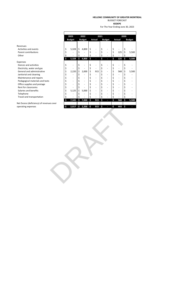BUDGET FORECAST

**KEDEPE**

For The Year Ending June 30, 2023

|                                          |     | 2023                         | 2022                |                                | 2021 |                |     |                              | 2020 |               |
|------------------------------------------|-----|------------------------------|---------------------|--------------------------------|------|----------------|-----|------------------------------|------|---------------|
|                                          |     | <b>Budget</b>                | <b>Budget</b>       | Actual                         |      | <b>Budget</b>  |     | Actual                       |      | <b>Budget</b> |
| Revenues                                 |     |                              |                     |                                |      |                |     |                              |      |               |
| Activities and events                    | \$  | 5,328                        | \$<br>4,800         | \$                             | \$   |                | \$  | $\frac{1}{2}$                | \$   |               |
| Parent contributions                     | \$  |                              | \$                  | \$<br>$\frac{1}{2}$            | \$   |                | \$  | 125                          | \$   | 5,500         |
| Other                                    | \$  |                              | \$                  | \$<br>$\overline{a}$           | \$   |                | \$  | $\overline{a}$               | \$   |               |
|                                          | \$  | 5,328                        | \$<br>4,800         | \$<br>Ξ                        | \$   | Ξ              | \$  | 125                          | \$   | 5,500         |
| Expenses                                 |     |                              |                     |                                |      |                |     |                              |      |               |
| Dances and activities                    | \$  | $\overline{\phantom{a}}$     | \$                  | \$<br>$\overline{a}$           | \$   | $\overline{a}$ | \$  | $\overline{a}$               | \$   |               |
| Electricity, water and gas               | \$  |                              | \$                  | \$<br>$\frac{1}{2}$            | \$   |                | \$  |                              | \$   |               |
| General and administrative               | \$  | 2,220                        | \$<br>2,000         | \$<br>915                      | \$   |                | \$  | 568                          | \$   | 5,500         |
| Janitorial and cleaning                  | \$  | $\overline{a}$               | \$                  | \$<br>$\overline{\phantom{a}}$ | \$   | $\overline{a}$ | \$  | $\overline{a}$               | \$   |               |
| Maintenance and repairs                  | \$  |                              | \$                  | \$<br>$\frac{1}{2}$            | \$   |                | \$  | $\frac{1}{2}$                | \$   |               |
| Pedagogical materials and texts          | \$  | $\overline{\phantom{a}}$     | \$<br>$\frac{1}{2}$ | \$<br>$\overline{\phantom{a}}$ | \$   | $\overline{a}$ | \$  | $\overline{a}$               | \$   |               |
| Office supplies and postage              | \$  | $\qquad \qquad \blacksquare$ | \$<br>$\frac{1}{2}$ | \$<br>$\frac{1}{2}$            | \$   |                | \$  | $\qquad \qquad \blacksquare$ | \$   |               |
| Rent for classrooms                      | \$  |                              | \$                  | \$<br>$\overline{\phantom{a}}$ | \$   |                | \$  | $\overline{\phantom{0}}$     | \$   |               |
| Salaries and benefits                    | \$  | 5,125                        | \$<br>5,000         | \$<br>$\overline{a}$           | \$   |                | \$  | $\overline{a}$               | \$   |               |
| Telephone                                | \$  |                              | \$                  | \$                             | \$   |                | \$  |                              | \$   |               |
| Travel and transportation                | \$  |                              | \$                  | \$                             | \$   |                | \$  |                              | \$   |               |
|                                          | \$  | 7,345                        | \$<br>7,000         | \$<br>915                      | \$   |                | \$  | 568                          | \$   | 5,500         |
| Net Excess (deficiency) of revenues over |     |                              |                     |                                |      |                |     |                              |      |               |
| operating expenses                       | -\$ |                              | 2,017 -\$ 2,200 -\$ | 915                            | \$   | ь              | -\$ | 443                          | -\$  |               |
|                                          |     |                              |                     |                                |      |                |     |                              |      |               |
|                                          |     |                              |                     |                                |      |                |     |                              |      |               |

 $\overline{a}$ 

Expenses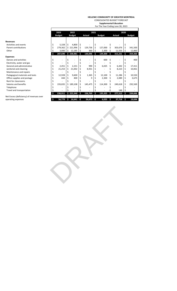CONSOLIDATED BUDGET FORECAST **Supplemental Education**

For The Year Ending June 30, 2023

|                                          |    | 2023          |    | 2022          |    |              | 2021 |               |   |         | 2020 |               |
|------------------------------------------|----|---------------|----|---------------|----|--------------|------|---------------|---|---------|------|---------------|
|                                          |    | <b>Budget</b> |    | <b>Budget</b> |    | Actual       |      | <b>Budget</b> |   | Actual  |      | <b>Budget</b> |
| <b>Revenues</b>                          |    |               |    |               |    |              |      |               |   |         |      |               |
| Activities and events                    | \$ | 5,328         | Ś  | 4,800         | \$ |              |      |               |   |         |      |               |
| Parent contributions                     |    | 279,362       |    | \$221,996     | Ś  | 129,736      |      | 127,000       | S | 303,676 |      | 341,500       |
| Other                                    |    | 3,000         | Ś  | 12,185        | \$ | 360          |      | 2,300         | Ś | 11,555  | S    | 12,860        |
|                                          | \$ | 287,690       |    | \$238,981     | Ś  | 130,096      | Ś    | 129,300       | Ś | 315,231 | Ś    | 354,360       |
| <b>Expenses</b>                          |    |               |    |               |    |              |      |               |   |         |      |               |
| Dances and activities                    |    |               |    |               |    |              |      | 600           | Ś |         |      | 400           |
| Electricity, water and gas               |    |               |    |               |    |              |      |               |   |         |      |               |
| General and administrative               |    | 2,451         | Ś  | 2,231         |    | 990          |      | 6,025         |   | 6,442   |      | 17,411        |
| Janitorial and cleaning                  |    | 21,253        | Ś  | 21,002        | \$ | 8,931        |      |               |   | 8,223   |      | 10,061        |
| Maintenance and repairs                  |    |               |    |               |    |              |      |               |   |         |      |               |
| Pedagogical materials and texts          |    | 12,928        | Ś  | 9,600         |    | 1,365        |      | 12,100        |   | 11,286  |      | 10,550        |
| Office supplies and postage              |    | 444           | Ś  | 400           |    | q            |      | 2,300         | S | 2,089   |      | 3,675         |
| Rent for classrooms                      |    |               |    |               |    |              |      |               |   |         |      |               |
| Salaries and benefits                    |    | 193,835       | Ś. | 189,108       |    | 145,475      |      | 114,300       |   | 249,618 |      | 292,569       |
| Telephone                                |    |               |    |               |    |              |      |               |   |         |      |               |
| Travel and transportation                |    |               |    |               |    |              |      |               |   | 146     |      |               |
|                                          | Ś. | 230,911       |    | \$222,340     | Ś  | 156,769      | \$   | 135,325       | Ś | 277,513 | Ś    | 334,666       |
| Net Excess (deficiency) of revenues over |    |               |    |               |    |              |      |               |   |         |      |               |
| operating expenses                       | \$ | 56,779        | ß. | $16,641 - $$  |    | $26,673$ -\$ |      | 6,025         | Ś | 37,718  | Ś    | 19,694        |

RAFT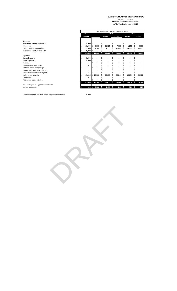#### **HELLENIC COMMUNITY OF GREATER MONTREAL** BUDGET FORECAST **Montreal Centre for Greek Studies**

For The Year Ending June 30, 2023

| <b>Revenues</b>               |
|-------------------------------|
| Investment Money for Library* |
| Donations                     |
| School and registration fees  |
| Investment for Mural Project* |

\* Investment into Library & Mural Programs from HCGM 10,000\$

|                                          | MONTREAL CENTRE FOR GREEK STUDIES<br>2023<br>2021<br>2020<br><b>Budget</b><br>Actual<br><b>Budget</b><br>Actual |                          |      |             |     |                          |    |           |     |        |    |               |  |
|------------------------------------------|-----------------------------------------------------------------------------------------------------------------|--------------------------|------|-------------|-----|--------------------------|----|-----------|-----|--------|----|---------------|--|
|                                          |                                                                                                                 |                          |      |             |     |                          |    |           |     |        |    |               |  |
|                                          |                                                                                                                 |                          |      |             |     |                          |    |           |     |        |    | <b>Budget</b> |  |
| <b>Revenues</b>                          |                                                                                                                 |                          |      |             |     |                          |    |           |     |        |    |               |  |
| Investment Money for Library*            | \$                                                                                                              | 5,000                    | Ś    |             | \$  |                          |    |           |     |        |    |               |  |
| Donations                                | \$                                                                                                              | 10,500                   | \$.  | 6,500       | \$  | 11,025                   | Ś  | 7,000     | Ś.  | 1,250  | Ŝ  | 8,000         |  |
| School and registration fees             |                                                                                                                 | 9,000                    | \$   | 7,500       | \$  | 4,575                    | \$ | 16,000    | Ŝ.  | 14,900 | Ŝ  | 16,000        |  |
| Investment for Mural Project*            |                                                                                                                 | 5,000                    | S    |             |     |                          |    |           |     |        |    |               |  |
|                                          | Ŝ                                                                                                               | 29,500                   |      | \$14,000    | \$. | 15,600                   | \$ | 23,000    | \$. | 16,150 | \$ | 24,000        |  |
| <b>Expenses</b>                          |                                                                                                                 |                          |      |             |     |                          |    |           |     |        |    |               |  |
| Library Expenses                         | \$                                                                                                              | 5,000                    | Ś    |             | \$  | ٠                        |    |           |     | ٠      |    |               |  |
| Mural Expenses                           | \$                                                                                                              | 5,000                    | Ś    |             | \$  | $\overline{\phantom{a}}$ |    | ٠         | \$  | ٠      |    |               |  |
| Insurance                                |                                                                                                                 |                          |      |             | \$  | ٠                        |    |           |     |        |    |               |  |
| Maintenance and repairs                  |                                                                                                                 | $\overline{\phantom{a}}$ |      |             |     | ٠                        |    | ٠         |     | ٠      |    |               |  |
| Office supplies and postage              |                                                                                                                 | $\overline{\phantom{a}}$ |      |             |     | ٠                        |    | ٠         |     | ٠      |    |               |  |
| Pedagogical materials and texts          |                                                                                                                 | ٠                        |      |             |     | ٠                        |    |           |     | ٠      |    |               |  |
| Professional and consulting fees         |                                                                                                                 |                          |      |             |     |                          |    |           |     |        |    |               |  |
| Salaries and benefits                    | Ś                                                                                                               | 19,306                   |      | \$19,306    | \$  | 20,039                   | Ś  | 23,244    |     | 16,854 |    | 23,171        |  |
| Telephone                                |                                                                                                                 |                          |      |             |     |                          |    |           |     |        |    |               |  |
| Travel and transportation                |                                                                                                                 |                          |      |             |     |                          |    |           |     |        |    |               |  |
|                                          | Ŝ                                                                                                               | 29,306                   |      | \$19,306    | \$. | 20,039                   | Ś  | 23,244    | \$. | 16,854 | Ŝ  | 23,171        |  |
| Net Excess (deficiency) of revenues over |                                                                                                                 |                          |      |             |     |                          |    |           |     |        |    |               |  |
| operating expenses                       | \$                                                                                                              | 194                      | $-5$ | $5,306 - $$ |     | $4,439-5$                |    | $244 - 5$ |     | 704    | ŝ  | 829           |  |

RAFT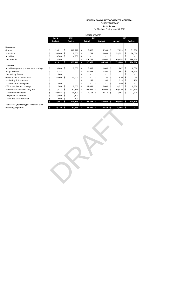#### **HELLENIC COMMUNITY OF GREATER MONTREAL** BUDGET FORECAST **Social Services**

For The Year Ending June 30, 2023

|                                            |    |               |    |               |    | <b>SOCIAL SERVICES</b> |      |               |     |         |      |               |
|--------------------------------------------|----|---------------|----|---------------|----|------------------------|------|---------------|-----|---------|------|---------------|
|                                            |    | 2023          |    | 2022          |    |                        | 2021 |               |     |         | 2020 |               |
|                                            |    | <b>Budget</b> |    | <b>Budget</b> |    | Actual                 |      | <b>Budget</b> |     | Actual  |      | <b>Budget</b> |
|                                            |    |               |    |               |    |                        |      |               |     |         |      |               |
| <b>Revenues</b>                            |    |               |    |               |    |                        |      |               |     |         |      |               |
| Grants                                     | \$ | 139.812       | \$ | 148.218       | Ś  | 8,429                  | \$   | 5,500         | \$  | 7.895   | Ś    | 51,800        |
| Donations                                  |    | 20,000        | \$ | 3,000         | S  | 778                    |      | 10,000        | \$  | 58,531  | \$   | 26,000        |
| <b>Activities</b>                          |    | 9,500         | Ŝ  | 4,500         |    |                        |      |               |     |         |      |               |
| Sponsorship                                |    | 13,500        |    |               | S  | 201,761                | S    | 130,000       | Ś   | 109,454 | Ś    | 196,500       |
|                                            | \$ | 182,812       | Ŝ. | 155,718       | Ś  | 210,968                | Ś    | 145,500       | Ŝ   | 175,880 | Ś    | 274,300       |
| <b>Expenses</b>                            |    |               |    |               |    |                        |      |               |     |         |      |               |
| Activities-(speakers, presenters, outings) | \$ | 3,000         | \$ | 3,000         | \$ | 6,813                  | \$   | 1,000         | \$  | 2,847   | \$   | 8,000         |
| Adopt a senior                             | \$ | 3,133         |    |               | Ś  | 14,429                 | \$   | 21,500        | \$  | 11,648  | \$   | 16,500        |
| <b>Fundraising Events</b>                  |    | 1,000         |    |               |    |                        |      |               |     |         |      |               |
| <b>General and Administrative</b>          |    | 14,000        | \$ | 24,000        |    |                        |      | 50            |     | 870     |      | 50            |
| Marketing & Promotion                      |    |               |    |               |    | 289                    |      | 100           |     | 1,219   |      | 100           |
| Maintenance and repairs                    |    | 300           |    |               |    |                        |      |               |     | 350     |      |               |
| Office supplies and postage                |    | 500           | Ŝ  | 3,000         |    | 12,084                 |      | 17,000        | \$  | 4,517   | \$   | 9,600         |
| Professional and consulting fees           |    | 17,323        | Ŝ  | 17,323        | S  | 143,671                | \$   | 97,000        | \$  | 169,510 | \$   | 227,740       |
| Salaries and benefits                      | \$ | 130,886       |    | 94,800        | Ś  | 2,103                  | \$   | 2,410         | \$  | 2,467   | \$   | 2,410         |
| Telephone & internet                       |    | 2,300         |    | 2,300         |    |                        |      |               |     |         |      |               |
| Travel and transportation                  |    | 600           |    | 700           |    |                        |      |               |     |         |      |               |
|                                            | Ś  | 173,042       | Ŝ  | 145,123       | Ś. | 182,273                | \$.  | 142,060       | \$. | 200,346 | Ŝ    | 274,300       |
| Net Excess (deficiency) of revenues over   |    |               |    |               |    |                        |      |               |     |         |      |               |
| onerating exnenses                         | ¢  | 9770<         |    | 105956        |    | 28.696                 | ÷.   | $3.440 \div$  |     | 24 466  | ¢    |               |

Net Exc  $\Phi$  operating expenses

5 9,770 \$ 10,595 \$ 28,695 \$ 3,440 \$ 24,466 \$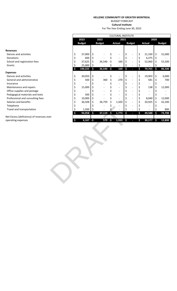BUDGET FORECAST **Cultural Institute** For The Year Ending June 30, 2023

|                                          |                      |               |      | <b>CULTURAL INSTITUTE</b> |                     |                          |                                |                                |               |
|------------------------------------------|----------------------|---------------|------|---------------------------|---------------------|--------------------------|--------------------------------|--------------------------------|---------------|
|                                          | 2023                 | 2022          |      | 2021                      |                     |                          |                                | 2020                           |               |
|                                          | <b>Budget</b>        | <b>Budget</b> |      | <b>Actual</b>             |                     | <b>Budget</b>            | <b>Actual</b>                  |                                | <b>Budget</b> |
| <b>Revenues</b>                          |                      |               |      |                           |                     |                          |                                |                                |               |
| Dances and activities                    | \$<br>37,000         | \$            | \$   |                           | \$                  |                          | \$<br>21,330                   | $\boldsymbol{\zeta}$           | 31,000        |
| Donations                                | \$<br>600            | \$            | \$   | $\overline{a}$            | \$                  |                          | \$<br>6,375                    | $\boldsymbol{\dot{\varsigma}}$ |               |
| School and registration fees             | \$<br>37,625         | \$<br>36,540  | -\$  | 160                       | \$                  |                          | \$<br>52,060                   | \$                             | 55,500        |
| Grants                                   | \$<br>25,000         | \$            | \$   | $\blacksquare$            | \$                  | $\overline{\phantom{a}}$ | \$                             | \$                             |               |
|                                          | \$<br>100,225        | \$<br>36,540  | $-5$ | 160                       | \$                  | ٠                        | \$<br>79,765                   | $\mathsf{S}$                   | 86,500        |
| <b>Expenses</b>                          |                      |               |      |                           |                     |                          |                                |                                |               |
| Dances and activities                    | \$<br>30,050         | \$            | \$   | $\overline{\phantom{a}}$  | \$                  |                          | \$<br>19,903                   | \$                             | 6,000         |
| General and administrative               | \$<br>500            | \$<br>360     | \$   | 270                       | \$                  |                          | \$<br>581                      | \$                             | 700           |
| Insurance                                | \$<br>$\overline{a}$ | \$            | \$   | $\overline{a}$            | \$                  |                          | \$<br>$\overline{a}$           | \$                             |               |
| Maintenance and repairs                  | \$<br>15,000         | \$            | \$   | $\overline{a}$            | \$                  | $\overline{a}$           | \$<br>138                      | \$                             | 12,000        |
| Office supplies and postage              | \$                   | \$            | \$   | $\overline{a}$            | \$                  | $\overline{\phantom{a}}$ | \$<br>$\overline{\phantom{a}}$ | \$                             |               |
| Pedagogical materials and texts          | \$<br>500            | \$            | \$   | $\overline{a}$            | \$                  |                          | \$                             | \$                             |               |
| Professional and consulting fees         | \$<br>10,000         | \$            | \$   |                           | \$                  |                          | \$<br>8,040                    | \$                             | 12,000        |
| Salaries and benefits                    | \$<br>36,508         | \$<br>36,759  | \$   | 1,503                     | \$                  |                          | \$<br>20,925                   | \$                             | 42,200        |
| Telephone                                | \$                   | \$            | \$   |                           | \$                  |                          | \$                             | \$                             |               |
| Travel and transportation                | \$<br>1,500          | \$            |      |                           | \$                  |                          | \$                             | \$                             | 800           |
|                                          | \$<br>94,058         | \$<br>37,119  | \$   | 1,773                     | $\ddot{\mathsf{s}}$ | н                        | \$<br>49,588                   | \$                             | 73,700        |
| Net Excess (deficiency) of revenues over |                      |               |      |                           |                     |                          |                                |                                |               |
| operating expenses                       | \$<br>$6,167 - $$    | 579           | $-5$ | $1,933$ \$                |                     |                          | \$<br>$30,177$ \$              |                                | 12,800        |
|                                          |                      |               |      |                           |                     |                          |                                |                                |               |
|                                          |                      |               |      |                           |                     |                          |                                |                                |               |
|                                          |                      |               |      |                           |                     |                          |                                |                                |               |
|                                          |                      |               |      |                           |                     |                          |                                |                                |               |
|                                          |                      |               |      |                           |                     |                          |                                |                                |               |
|                                          |                      |               |      |                           |                     |                          |                                |                                |               |
|                                          |                      |               |      |                           |                     |                          |                                |                                |               |
|                                          |                      |               |      |                           |                     |                          |                                |                                |               |
|                                          |                      |               |      |                           |                     |                          |                                |                                |               |
|                                          |                      |               |      |                           |                     |                          |                                |                                |               |
|                                          |                      |               |      |                           |                     |                          |                                |                                |               |
|                                          |                      |               |      |                           |                     |                          |                                |                                |               |
|                                          |                      |               |      |                           |                     |                          |                                |                                |               |
|                                          |                      |               |      |                           |                     |                          |                                |                                |               |
|                                          |                      |               |      |                           |                     |                          |                                |                                |               |
|                                          |                      |               |      |                           |                     |                          |                                |                                |               |
|                                          |                      |               |      |                           |                     |                          |                                |                                |               |